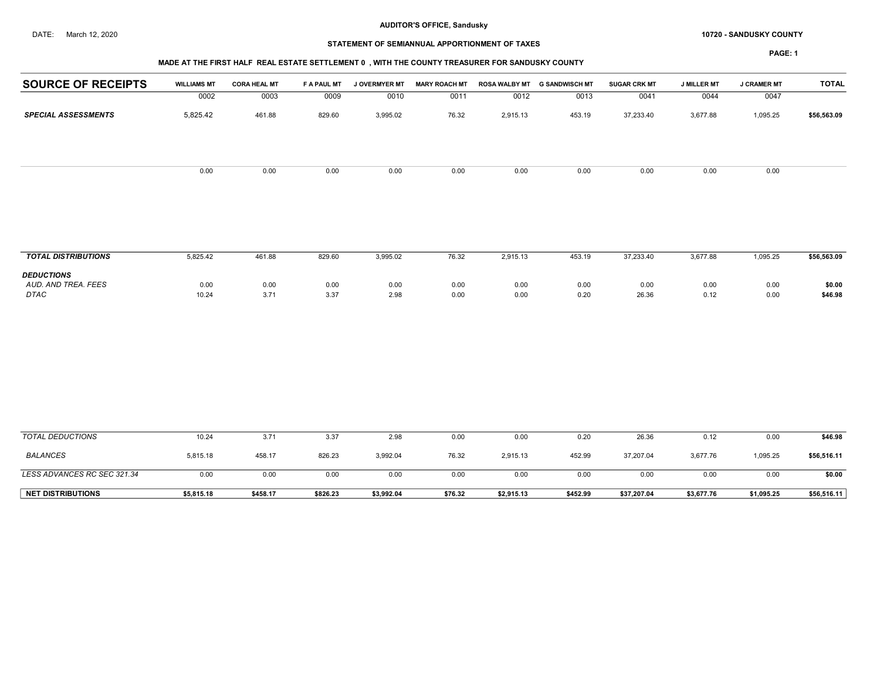# STATEMENT OF SEMIANNUAL APPORTIONMENT OF TAXES

PAGE: 1

## MADE AT THE FIRST HALF REAL ESTATE SETTLEMENT 0 , WITH THE COUNTY TREASURER FOR SANDUSKY COUNTY

| <b>PAGE:</b> |  |
|--------------|--|
|              |  |
|              |  |
|              |  |
|              |  |
|              |  |
|              |  |
|              |  |
|              |  |

| <b>SOURCE OF RECEIPTS</b>  | <b>WILLIAMS MT</b> | <b>CORA HEAL MT</b> | F A PAUL MT | J OVERMYER MT | <b>MARY ROACH MT</b> | ROSA WALBY MT | <b>G SANDWISCH MT</b> | <b>SUGAR CRK MT</b> | <b>J MILLER MT</b> | <b>J CRAMER MT</b> | <b>TOTAL</b> |
|----------------------------|--------------------|---------------------|-------------|---------------|----------------------|---------------|-----------------------|---------------------|--------------------|--------------------|--------------|
|                            | 0002               | 0003                | 0009        | 0010          | 0011                 | 0012          | 0013                  | 0041                | 0044               | 0047               |              |
| <b>SPECIAL ASSESSMENTS</b> | 5,825.42           | 461.88              | 829.60      | 3,995.02      | 76.32                | 2,915.13      | 453.19                | 37,233.40           | 3,677.88           | 1,095.25           | \$56,563.09  |
|                            |                    |                     |             |               |                      |               |                       |                     |                    |                    |              |
|                            | 0.00               | 0.00                | 0.00        | 0.00          | 0.00                 | 0.00          | 0.00                  | 0.00                | 0.00               | 0.00               |              |
|                            |                    |                     |             |               |                      |               |                       |                     |                    |                    |              |
|                            |                    |                     |             |               |                      |               |                       |                     |                    |                    |              |
| <b>TOTAL DISTRIBUTIONS</b> | 5,825.42           | 461.88              | 829.60      | 3,995.02      | 76.32                | 2,915.13      | 453.19                | 37,233.40           | 3,677.88           | 1,095.25           | \$56,563.09  |
| <b>DEDUCTIONS</b>          |                    |                     |             |               |                      |               |                       |                     |                    |                    |              |
| AUD. AND TREA. FEES        | 0.00               | 0.00                | 0.00        | 0.00          | 0.00                 | 0.00          | 0.00                  | 0.00                | 0.00               | 0.00               | \$0.00       |
| <b>DTAC</b>                | 10.24              | 3.71                | 3.37        | 2.98          | 0.00                 | 0.00          | 0.20                  | 26.36               | 0.12               | 0.00               | \$46.98      |
|                            |                    |                     |             |               |                      |               |                       |                     |                    |                    |              |
|                            |                    |                     |             |               |                      |               |                       |                     |                    |                    |              |
|                            |                    |                     |             |               |                      |               |                       |                     |                    |                    |              |
|                            |                    |                     |             |               |                      |               |                       |                     |                    |                    |              |
|                            |                    |                     |             |               |                      |               |                       |                     |                    |                    |              |

| <b>NET DISTRIBUTIONS</b>    | \$5.815.18 | \$458.17 | \$826.23 | \$3,992.04 | \$76.32 | \$2,915.13 | \$452.99 | \$37.207.04 | \$3,677.76 | \$1,095.25 | \$56,516.11 |
|-----------------------------|------------|----------|----------|------------|---------|------------|----------|-------------|------------|------------|-------------|
| LESS ADVANCES RC SEC 321.34 | 0.OC       | 0.00     | 0.00     | 0.00       | 0.00    | 0.00       | 0.00     | 0.00        | 0.00       | 0.00       | \$0.00      |
| <b>BALANCES</b>             | 5,815.18   | 458.17   | 826.23   | 3,992.04   | 76.32   | 2,915.13   | 452.99   | 37,207.04   | 3,677.76   | 1,095.25   | \$56,516.11 |
| TOTAL DEDUCTIONS            | 10.24      | 3.71     | 3.37     | 2.98       | 0.00    | 0.00       | 0.20     | 26.36       | 0.12       | 0.OC       | \$46.98     |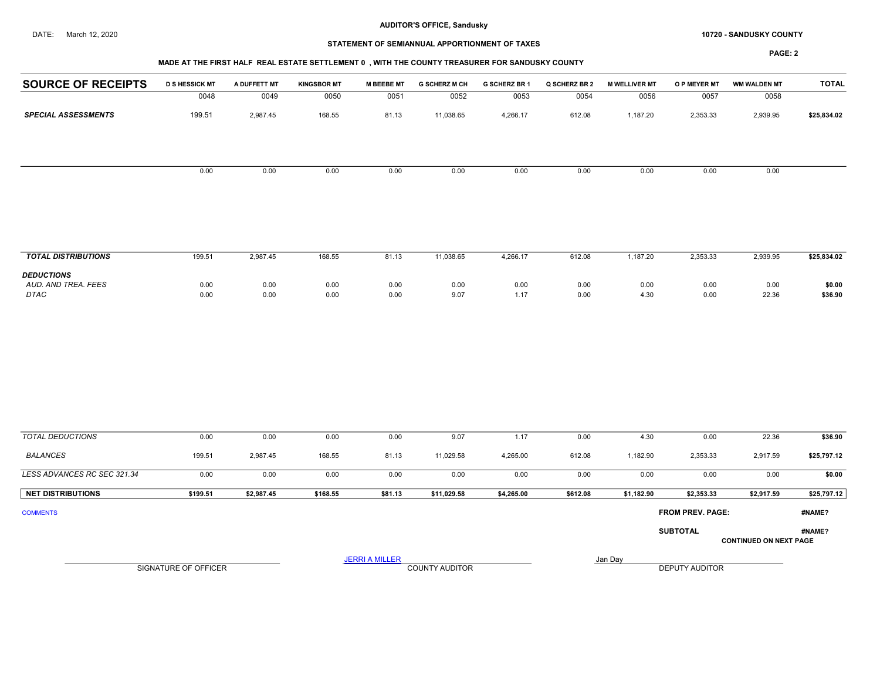#### DATE: March 12, 2020 **SANDUSKY COUNTY 10720 - SANDUSKY COUNTY**

# STATEMENT OF SEMIANNUAL APPORTIONMENT OF TAXES

#### MADE AT THE FIRST HALF REAL ESTATE SETTLEMENT 0 , WITH THE COUNTY TREASURER FOR SANDUSKY COUNTY

| <b>SPECIAL ASSESSMENTS</b>         | 0048<br>199.51       | 0049         | 0050         | 0051                  |                       |              |              |              |                  |                               |                   |
|------------------------------------|----------------------|--------------|--------------|-----------------------|-----------------------|--------------|--------------|--------------|------------------|-------------------------------|-------------------|
|                                    |                      |              |              |                       | 0052                  | 0053         | 0054         | 0056         | 0057             | 0058                          |                   |
|                                    |                      | 2,987.45     | 168.55       | 81.13                 | 11,038.65             | 4,266.17     | 612.08       | 1,187.20     | 2,353.33         | 2,939.95                      | \$25,834.02       |
|                                    | 0.00                 | 0.00         | 0.00         | 0.00                  | 0.00                  | 0.00         | 0.00         | 0.00         | 0.00             | 0.00                          |                   |
|                                    |                      |              |              |                       |                       |              |              |              |                  |                               |                   |
| <b>TOTAL DISTRIBUTIONS</b>         | 199.51               | 2,987.45     | 168.55       | 81.13                 | 11,038.65             | 4,266.17     | 612.08       | 1,187.20     | 2,353.33         | 2,939.95                      | \$25,834.02       |
| <b>DEDUCTIONS</b>                  |                      |              |              |                       |                       |              |              |              |                  |                               |                   |
| AUD. AND TREA. FEES<br><b>DTAC</b> | 0.00<br>0.00         | 0.00<br>0.00 | 0.00<br>0.00 | 0.00<br>0.00          | 0.00<br>9.07          | 0.00<br>1.17 | 0.00<br>0.00 | 0.00<br>4.30 | 0.00<br>0.00     | 0.00<br>22.36                 | \$0.00<br>\$36.90 |
|                                    |                      |              |              |                       |                       |              |              |              |                  |                               |                   |
| <b>TOTAL DEDUCTIONS</b>            | 0.00                 | 0.00         | 0.00         | 0.00                  | 9.07                  | 1.17         | 0.00         | 4.30         | 0.00             | 22.36                         | \$36.90           |
| <b>BALANCES</b>                    | 199.51               | 2,987.45     | 168.55       | 81.13                 | 11,029.58             | 4,265.00     | 612.08       | 1,182.90     | 2,353.33         | 2,917.59                      | \$25,797.12       |
| LESS ADVANCES RC SEC 321.34        | 0.00                 | 0.00         | 0.00         | 0.00                  | 0.00                  | 0.00         | 0.00         | 0.00         | 0.00             | 0.00                          | \$0.00            |
| <b>NET DISTRIBUTIONS</b>           | \$199.51             | \$2,987.45   | \$168.55     | \$81.13               | \$11,029.58           | \$4,265.00   | \$612.08     | \$1,182.90   | \$2,353.33       | \$2,917.59                    | \$25,797.12       |
| <b>COMMENTS</b>                    |                      |              |              |                       |                       |              |              |              | FROM PREV. PAGE: |                               | #NAME?            |
|                                    |                      |              |              |                       |                       |              |              |              | <b>SUBTOTAL</b>  | <b>CONTINUED ON NEXT PAGE</b> | #NAME?            |
|                                    | SIGNATURE OF OFFICER |              |              | <b>JERRI A MILLER</b> |                       |              |              | Jan Day      |                  |                               |                   |
|                                    |                      |              |              |                       | <b>COUNTY AUDITOR</b> |              |              |              | DEPUTY AUDITOR   |                               |                   |
|                                    |                      |              |              |                       |                       |              |              |              |                  |                               |                   |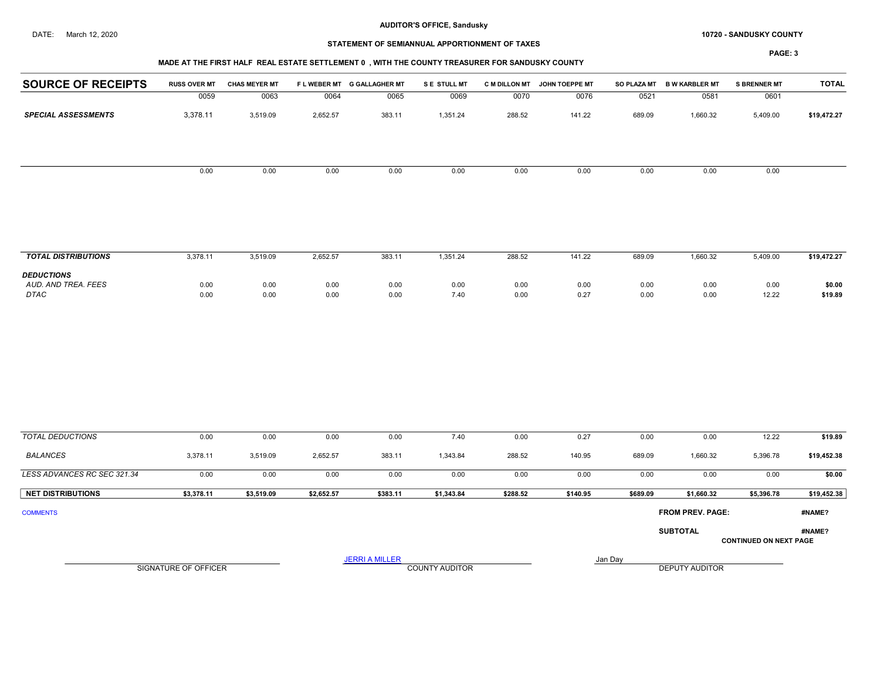#### DATE: March 12, 2020 **SANDUSKY COUNTY 10720 - SANDUSKY COUNTY**

# STATEMENT OF SEMIANNUAL APPORTIONMENT OF TAXES

# MADE AT THE FIRST HALF REAL ESTATE SETTLEMENT 0 , WITH THE COUNTY TREASURER FOR SANDUSKY COUNTY

| <b>SOURCE OF RECEIPTS</b>                               | <b>RUSS OVER MT</b>  | <b>CHAS MEYER MT</b> |              | FLWEBER MT G GALLAGHER MT | S E STULL MT          |              | C M DILLON MT JOHN TOEPPE MT |              | SO PLAZA MT B W KARBLER MT | <b>S BRENNER MT</b>           | <b>TOTAL</b>      |
|---------------------------------------------------------|----------------------|----------------------|--------------|---------------------------|-----------------------|--------------|------------------------------|--------------|----------------------------|-------------------------------|-------------------|
|                                                         | 0059                 | 0063                 | 0064         | 0065                      | 0069                  | 0070         | 0076                         | 0521         | 0581                       | 0601                          |                   |
| <b>SPECIAL ASSESSMENTS</b>                              | 3,378.11             | 3,519.09             | 2,652.57     | 383.11                    | 1,351.24              | 288.52       | 141.22                       | 689.09       | 1,660.32                   | 5,409.00                      | \$19,472.27       |
|                                                         |                      |                      |              |                           |                       |              |                              |              |                            |                               |                   |
|                                                         | 0.00                 | 0.00                 | 0.00         | 0.00                      | 0.00                  | 0.00         | 0.00                         | 0.00         | 0.00                       | 0.00                          |                   |
| <b>TOTAL DISTRIBUTIONS</b>                              | 3,378.11             | 3,519.09             | 2,652.57     | 383.11                    | 1,351.24              | 288.52       | 141.22                       | 689.09       | 1,660.32                   | 5,409.00                      | \$19,472.27       |
|                                                         |                      |                      |              |                           |                       |              |                              |              |                            |                               |                   |
| <b>DEDUCTIONS</b><br>AUD. AND TREA. FEES<br><b>DTAC</b> | 0.00<br>0.00         | 0.00<br>0.00         | 0.00<br>0.00 | 0.00<br>0.00              | 0.00<br>7.40          | 0.00<br>0.00 | 0.00<br>0.27                 | 0.00<br>0.00 | 0.00<br>0.00               | 0.00<br>12.22                 | \$0.00<br>\$19.89 |
|                                                         |                      |                      |              |                           |                       |              |                              |              |                            |                               |                   |
| <b>TOTAL DEDUCTIONS</b>                                 | 0.00                 | 0.00                 | 0.00         | 0.00                      | 7.40                  | 0.00         | 0.27                         | 0.00         | 0.00                       | 12.22                         | \$19.89           |
| <b>BALANCES</b>                                         | 3,378.11             | 3,519.09             | 2,652.57     | 383.11                    | 1,343.84              | 288.52       | 140.95                       | 689.09       | 1,660.32                   | 5,396.78                      | \$19,452.38       |
| LESS ADVANCES RC SEC 321.34                             | 0.00                 | 0.00                 | 0.00         | 0.00                      | 0.00                  | 0.00         | 0.00                         | 0.00         | 0.00                       | 0.00                          | \$0.00            |
| <b>NET DISTRIBUTIONS</b>                                | \$3,378.11           | \$3,519.09           | \$2,652.57   | \$383.11                  | \$1,343.84            | \$288.52     | \$140.95                     | \$689.09     | \$1,660.32                 | \$5,396.78                    | \$19,452.38       |
| <b>COMMENTS</b>                                         |                      |                      |              |                           |                       |              |                              |              | FROM PREV. PAGE:           |                               | #NAME?            |
|                                                         |                      |                      |              |                           |                       |              |                              |              | <b>SUBTOTAL</b>            | <b>CONTINUED ON NEXT PAGE</b> | #NAME?            |
|                                                         |                      |                      |              | <b>JERRI A MILLER</b>     |                       |              |                              | Jan Day      |                            |                               |                   |
|                                                         | SIGNATURE OF OFFICER |                      |              |                           | <b>COUNTY AUDITOR</b> |              |                              |              | DEPUTY AUDITOR             |                               |                   |
|                                                         |                      |                      |              |                           |                       |              |                              |              |                            |                               |                   |
|                                                         |                      |                      |              |                           |                       |              |                              |              |                            |                               |                   |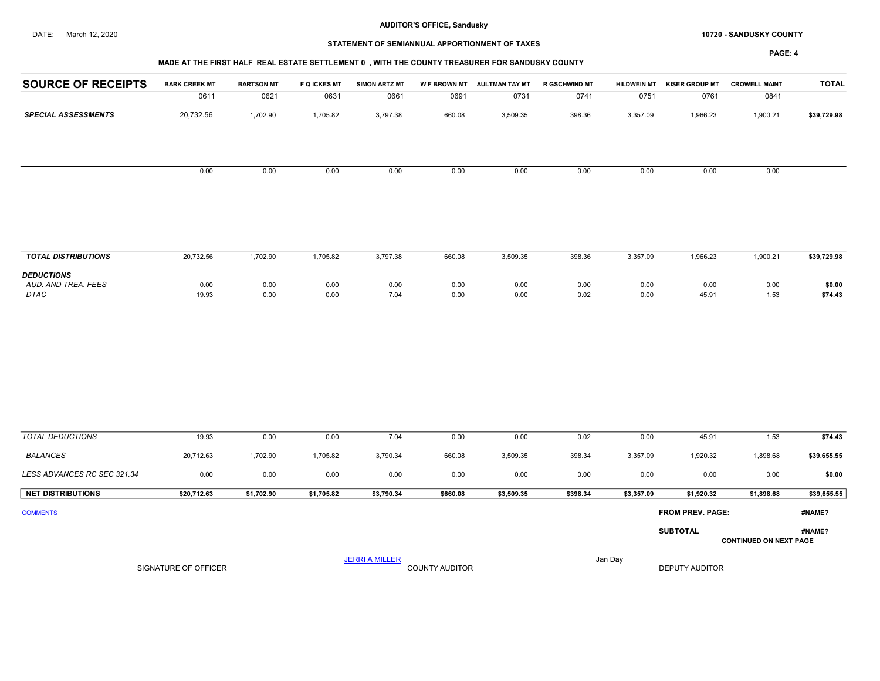#### DATE: March 12, 2020 **SANDUSKY COUNTY 10720 - SANDUSKY COUNTY**

# STATEMENT OF SEMIANNUAL APPORTIONMENT OF TAXES

| MADE AT THE FIRST HALF  REAL ESTATE SETTLEMENT 0 . WITH THE COUNTY TREASURER FOR SANDUSKY COUNTY |
|--------------------------------------------------------------------------------------------------|
|                                                                                                  |

| <b>SOURCE OF RECEIPTS</b>                        | <b>BARK CREEK MT</b>        | <b>BARTSON MT</b> | <b>F Q ICKES MT</b> | <b>SIMON ARTZ MT</b>  |                       | W F BROWN MT AULTMAN TAY MT | R GSCHWIND MT | <b>HILDWEIN MT</b> | <b>KISER GROUP MT</b>   | <b>CROWELL MAINT</b>          | <b>TOTAL</b>      |
|--------------------------------------------------|-----------------------------|-------------------|---------------------|-----------------------|-----------------------|-----------------------------|---------------|--------------------|-------------------------|-------------------------------|-------------------|
|                                                  | 0611                        | 0621              | 0631                | 0661                  | 0691                  | 0731                        | 0741          | 0751               | 0761                    | 0841                          |                   |
| <b>SPECIAL ASSESSMENTS</b>                       | 20,732.56                   | 1,702.90          | 1,705.82            | 3,797.38              | 660.08                | 3,509.35                    | 398.36        | 3,357.09           | 1,966.23                | 1,900.21                      | \$39,729.98       |
|                                                  |                             |                   |                     |                       |                       |                             |               |                    |                         |                               |                   |
|                                                  | 0.00                        | 0.00              | 0.00                | 0.00                  | 0.00                  | 0.00                        | 0.00          | 0.00               | 0.00                    | 0.00                          |                   |
|                                                  |                             |                   |                     |                       |                       |                             |               |                    |                         |                               |                   |
| <b>TOTAL DISTRIBUTIONS</b>                       | 20,732.56                   | 1,702.90          | 1,705.82            | 3,797.38              | 660.08                | 3,509.35                    | 398.36        | 3,357.09           | 1,966.23                | 1,900.21                      | \$39,729.98       |
| <b>DEDUCTIONS</b><br>AUD. AND TREA. FEES<br>DTAC | 0.00<br>19.93               | 0.00<br>0.00      | 0.00<br>0.00        | 0.00<br>7.04          | 0.00<br>0.00          | 0.00<br>0.00                | 0.00<br>0.02  | 0.00<br>0.00       | 0.00<br>45.91           | 0.00<br>1.53                  | \$0.00<br>\$74.43 |
|                                                  |                             |                   |                     |                       |                       |                             |               |                    |                         |                               |                   |
| <b>TOTAL DEDUCTIONS</b>                          | 19.93                       | 0.00              | 0.00                | 7.04                  | 0.00                  | 0.00                        | 0.02          | 0.00               | 45.91                   | 1.53                          | \$74.43           |
| <b>BALANCES</b>                                  | 20,712.63                   | 1,702.90          | 1,705.82            | 3,790.34              | 660.08                | 3,509.35                    | 398.34        | 3,357.09           | 1,920.32                | 1,898.68                      | \$39,655.55       |
| LESS ADVANCES RC SEC 321.34                      | 0.00                        | 0.00              | 0.00                | 0.00                  | 0.00                  | 0.00                        | 0.00          | 0.00               | 0.00                    | 0.00                          | \$0.00            |
| <b>NET DISTRIBUTIONS</b>                         | \$20,712.63                 | \$1,702.90        | \$1,705.82          | \$3,790.34            | \$660.08              | \$3,509.35                  | \$398.34      | \$3,357.09         | \$1,920.32              | \$1,898.68                    | \$39,655.55       |
| <b>COMMENTS</b>                                  |                             |                   |                     |                       |                       |                             |               |                    | <b>FROM PREV. PAGE:</b> |                               | #NAME?            |
|                                                  |                             |                   |                     |                       |                       |                             |               |                    | <b>SUBTOTAL</b>         | <b>CONTINUED ON NEXT PAGE</b> | #NAME?            |
|                                                  | <b>SIGNATURE OF OFFICER</b> |                   |                     | <b>JERRI A MILLER</b> | <b>COUNTY AUDITOR</b> |                             |               | Jan Day            | <b>DEPUTY AUDITOR</b>   |                               |                   |
|                                                  |                             |                   |                     |                       |                       |                             |               |                    |                         |                               |                   |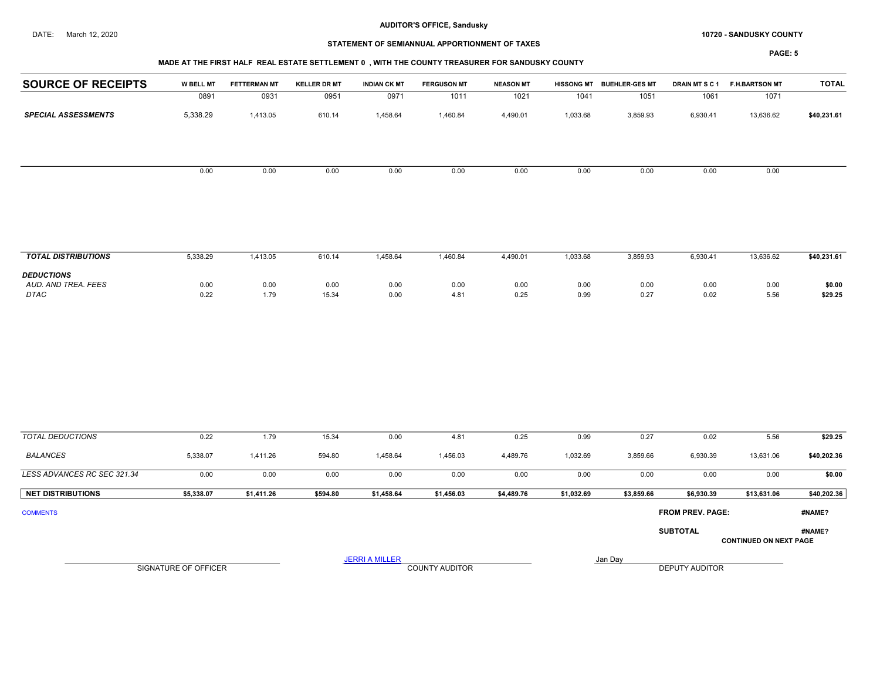#### DATE: March 12, 2020 **SANDUSKY COUNTY 10720 - SANDUSKY COUNTY**

# STATEMENT OF SEMIANNUAL APPORTIONMENT OF TAXES

|                             | MADE AT THE FIRST HALF REAL ESTATE SETTLEMENT 0, WITH THE COUNTY TREASURER FOR SANDUSKY COUNTY |                     |                     |                       |                       |                  |              |                           |                         |                               |                   |  |  |
|-----------------------------|------------------------------------------------------------------------------------------------|---------------------|---------------------|-----------------------|-----------------------|------------------|--------------|---------------------------|-------------------------|-------------------------------|-------------------|--|--|
| <b>SOURCE OF RECEIPTS</b>   | <b>W BELL MT</b>                                                                               | <b>FETTERMAN MT</b> | <b>KELLER DR MT</b> | <b>INDIAN CK MT</b>   | <b>FERGUSON MT</b>    | <b>NEASON MT</b> |              | HISSONG MT BUEHLER-GES MT | <b>DRAIN MTSC1</b>      | <b>F.H.BARTSON MT</b>         | <b>TOTAL</b>      |  |  |
|                             | 0891                                                                                           | 0931                | 0951                | 0971                  | 1011                  | 1021             | 1041         | 1051                      | 1061                    | 1071                          |                   |  |  |
| <b>SPECIAL ASSESSMENTS</b>  | 5,338.29                                                                                       | 1,413.05            | 610.14              | 1,458.64              | 1,460.84              | 4,490.01         | 1,033.68     | 3,859.93                  | 6,930.41                | 13,636.62                     | \$40,231.61       |  |  |
|                             | 0.00                                                                                           | 0.00                | 0.00                | 0.00                  | 0.00                  | 0.00             | 0.00         | 0.00                      | 0.00                    | 0.00                          |                   |  |  |
| <b>TOTAL DISTRIBUTIONS</b>  | 5,338.29                                                                                       | 1,413.05            | 610.14              | 1,458.64              | 1,460.84              | 4,490.01         | 1,033.68     | 3,859.93                  | 6,930.41                | 13,636.62                     | \$40,231.61       |  |  |
| <b>DEDUCTIONS</b>           |                                                                                                |                     |                     |                       |                       |                  |              |                           |                         |                               |                   |  |  |
| AUD. AND TREA. FEES<br>DTAC | 0.00<br>0.22                                                                                   | 0.00<br>1.79        | 0.00<br>15.34       | 0.00<br>0.00          | 0.00<br>4.81          | 0.00<br>0.25     | 0.00<br>0.99 | 0.00<br>0.27              | 0.00<br>0.02            | 0.00<br>5.56                  | \$0.00<br>\$29.25 |  |  |
|                             |                                                                                                |                     |                     |                       |                       |                  |              |                           |                         |                               |                   |  |  |
| <b>TOTAL DEDUCTIONS</b>     | 0.22                                                                                           | 1.79                | 15.34               | 0.00                  | 4.81                  | 0.25             | 0.99         | 0.27                      | 0.02                    | 5.56                          | \$29.25           |  |  |
| <b>BALANCES</b>             | 5,338.07                                                                                       | 1,411.26            | 594.80              | 1,458.64              | 1,456.03              | 4,489.76         | 1,032.69     | 3,859.66                  | 6,930.39                | 13,631.06                     | \$40,202.36       |  |  |
| LESS ADVANCES RC SEC 321.34 | 0.00                                                                                           | 0.00                | 0.00                | 0.00                  | 0.00                  | 0.00             | 0.00         | 0.00                      | 0.00                    | 0.00                          | \$0.00            |  |  |
| <b>NET DISTRIBUTIONS</b>    | \$5,338.07                                                                                     | \$1,411.26          | \$594.80            | \$1,458.64            | \$1,456.03            | \$4,489.76       | \$1,032.69   | \$3,859.66                | \$6,930.39              | \$13,631.06                   | \$40,202.36       |  |  |
| <b>COMMENTS</b>             |                                                                                                |                     |                     |                       |                       |                  |              |                           | <b>FROM PREV. PAGE:</b> |                               | #NAME?            |  |  |
|                             |                                                                                                |                     |                     |                       |                       |                  |              |                           | <b>SUBTOTAL</b>         | <b>CONTINUED ON NEXT PAGE</b> | #NAME?            |  |  |
|                             | SIGNATURE OF OFFICER                                                                           |                     |                     | <b>JERRI A MILLER</b> | <b>COUNTY AUDITOR</b> |                  |              | Jan Day                   | <b>DEPUTY AUDITOR</b>   |                               |                   |  |  |
|                             |                                                                                                |                     |                     |                       |                       |                  |              |                           |                         |                               |                   |  |  |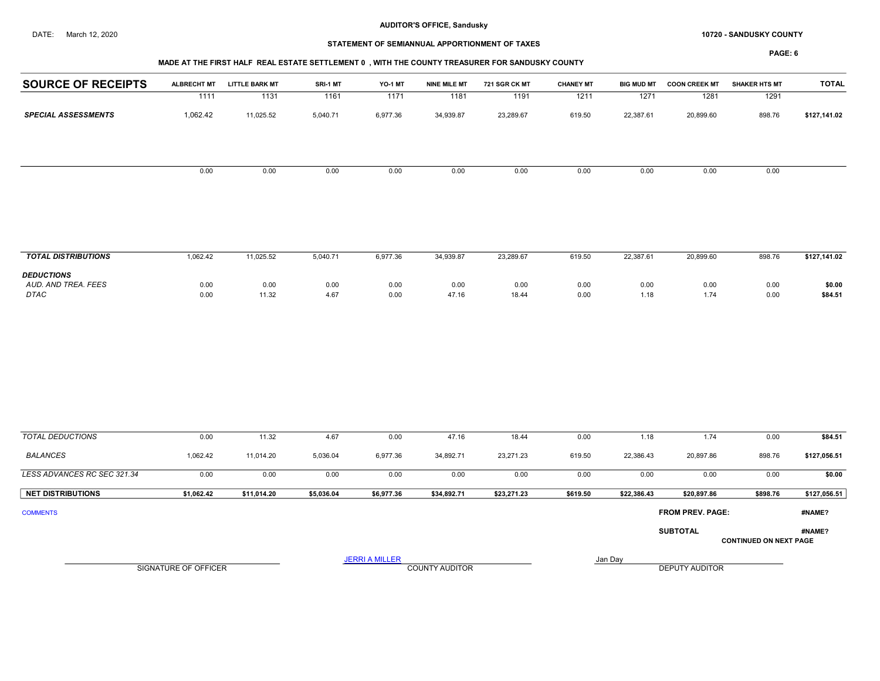#### DATE: March 12, 2020 **SANDUSKY COUNTY 10720 - SANDUSKY COUNTY**

# STATEMENT OF SEMIANNUAL APPORTIONMENT OF TAXES

PAGE: 6

## MADE AT THE FIRST HALF REAL ESTATE SETTLEMENT 0 , WITH THE COUNTY TREASURER FOR SANDUSKY COUNTY

| <b>ALBRECHT MT</b> | <b>LITTLE BARK MT</b> | SRI-1 MT | <b>YO-1 MT</b> | <b>NINE MILE MT</b> | 721 SGR CK MT | <b>CHANEY MT</b> | <b>BIG MUD MT</b> | <b>COON CREEK MT</b> | <b>SHAKER HTS MT</b> | <b>TOTAL</b> |
|--------------------|-----------------------|----------|----------------|---------------------|---------------|------------------|-------------------|----------------------|----------------------|--------------|
| 1111               | 1131                  | 1161     | 1171           | 1181                | 1191          | 1211             | 1271              | 1281                 | 1291                 |              |
| 1,062.42           | 11,025.52             | 5,040.71 | 6,977.36       | 34,939.87           | 23,289.67     | 619.50           | 22,387.61         | 20,899.60            | 898.76               | \$127,141.02 |
|                    |                       |          |                |                     |               |                  |                   |                      |                      |              |
| 0.00               | 0.00                  | 0.00     | 0.00           | 0.00                | 0.00          | 0.00             | 0.00              | 0.00                 | 0.00                 |              |
|                    |                       |          |                |                     |               |                  |                   |                      |                      |              |
|                    |                       |          |                |                     |               |                  |                   |                      |                      |              |

| <b>TOTAL DISTRIBUTIONS</b>                              | ,062.42      | 11,025.52     | 040.71.ذ     | 6,977.36     | 34,939.87     | 23,289.67     | 619.50       | 22,387.61  | 20,899.60    | 898.76       | \$127,141.02      |
|---------------------------------------------------------|--------------|---------------|--------------|--------------|---------------|---------------|--------------|------------|--------------|--------------|-------------------|
| <b>DEDUCTIONS</b><br>AUD. AND TREA. FEES<br><b>DTAC</b> | 0.00<br>0.00 | 0.00<br>11.32 | 0.00<br>4.67 | 0.00<br>0.00 | 0.00<br>47.16 | 0.00<br>18.44 | 0.00<br>0.00 | 0.00<br>18 | 0.00<br>1.74 | 0.00<br>0.00 | \$0.00<br>\$84.51 |

| <b>TOTAL DEDUCTIONS</b>     | 0.00                 | 11.32       | 4.67       | 0.00                  | 47.16                 | 18.44       | 0.00     | 1.18        | 1.74                    | 0.00                          | \$84.51      |
|-----------------------------|----------------------|-------------|------------|-----------------------|-----------------------|-------------|----------|-------------|-------------------------|-------------------------------|--------------|
| BALANCES                    | 1,062.42             | 11,014.20   | 5,036.04   | 6,977.36              | 34,892.71             | 23,271.23   | 619.50   | 22,386.43   | 20,897.86               | 898.76                        | \$127,056.51 |
| LESS ADVANCES RC SEC 321.34 | 0.00                 | 0.00        | 0.00       | 0.00                  | 0.00                  | 0.00        | 0.00     | 0.00        | 0.00                    | 0.00                          | \$0.00       |
| <b>NET DISTRIBUTIONS</b>    | \$1,062.42           | \$11,014.20 | \$5,036.04 | \$6,977.36            | \$34,892.71           | \$23,271.23 | \$619.50 | \$22,386.43 | \$20,897.86             | \$898.76                      | \$127,056.51 |
| <b>COMMENTS</b>             |                      |             |            |                       |                       |             |          |             | <b>FROM PREV. PAGE:</b> |                               | #NAME?       |
|                             |                      |             |            |                       |                       |             |          |             | <b>SUBTOTAL</b>         | <b>CONTINUED ON NEXT PAGE</b> | #NAME?       |
|                             | SIGNATURE OF OFFICER |             |            | <b>JERRI A MILLER</b> | <b>COUNTY AUDITOR</b> |             |          | Jan Day     | <b>DEPUTY AUDITOR</b>   |                               |              |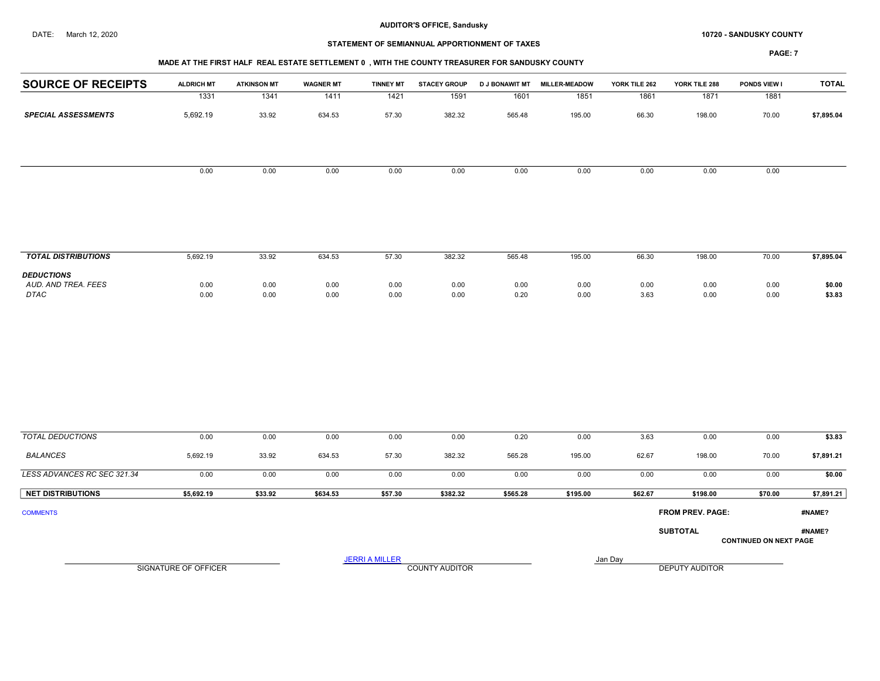#### DATE: March 12, 2020 **SANDUSKY COUNTY 10720 - SANDUSKY COUNTY**

# STATEMENT OF SEMIANNUAL APPORTIONMENT OF TAXES

#### MADE AT THE FIRST HALF REAL ESTATE SETTLEMENT 0 , WITH THE COUNTY TREASURER FOR SANDUSKY COUNTY

| <b>SOURCE OF RECEIPTS</b>   | <b>ALDRICH MT</b>           | <b>ATKINSON MT</b> | <b>WAGNER MT</b> | <b>TINNEY MT</b>      | <b>STACEY GROUP</b> |              | D J BONAWIT MT MILLER-MEADOW | YORK TILE 262 | YORK TILE 288           | PONDS VIEW I                  | <b>TOTAL</b>     |
|-----------------------------|-----------------------------|--------------------|------------------|-----------------------|---------------------|--------------|------------------------------|---------------|-------------------------|-------------------------------|------------------|
|                             | 1331                        | 1341               | 1411             | $\frac{1421}{2}$      | 1591                | 1601         | 1851                         | 1861          | 1871                    | 1881                          |                  |
| <b>SPECIAL ASSESSMENTS</b>  | 5,692.19                    | 33.92              | 634.53           | 57.30                 | 382.32              | 565.48       | 195.00                       | 66.30         | 198.00                  | 70.00                         | \$7,895.04       |
|                             |                             |                    |                  |                       |                     |              |                              |               |                         |                               |                  |
|                             | 0.00                        | 0.00               | 0.00             | 0.00                  | 0.00                | 0.00         | 0.00                         | 0.00          | 0.00                    | 0.00                          |                  |
| <b>TOTAL DISTRIBUTIONS</b>  | 5,692.19                    | 33.92              | 634.53           | 57.30                 | 382.32              | 565.48       | 195.00                       | 66.30         | 198.00                  | 70.00                         | \$7,895.04       |
| <b>DEDUCTIONS</b>           |                             |                    |                  |                       |                     |              |                              |               |                         |                               |                  |
| AUD. AND TREA. FEES<br>DTAC | 0.00<br>0.00                | 0.00<br>0.00       | 0.00<br>0.00     | 0.00<br>0.00          | 0.00<br>0.00        | 0.00<br>0.20 | 0.00<br>0.00                 | 0.00<br>3.63  | 0.00<br>0.00            | 0.00<br>0.00                  | \$0.00<br>\$3.83 |
|                             |                             |                    |                  |                       |                     |              |                              |               |                         |                               |                  |
| <b>TOTAL DEDUCTIONS</b>     | 0.00                        | 0.00               | 0.00             | 0.00                  | 0.00                | 0.20         | 0.00                         | 3.63          | 0.00                    | 0.00                          | \$3.83           |
| <b>BALANCES</b>             | 5,692.19                    | 33.92              | 634.53           | 57.30                 | 382.32              | 565.28       | 195.00                       | 62.67         | 198.00                  | 70.00                         | \$7,891.21       |
| LESS ADVANCES RC SEC 321.34 | 0.00                        | 0.00               | 0.00             | 0.00                  | 0.00                | 0.00         | 0.00                         | 0.00          | 0.00                    | 0.00                          | \$0.00           |
| <b>NET DISTRIBUTIONS</b>    | \$5,692.19                  | \$33.92            | \$634.53         | \$57.30               | \$382.32            | \$565.28     | \$195.00                     | \$62.67       | \$198.00                | \$70.00                       | \$7,891.21       |
| <b>COMMENTS</b>             |                             |                    |                  |                       |                     |              |                              |               | <b>FROM PREV. PAGE:</b> |                               | #NAME?           |
|                             |                             |                    |                  |                       |                     |              |                              |               | <b>SUBTOTAL</b>         | <b>CONTINUED ON NEXT PAGE</b> | #NAME?           |
|                             | <b>SIGNATURE OF OFFICER</b> |                    |                  | <b>JERRI A MILLER</b> | COUNTY AUDITOR      |              |                              | Jan Day       | <b>DEPUTY AUDITOR</b>   |                               |                  |
|                             |                             |                    |                  |                       |                     |              |                              |               |                         |                               |                  |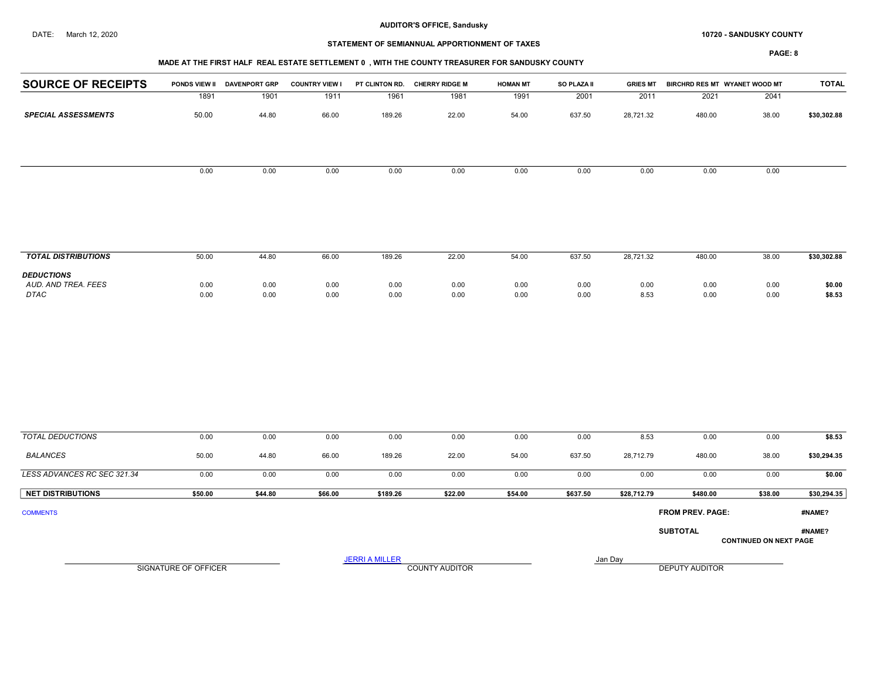#### DATE: March 12, 2020 **SANDUSKY COUNTY 10720 - SANDUSKY COUNTY**

# STATEMENT OF SEMIANNUAL APPORTIONMENT OF TAXES

| <b>SOURCE OF RECEIPTS</b>                        | PONDS VIEW II        | <b>DAVENPORT GRP</b> | <b>COUNTRY VIEW I</b> |                       | PT CLINTON RD. CHERRY RIDGE M | <b>HOMAN MT</b> | SO PLAZA II  | <b>GRIES MT</b> | BIRCHRD RES MT WYANET WOOD MT |                               | <b>TOTAL</b>     |
|--------------------------------------------------|----------------------|----------------------|-----------------------|-----------------------|-------------------------------|-----------------|--------------|-----------------|-------------------------------|-------------------------------|------------------|
|                                                  | 1891                 | 1901                 | 1911                  | 1961                  | 1981                          | 1991            | 2001         | 2011            | 2021                          | 2041                          |                  |
| <b>SPECIAL ASSESSMENTS</b>                       | 50.00                | 44.80                | 66.00                 | 189.26                | 22.00                         | 54.00           | 637.50       | 28,721.32       | 480.00                        | 38.00                         | \$30,302.88      |
|                                                  | 0.00                 | 0.00                 | 0.00                  | $0.00\,$              | 0.00                          | 0.00            | 0.00         | 0.00            | 0.00                          | 0.00                          |                  |
| <b>TOTAL DISTRIBUTIONS</b>                       | 50.00                | 44.80                | 66.00                 | 189.26                | 22.00                         | 54.00           | 637.50       | 28,721.32       | 480.00                        | 38.00                         | \$30,302.88      |
| <b>DEDUCTIONS</b><br>AUD. AND TREA. FEES<br>DTAC | 0.00<br>0.00         | 0.00<br>0.00         | 0.00<br>0.00          | 0.00<br>0.00          | 0.00<br>0.00                  | 0.00<br>0.00    | 0.00<br>0.00 | 0.00<br>8.53    | 0.00<br>0.00                  | 0.00<br>0.00                  | \$0.00<br>\$8.53 |
|                                                  |                      |                      |                       |                       |                               |                 |              |                 |                               |                               |                  |
| <b>TOTAL DEDUCTIONS</b>                          | 0.00                 | 0.00                 | 0.00                  | 0.00                  | 0.00                          | 0.00            | 0.00         | 8.53            | 0.00                          | 0.00                          | \$8.53           |
| <b>BALANCES</b>                                  | 50.00                | 44.80                | 66.00                 | 189.26                | 22.00                         | 54.00           | 637.50       | 28,712.79       | 480.00                        | 38.00                         | \$30,294.35      |
| LESS ADVANCES RC SEC 321.34                      | 0.00                 | 0.00                 | 0.00                  | 0.00                  | 0.00                          | 0.00            | 0.00         | 0.00            | 0.00                          | 0.00                          | \$0.00           |
| <b>NET DISTRIBUTIONS</b>                         | \$50.00              | \$44.80              | \$66.00               | \$189.26              | \$22.00                       | \$54.00         | \$637.50     | \$28,712.79     | \$480.00                      | \$38.00                       | \$30,294.35      |
| <b>COMMENTS</b>                                  |                      |                      |                       |                       |                               |                 |              |                 | FROM PREV. PAGE:              |                               | #NAME?           |
|                                                  |                      |                      |                       |                       |                               |                 |              |                 | <b>SUBTOTAL</b>               | <b>CONTINUED ON NEXT PAGE</b> | #NAME?           |
|                                                  | SIGNATURE OF OFFICER |                      |                       | <b>JERRI A MILLER</b> | <b>COUNTY AUDITOR</b>         |                 |              | Jan Day         | <b>DEPUTY AUDITOR</b>         |                               |                  |
|                                                  |                      |                      |                       |                       |                               |                 |              |                 |                               |                               |                  |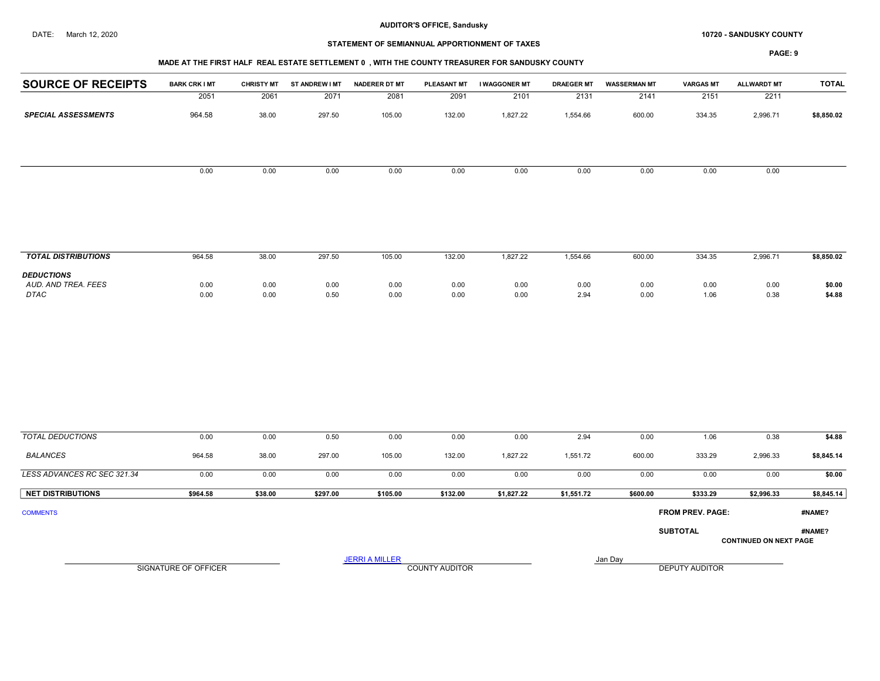#### DATE: March 12, 2020 **SANDUSKY COUNTY 10720 - SANDUSKY COUNTY**

## STATEMENT OF SEMIANNUAL APPORTIONMENT OF TAXES

## MADE AT THE FIRST HALF REAL ESTATE SETTLEMENT 0 , WITH THE COUNTY TREASURER FOR SANDUSKY COUNTY

| <b>SOURCE OF RECEIPTS</b>                               | <b>BARK CRK I MT</b> | <b>CHRISTY MT</b> | ST ANDREW I MT | <b>NADERER DT MT</b>  | PLEASANT MT           | I WAGGONER MT    | <b>DRAEGER MT</b> | <b>WASSERMAN MT</b> | <b>VARGAS MT</b>        | <b>ALLWARDT MT</b>            | <b>TOTAL</b>         |
|---------------------------------------------------------|----------------------|-------------------|----------------|-----------------------|-----------------------|------------------|-------------------|---------------------|-------------------------|-------------------------------|----------------------|
|                                                         | 2051                 | 2061              | 2071           | 2081                  | 2091                  | 2101             | 2131              | 2141                | 2151                    | 2211                          |                      |
| <b>SPECIAL ASSESSMENTS</b>                              | 964.58               | 38.00             | 297.50         | 105.00                | 132.00                | 1,827.22         | 1,554.66          | 600.00              | 334.35                  | 2,996.71                      | \$8,850.02           |
|                                                         |                      |                   |                |                       |                       |                  |                   |                     |                         |                               |                      |
|                                                         | 0.00                 | 0.00              | $0.00\,$       | 0.00                  | 0.00                  | 0.00             | 0.00              | 0.00                | 0.00                    | 0.00                          |                      |
|                                                         |                      |                   |                |                       |                       |                  |                   |                     |                         |                               |                      |
| <b>TOTAL DISTRIBUTIONS</b>                              | 964.58               | 38.00             | 297.50         | 105.00                | 132.00                | 1,827.22         | 1,554.66          | 600.00              | 334.35                  | 2,996.71                      | \$8,850.02           |
| <b>DEDUCTIONS</b><br>AUD. AND TREA. FEES<br><b>DTAC</b> | 0.00<br>0.00         | 0.00<br>0.00      | 0.00<br>0.50   | 0.00<br>0.00          | 0.00<br>0.00          | 0.00<br>0.00     | 0.00<br>2.94      | 0.00<br>0.00        | 0.00<br>1.06            | 0.00<br>0.38                  | \$0.00<br>\$4.88     |
|                                                         |                      |                   |                |                       |                       |                  |                   |                     |                         |                               |                      |
| <b>TOTAL DEDUCTIONS</b><br><b>BALANCES</b>              | 0.00<br>964.58       | 0.00<br>38.00     | 0.50<br>297.00 | 0.00<br>105.00        | 0.00<br>132.00        | 0.00<br>1,827.22 | 2.94<br>1,551.72  | 0.00<br>600.00      | 1.06<br>333.29          | 0.38<br>2,996.33              | \$4.88<br>\$8,845.14 |
| LESS ADVANCES RC SEC 321.34                             | 0.00                 | 0.00              | 0.00           | 0.00                  | 0.00                  | 0.00             | 0.00              | 0.00                | 0.00                    | 0.00                          | \$0.00               |
| <b>NET DISTRIBUTIONS</b>                                | \$964.58             | \$38.00           | \$297.00       | \$105.00              | \$132.00              | \$1,827.22       | \$1,551.72        | \$600.00            | \$333.29                | \$2,996.33                    | \$8,845.14           |
| <b>COMMENTS</b>                                         |                      |                   |                |                       |                       |                  |                   |                     | <b>FROM PREV. PAGE:</b> |                               | #NAME?               |
|                                                         |                      |                   |                |                       |                       |                  |                   |                     | <b>SUBTOTAL</b>         | <b>CONTINUED ON NEXT PAGE</b> | #NAME?               |
|                                                         |                      |                   |                | <b>JERRI A MILLER</b> |                       |                  |                   | Jan Day             |                         |                               |                      |
|                                                         | SIGNATURE OF OFFICER |                   |                |                       | <b>COUNTY AUDITOR</b> |                  |                   |                     | DEPUTY AUDITOR          |                               |                      |
|                                                         |                      |                   |                |                       |                       |                  |                   |                     |                         |                               |                      |
|                                                         |                      |                   |                |                       |                       |                  |                   |                     |                         |                               |                      |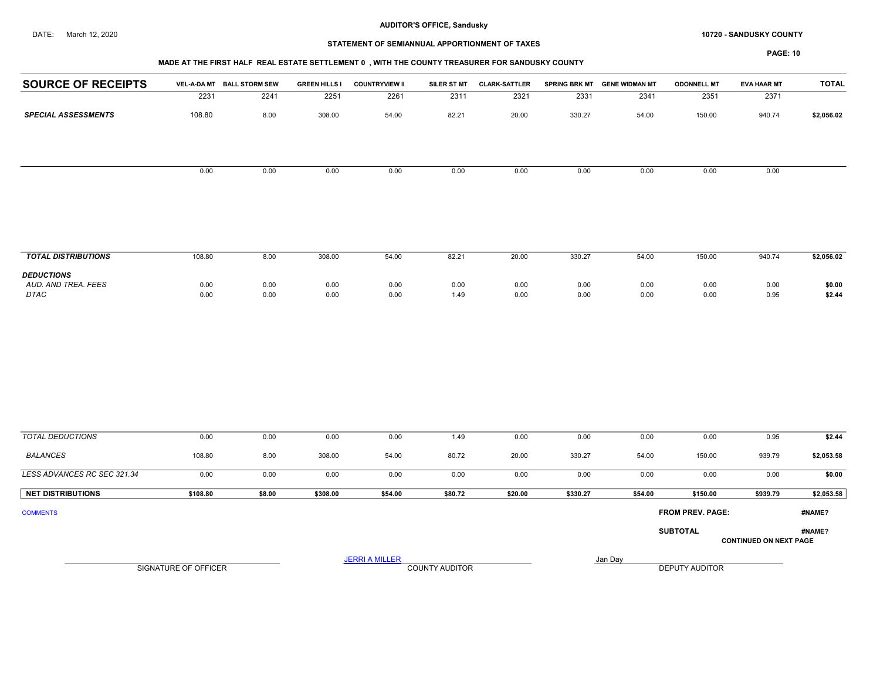#### DATE: March 12, 2020 **SANDUSKY COUNTY 10720 - SANDUSKY COUNTY**

# STATEMENT OF SEMIANNUAL APPORTIONMENT OF TAXES

## MADE AT THE FIRST HALF REAL ESTATE SETTLEMENT 0 , WITH THE COUNTY TREASURER FOR SANDUSKY COUNTY

| <b>SOURCE OF RECEIPTS</b>   |                             | VEL-A-DA MT BALL STORM SEW | <b>GREEN HILLS I</b> | <b>COUNTRYVIEW II</b> |                       | SILER ST MT CLARK-SATTLER |              | SPRING BRK MT GENE WIDMAN MT | <b>ODONNELL MT</b>      | <b>EVA HAAR MT</b>            | <b>TOTAL</b>     |
|-----------------------------|-----------------------------|----------------------------|----------------------|-----------------------|-----------------------|---------------------------|--------------|------------------------------|-------------------------|-------------------------------|------------------|
|                             | 2231                        | 2241                       | 2251                 | 2261                  | 2311                  | 2321                      | 2331         | 2341                         | 2351                    | 2371                          |                  |
| <b>SPECIAL ASSESSMENTS</b>  | 108.80                      | 8.00                       | 308.00               | 54.00                 | 82.21                 | 20.00                     | 330.27       | 54.00                        | 150.00                  | 940.74                        | \$2,056.02       |
|                             |                             |                            |                      |                       |                       |                           |              |                              |                         |                               |                  |
|                             | 0.00                        | 0.00                       | 0.00                 | 0.00                  | 0.00                  | 0.00                      | 0.00         | 0.00                         | 0.00                    | 0.00                          |                  |
| <b>TOTAL DISTRIBUTIONS</b>  | 108.80                      | 8.00                       | 308.00               | 54.00                 | 82.21                 | 20.00                     | 330.27       | 54.00                        | 150.00                  | 940.74                        | \$2,056.02       |
| <b>DEDUCTIONS</b>           |                             |                            |                      |                       |                       |                           |              |                              |                         |                               |                  |
| AUD. AND TREA. FEES<br>DTAC | 0.00<br>0.00                | 0.00<br>0.00               | 0.00<br>0.00         | 0.00<br>0.00          | 0.00<br>1.49          | 0.00<br>0.00              | 0.00<br>0.00 | 0.00<br>0.00                 | 0.00<br>0.00            | 0.00<br>0.95                  | \$0.00<br>\$2.44 |
|                             |                             |                            |                      |                       |                       |                           |              |                              |                         |                               |                  |
| <b>TOTAL DEDUCTIONS</b>     | 0.00                        | 0.00                       | 0.00                 | 0.00                  | 1.49                  | 0.00                      | 0.00         | 0.00                         | 0.00                    | 0.95                          | \$2.44           |
| <b>BALANCES</b>             | 108.80                      | 8.00                       | 308.00               | 54.00                 | 80.72                 | 20.00                     | 330.27       | 54.00                        | 150.00                  | 939.79                        | \$2,053.58       |
| LESS ADVANCES RC SEC 321.34 | 0.00                        | 0.00                       | 0.00                 | 0.00                  | 0.00                  | 0.00                      | 0.00         | 0.00                         | 0.00                    | 0.00                          | \$0.00           |
| <b>NET DISTRIBUTIONS</b>    | \$108.80                    | \$8.00                     | \$308.00             | \$54.00               | \$80.72               | \$20.00                   | \$330.27     | \$54.00                      | \$150.00                | \$939.79                      | \$2,053.58       |
| <b>COMMENTS</b>             |                             |                            |                      |                       |                       |                           |              |                              | <b>FROM PREV. PAGE:</b> |                               | #NAME?           |
|                             |                             |                            |                      |                       |                       |                           |              |                              | <b>SUBTOTAL</b>         | <b>CONTINUED ON NEXT PAGE</b> | #NAME?           |
|                             | <b>SIGNATURE OF OFFICER</b> |                            |                      | <b>JERRI A MILLER</b> | <b>COUNTY AUDITOR</b> |                           |              | Jan Day                      | <b>DEPUTY AUDITOR</b>   |                               |                  |
|                             |                             |                            |                      |                       |                       |                           |              |                              |                         |                               |                  |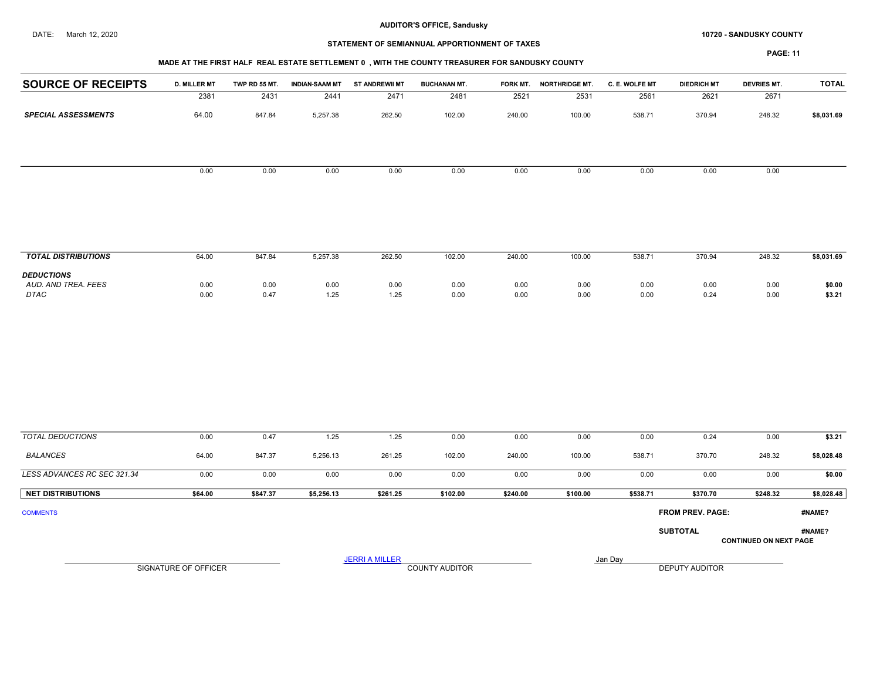#### DATE: March 12, 2020 **SANDUSKY COUNTY 10720 - SANDUSKY COUNTY**

# STATEMENT OF SEMIANNUAL APPORTIONMENT OF TAXES

PAGE: 11

| <b>D. MILLER MT</b> | TWP RD 55 MT.                                       |                | <b>ST ANDREWII MT</b> | <b>BUCHANAN MT.</b>                                                    |                |                                    | C. E. WOLFE MT                                                                                                                                        | <b>DIEDRICH MT</b>       | <b>DEVRIES MT.</b>       | <b>TOTAL</b>                |
|---------------------|-----------------------------------------------------|----------------|-----------------------|------------------------------------------------------------------------|----------------|------------------------------------|-------------------------------------------------------------------------------------------------------------------------------------------------------|--------------------------|--------------------------|-----------------------------|
| 2381                | 2431                                                | 2441           | 2471                  | 2481                                                                   | 2521           | 2531                               | 2561                                                                                                                                                  | 2621                     | 2671                     |                             |
| 64.00               | 847.84                                              | 5,257.38       | 262.50                | 102.00                                                                 | 240.00         | 100.00                             | 538.71                                                                                                                                                | 370.94                   | 248.32                   | \$8,031.69                  |
| 0.00                | 0.00                                                | 0.00           | 0.00                  | 0.00                                                                   | 0.00           | 0.00                               | 0.00                                                                                                                                                  | 0.00                     | 0.00                     |                             |
|                     |                                                     |                |                       |                                                                        |                |                                    |                                                                                                                                                       |                          |                          |                             |
|                     |                                                     |                |                       |                                                                        |                |                                    |                                                                                                                                                       |                          |                          | \$8,031.69                  |
|                     |                                                     |                |                       |                                                                        |                |                                    |                                                                                                                                                       |                          |                          | \$0.00                      |
| 0.00                | 0.47                                                | 1.25           | 1.25                  | 0.00                                                                   | 0.00           | 0.00                               | 0.00                                                                                                                                                  | 0.24                     | 0.00                     | \$3.21                      |
|                     |                                                     |                |                       |                                                                        |                |                                    |                                                                                                                                                       |                          |                          |                             |
| 0.00                | 0.47                                                | 1.25           | 1.25                  | 0.00                                                                   | 0.00           | 0.00                               | 0.00                                                                                                                                                  | 0.24                     | 0.00                     | \$3.21<br><b>\$8.028.48</b> |
|                     | <b>SOURCE OF RECEIPTS</b><br>64.00<br>0.00<br>64.00 | 847.84<br>0.00 | 5,257.38<br>0.00      | <b>INDIAN-SAAM MT</b><br>262.50<br>0.00<br>84737<br>5 256 13<br>261.25 | 102.00<br>0.00 | 240.00<br>0.00<br>102.00<br>240.00 | MADE AT THE FIRST HALF REAL ESTATE SETTLEMENT 0, WITH THE COUNTY TREASURER FOR SANDUSKY COUNTY<br>FORK MT. NORTHRIDGE MT.<br>100.00<br>0.00<br>100.00 | 538.71<br>0.00<br>538 71 | 370.94<br>0.00<br>370.70 | 248.32<br>0.00<br>24832     |

| <b>BALANCES</b>             | 64.00   | 847.37   | 5,256.13   | 261.25   | 102.00   | 240.00   | 100.00   | 538.71   | 370.70                  | 248.32   | \$8,028.48 |
|-----------------------------|---------|----------|------------|----------|----------|----------|----------|----------|-------------------------|----------|------------|
| LESS ADVANCES RC SEC 321.34 | 0.00    | 0.00     | 0.00       | 0.00     | 0.00     | 0.00     | 0.00     | 0.00     | 0.00                    | 0.00     | \$0.00     |
| <b>NET DISTRIBUTIONS</b>    | \$64.00 | \$847.37 | \$5,256.13 | \$261.25 | \$102.00 | \$240.00 | \$100.00 | \$538.71 | \$370.70                | \$248.32 | \$8,028.48 |
| <b>COMMENTS</b>             |         |          |            |          |          |          |          |          | <b>FROM PREV. PAGE:</b> |          | #NAME?     |
|                             |         |          |            |          |          |          |          |          | <b>SUBTOTAL</b>         |          | #NAME?     |

CONTINUED ON NEXT PAGE

JERRI A MILLER COUNTY AUDITOR **Finally county and Day** 

SIGNATURE OF OFFICER **EXECUTE A RELATION COUNTY AUDITOR** COUNTY AUDITOR **DEPUTY AUDITOR**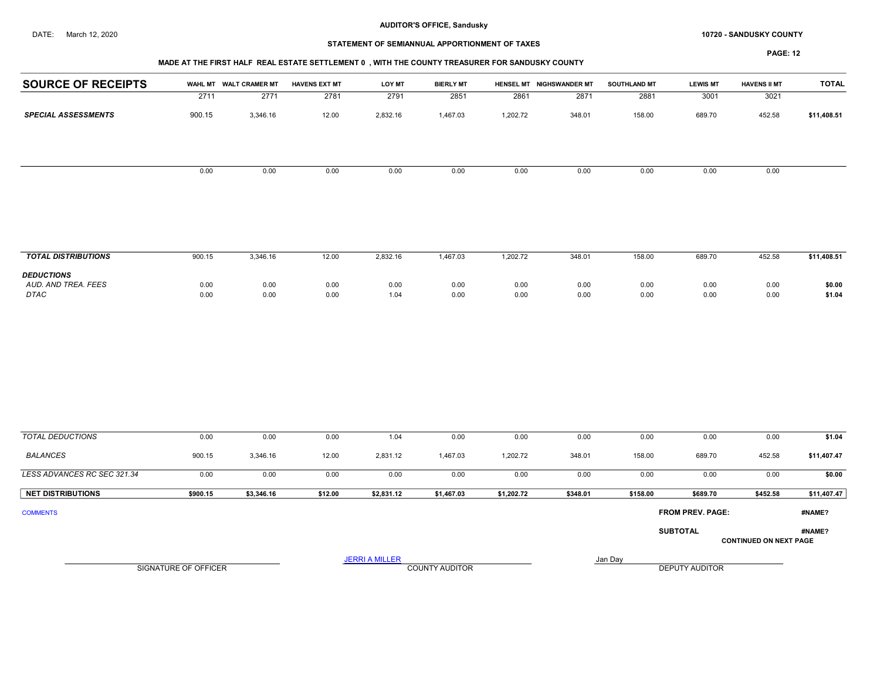#### DATE: March 12, 2020 **SANDUSKY COUNTY 10720 - SANDUSKY COUNTY**

# STATEMENT OF SEMIANNUAL APPORTIONMENT OF TAXES

# MADE AT THE FIRST HALF REAL ESTATE SETTLEMENT 0 , WITH THE COUNTY TREASURER FOR SANDUSKY COUNTY

| <b>SOURCE OF RECEIPTS</b>          |                      | WAHL MT WALT CRAMER MT | <b>HAVENS EXT MT</b> | <b>LOY MT</b>         | <b>BIERLY MT</b>      |              | HENSEL MT NIGHSWANDER MT | <b>SOUTHLAND MT</b> | <b>LEWIS MT</b>         | <b>HAVENS II MT</b>           | <b>TOTAL</b>     |
|------------------------------------|----------------------|------------------------|----------------------|-----------------------|-----------------------|--------------|--------------------------|---------------------|-------------------------|-------------------------------|------------------|
|                                    | 2711                 | 2771                   | 2781                 | 2791                  | 2851                  | 2861         | 2871                     | 2881                | 3001                    | 3021                          |                  |
| <b>SPECIAL ASSESSMENTS</b>         | 900.15               | 3,346.16               | 12.00                | 2,832.16              | 1,467.03              | 1,202.72     | 348.01                   | 158.00              | 689.70                  | 452.58                        | \$11,408.51      |
|                                    | 0.00                 | 0.00                   | 0.00                 | 0.00                  | 0.00                  | 0.00         | 0.00                     | 0.00                | 0.00                    | 0.00                          |                  |
|                                    |                      |                        |                      |                       |                       |              |                          |                     |                         |                               |                  |
| <b>TOTAL DISTRIBUTIONS</b>         | 900.15               | 3,346.16               | 12.00                | 2,832.16              | 1,467.03              | 1,202.72     | 348.01                   | 158.00              | 689.70                  | 452.58                        | \$11,408.51      |
| <b>DEDUCTIONS</b>                  |                      |                        |                      |                       |                       |              |                          |                     |                         |                               |                  |
| AUD. AND TREA. FEES<br><b>DTAC</b> | 0.00<br>0.00         | 0.00<br>0.00           | 0.00<br>0.00         | 0.00<br>1.04          | 0.00<br>0.00          | 0.00<br>0.00 | 0.00<br>0.00             | 0.00<br>0.00        | 0.00<br>0.00            | 0.00<br>0.00                  | \$0.00<br>\$1.04 |
|                                    |                      |                        |                      |                       |                       |              |                          |                     |                         |                               |                  |
| <b>TOTAL DEDUCTIONS</b>            | 0.00                 | 0.00                   | 0.00                 | 1.04                  | 0.00                  | 0.00         | 0.00                     | 0.00                | 0.00                    | 0.00                          | \$1.04           |
| <b>BALANCES</b>                    | 900.15               | 3,346.16               | 12.00                | 2,831.12              | 1,467.03              | 1,202.72     | 348.01                   | 158.00              | 689.70                  | 452.58                        | \$11,407.47      |
| LESS ADVANCES RC SEC 321.34        | 0.00                 | 0.00                   | 0.00                 | 0.00                  | 0.00                  | 0.00         | 0.00                     | 0.00                | 0.00                    | 0.00                          | \$0.00           |
| <b>NET DISTRIBUTIONS</b>           | \$900.15             | \$3,346.16             | \$12.00              | \$2,831.12            | \$1,467.03            | \$1,202.72   | \$348.01                 | \$158.00            | \$689.70                | \$452.58                      | \$11,407.47      |
| <b>COMMENTS</b>                    |                      |                        |                      |                       |                       |              |                          |                     | <b>FROM PREV. PAGE:</b> |                               | #NAME?           |
|                                    |                      |                        |                      |                       |                       |              |                          |                     | <b>SUBTOTAL</b>         | <b>CONTINUED ON NEXT PAGE</b> | #NAME?           |
|                                    |                      |                        |                      | <b>JERRI A MILLER</b> |                       |              |                          | Jan Day             |                         |                               |                  |
|                                    | SIGNATURE OF OFFICER |                        |                      |                       | <b>COUNTY AUDITOR</b> |              |                          |                     | <b>DEPUTY AUDITOR</b>   |                               |                  |
|                                    |                      |                        |                      |                       |                       |              |                          |                     |                         |                               |                  |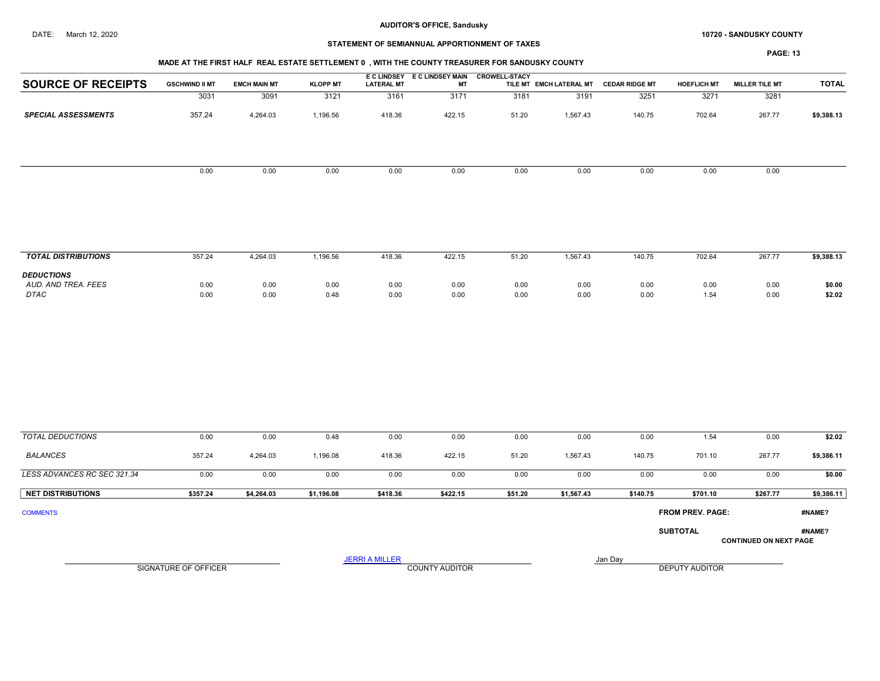#### DATE: March 12, 2020 **SANDUSKY COUNTY 10720 - SANDUSKY COUNTY**

## STATEMENT OF SEMIANNUAL APPORTIONMENT OF TAXES

PAGE: 13

|                            |                       |                     |                 |                   | E C LINDSEY E C LINDSEY MAIN | <b>CROWELL-STACY</b> |                         |                       |                    |                       |              |
|----------------------------|-----------------------|---------------------|-----------------|-------------------|------------------------------|----------------------|-------------------------|-----------------------|--------------------|-----------------------|--------------|
| <b>SOURCE OF RECEIPTS</b>  | <b>GSCHWIND II MT</b> | <b>EMCH MAIN MT</b> | <b>KLOPP MT</b> | <b>LATERAL MT</b> | МT                           |                      | TILE MT EMCH LATERAL MT | <b>CEDAR RIDGE MT</b> | <b>HOEFLICH MT</b> | <b>MILLER TILE MT</b> | <b>TOTAL</b> |
|                            | 3031                  | 3091                | 3121            | 3161              | 3171                         | 3181                 | 3191                    | 3251                  | 3271               | 3281                  |              |
| <b>SPECIAL ASSESSMENTS</b> | 357.24                | 4,264.03            | 1,196.56        | 418.36            | 422.15                       | 51.20                | 1,567.43                | 140.75                | 702.64             | 267.77                | \$9,388.13   |
|                            |                       |                     |                 |                   |                              |                      |                         |                       |                    |                       |              |
|                            |                       |                     |                 |                   |                              |                      |                         |                       |                    |                       |              |
|                            | 0.00                  | 0.00                | 0.00            | 0.00              | 0.00                         | 0.00                 | 0.00                    | 0.00                  | 0.00               | 0.00                  |              |
|                            |                       |                     |                 |                   |                              |                      |                         |                       |                    |                       |              |
|                            |                       |                     |                 |                   |                              |                      |                         |                       |                    |                       |              |
|                            |                       |                     |                 |                   |                              |                      |                         |                       |                    |                       |              |
|                            |                       |                     |                 |                   |                              |                      |                         |                       |                    |                       |              |
| <b>TOTAL DISTRIBUTIONS</b> | 357.24                | 4,264.03            | 1,196.56        | 418.36            | 422.15                       | 51.20                | 1,567.43                | 140.75                | 702.64             | 267.77                | \$9,388.13   |

|                     | ----- | .<br>$\mathbf{r}$ | .    | .    | .    | - - - - - | .    | .    | .    | ------ | .      |
|---------------------|-------|-------------------|------|------|------|-----------|------|------|------|--------|--------|
| <b>DEDUCTIONS</b>   |       |                   |      |      |      |           |      |      |      |        |        |
| AUD. AND TREA. FEES | 0.00  | 0.00              | 0.00 | 0.00 | 0.00 | 0.00      | 0.00 | 0.00 | 0.00 | 0.00   | \$0.00 |
| <b>DTAC</b>         | 0.00  | 0.00              | 0.48 | 0.00 | 0.00 | 0.00      | 0.00 | 0.00 | 1.54 | 0.00   | \$2.02 |
|                     |       |                   |      |      |      |           |      |      |      |        |        |

| <b>TOTAL DEDUCTIONS</b>     | 0.00                 | 0.00       | 0.48       | 0.00                  | 0.00                  | 0.00    | 0.00       | 0.00     | 1.54                    | 0.00                          | \$2.02     |
|-----------------------------|----------------------|------------|------------|-----------------------|-----------------------|---------|------------|----------|-------------------------|-------------------------------|------------|
| <b>BALANCES</b>             | 357.24               | 4,264.03   | 1,196.08   | 418.36                | 422.15                | 51.20   | 1,567.43   | 140.75   | 701.10                  | 267.77                        | \$9,386.11 |
| LESS ADVANCES RC SEC 321.34 | 0.00                 | 0.00       | 0.00       | 0.00                  | 0.00                  | 0.00    | 0.00       | 0.00     | 0.00                    | 0.00                          | \$0.00     |
| <b>NET DISTRIBUTIONS</b>    | \$357.24             | \$4,264.03 | \$1,196.08 | \$418.36              | \$422.15              | \$51.20 | \$1,567.43 | \$140.75 | \$701.10                | \$267.77                      | \$9,386.11 |
| <b>COMMENTS</b>             |                      |            |            |                       |                       |         |            |          | <b>FROM PREV. PAGE:</b> |                               | #NAME?     |
|                             |                      |            |            |                       |                       |         |            |          | <b>SUBTOTAL</b>         | <b>CONTINUED ON NEXT PAGE</b> | #NAME?     |
|                             | SIGNATURE OF OFFICER |            |            | <b>JERRI A MILLER</b> | <b>COUNTY AUDITOR</b> |         | Jan Day    |          | <b>DEPUTY AUDITOR</b>   |                               |            |

SIGNATURE OF OFFICER **EXECUTE A RELATION COUNTY AUDITOR** COUNTY AUDITOR **DEPUTY AUDITOR**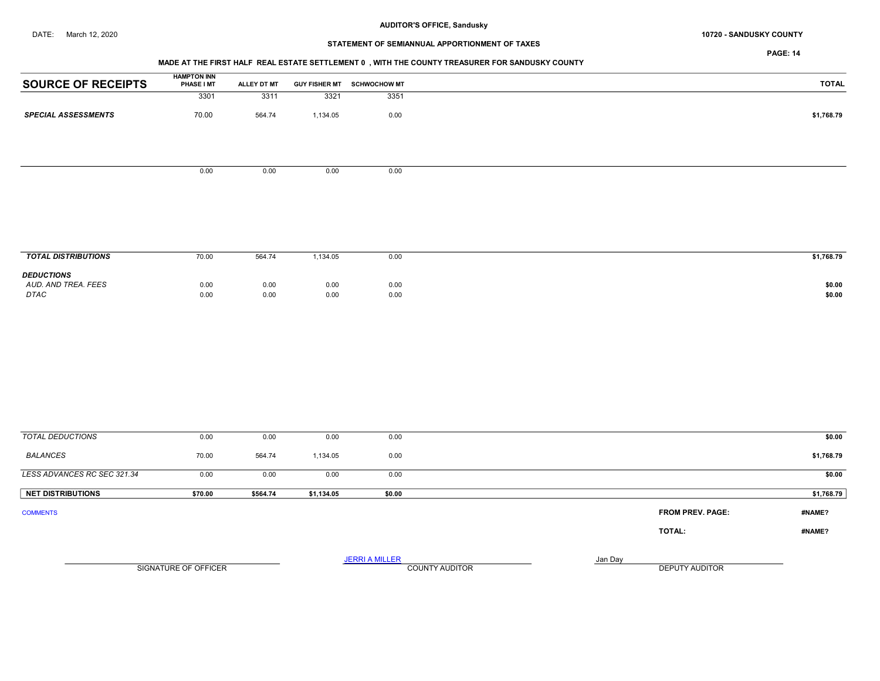# STATEMENT OF SEMIANNUAL APPORTIONMENT OF TAXES

PAGE: 14

## MADE AT THE FIRST HALF REAL ESTATE SETTLEMENT 0 , WITH THE COUNTY TREASURER FOR SANDUSKY COUNTY

| <b>SOURCE OF RECEIPTS</b>                | <b>HAMPTON INN</b><br>PHASE I MT | ALLEY DT MT |            | GUY FISHER MT SCHWOCHOW MT |                                                           | <b>TOTAL</b> |
|------------------------------------------|----------------------------------|-------------|------------|----------------------------|-----------------------------------------------------------|--------------|
|                                          | 3301                             | 3311        | 3321       | 3351                       |                                                           |              |
| <b>SPECIAL ASSESSMENTS</b>               | 70.00                            | 564.74      | 1,134.05   | 0.00                       |                                                           | \$1,768.79   |
|                                          |                                  |             |            |                            |                                                           |              |
|                                          |                                  |             |            |                            |                                                           |              |
|                                          | 0.00                             | 0.00        | 0.00       | 0.00                       |                                                           |              |
|                                          |                                  |             |            |                            |                                                           |              |
|                                          |                                  |             |            |                            |                                                           |              |
|                                          |                                  |             |            |                            |                                                           |              |
|                                          |                                  |             |            |                            |                                                           |              |
| <b>TOTAL DISTRIBUTIONS</b>               |                                  |             |            |                            |                                                           |              |
|                                          | 70.00                            | 564.74      | 1,134.05   | 0.00                       |                                                           | \$1,768.79   |
| <b>DEDUCTIONS</b><br>AUD. AND TREA. FEES | 0.00                             | 0.00        | 0.00       | 0.00                       |                                                           | \$0.00       |
| DTAC                                     | 0.00                             | 0.00        | 0.00       | 0.00                       |                                                           | \$0.00       |
|                                          |                                  |             |            |                            |                                                           |              |
|                                          |                                  |             |            |                            |                                                           |              |
|                                          |                                  |             |            |                            |                                                           |              |
|                                          |                                  |             |            |                            |                                                           |              |
|                                          |                                  |             |            |                            |                                                           |              |
|                                          |                                  |             |            |                            |                                                           |              |
|                                          |                                  |             |            |                            |                                                           |              |
| <b>TOTAL DEDUCTIONS</b>                  | 0.00                             | 0.00        | 0.00       | 0.00                       |                                                           | \$0.00       |
|                                          |                                  |             |            |                            |                                                           |              |
| <b>BALANCES</b>                          | 70.00                            | 564.74      | 1,134.05   | 0.00                       |                                                           | \$1,768.79   |
| LESS ADVANCES RC SEC 321.34              | 0.00                             | 0.00        | 0.00       | 0.00                       |                                                           | \$0.00       |
| <b>NET DISTRIBUTIONS</b>                 | \$70.00                          | \$564.74    | \$1,134.05 | \$0.00                     |                                                           | \$1,768.79   |
| <b>COMMENTS</b>                          |                                  |             |            |                            | <b>FROM PREV. PAGE:</b>                                   | #NAME?       |
|                                          |                                  |             |            |                            | TOTAL:                                                    | #NAME?       |
|                                          |                                  |             |            |                            |                                                           |              |
|                                          | SIGNATURE OF OFFICER             |             |            | <b>JERRI A MILLER</b>      | Jan Day<br><b>COUNTY AUDITOR</b><br><b>DEPUTY AUDITOR</b> |              |
|                                          |                                  |             |            |                            |                                                           |              |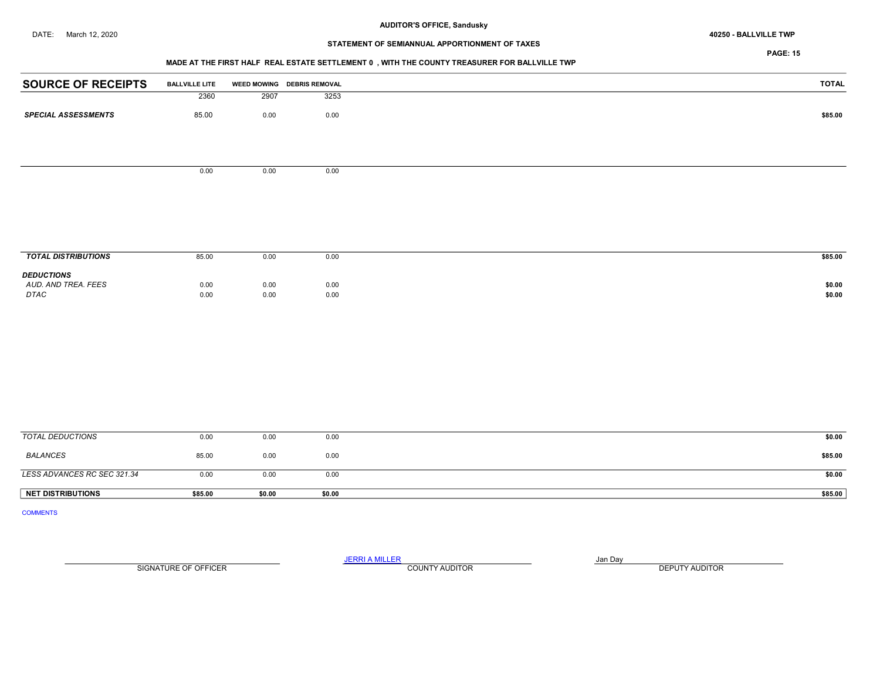# STATEMENT OF SEMIANNUAL APPORTIONMENT OF TAXES

PAGE: 15

## MADE AT THE FIRST HALF REAL ESTATE SETTLEMENT 0 , WITH THE COUNTY TREASURER FOR BALLVILLE TWP

| <b>SOURCE OF RECEIPTS</b>   | <b>BALLVILLE LITE</b> |              | WEED MOWING DEBRIS REMOVAL | <b>TOTAL</b>     |
|-----------------------------|-----------------------|--------------|----------------------------|------------------|
|                             | 2360                  | 2907         | 3253                       |                  |
| <b>SPECIAL ASSESSMENTS</b>  | 85.00                 | 0.00         | 0.00                       | \$85.00          |
|                             |                       |              |                            |                  |
|                             |                       |              |                            |                  |
|                             |                       |              |                            |                  |
|                             | 0.00                  | 0.00         | 0.00                       |                  |
|                             |                       |              |                            |                  |
|                             |                       |              |                            |                  |
|                             |                       |              |                            |                  |
|                             |                       |              |                            |                  |
|                             |                       |              |                            |                  |
| <b>TOTAL DISTRIBUTIONS</b>  | 85.00                 | 0.00         | 0.00                       | \$85.00          |
| <b>DEDUCTIONS</b>           |                       |              |                            |                  |
| AUD. AND TREA. FEES<br>DTAC | 0.00<br>0.00          | 0.00<br>0.00 | 0.00<br>0.00               | \$0.00<br>\$0.00 |
|                             |                       |              |                            |                  |
|                             |                       |              |                            |                  |
|                             |                       |              |                            |                  |
|                             |                       |              |                            |                  |
|                             |                       |              |                            |                  |
|                             |                       |              |                            |                  |
|                             |                       |              |                            |                  |
|                             |                       |              |                            |                  |

| NET DISTRIBUTIONS           | \$85.00 | \$0.00 | \$0.00 | \$85.00 |
|-----------------------------|---------|--------|--------|---------|
| LESS ADVANCES RC SEC 321.34 | 0.00    | 0.00   | 0.00   | \$0.00  |
| BALANCES                    | 85.00   | 0.00   | 0.00   | \$85.00 |
| TOTAL DEDUCTIONS            | 0.00    | 0.00   | 0.00   | \$0.00  |

COMMENTS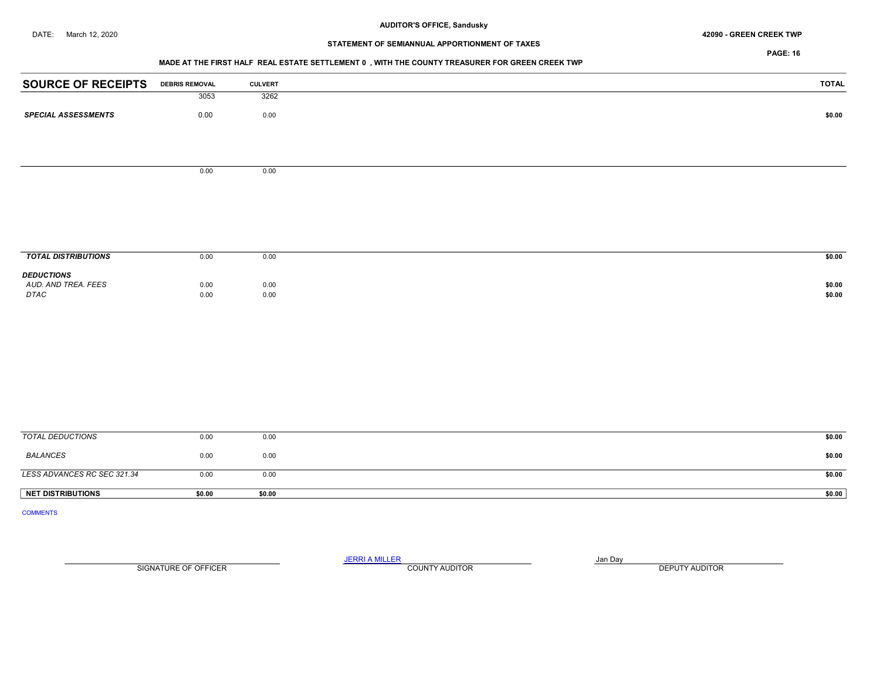#### DATE: March 12, 2020 42090 - GREEN CREEK TWP

# STATEMENT OF SEMIANNUAL APPORTIONMENT OF TAXES

PAGE: 16

#### MADE AT THE FIRST HALF REAL ESTATE SETTLEMENT 0 , WITH THE COUNTY TREASURER FOR GREEN CREEK TWP

| <b>SOURCE OF RECEIPTS</b>  | <b>DEBRIS REMOVAL</b> | <b>CULVERT</b> | <b>TOTAL</b> |
|----------------------------|-----------------------|----------------|--------------|
|                            | 3053                  | 3262           |              |
| <b>SPECIAL ASSESSMENTS</b> | 0.00                  | 0.00           | \$0.00       |
|                            |                       |                |              |
|                            |                       |                |              |
|                            |                       |                |              |
|                            |                       |                |              |
|                            | 0.00                  | 0.00           |              |
|                            |                       |                |              |
|                            |                       |                |              |
|                            |                       |                |              |
|                            |                       |                |              |
|                            |                       |                |              |
| <b>TOTAL DISTRIBUTIONS</b> | 0.00                  | 0.00           | \$0.00       |
| <b>DEDUCTIONS</b>          |                       |                |              |
| AUD. AND TREA. FEES        | 0.00                  | $0.00\,$       | \$0.00       |
| DTAC                       | 0.00                  | $0.00\,$       | \$0.00       |
|                            |                       |                |              |
|                            |                       |                |              |
|                            |                       |                |              |
|                            |                       |                |              |
|                            |                       |                |              |
|                            |                       |                |              |
|                            |                       |                |              |
|                            |                       |                |              |
|                            |                       |                |              |
| <b>TOTAL DEDUCTIONS</b>    | 0.00                  | 0.00           | \$0.00       |

| <b>NET DISTRIBUTIONS</b>    | \$0.00 | \$0.00                       | \$0.00 |
|-----------------------------|--------|------------------------------|--------|
| LESS ADVANCES RC SEC 321.34 | 0.00   | 0.00                         | \$0.00 |
| BALANCES                    | 0.00   | 0.00<br>$\sim$ $\sim$ $\sim$ | \$0.00 |
| TOTAL DEDUCTIONS            | 0.00   | 0.00                         | \$0.00 |

COMMENTS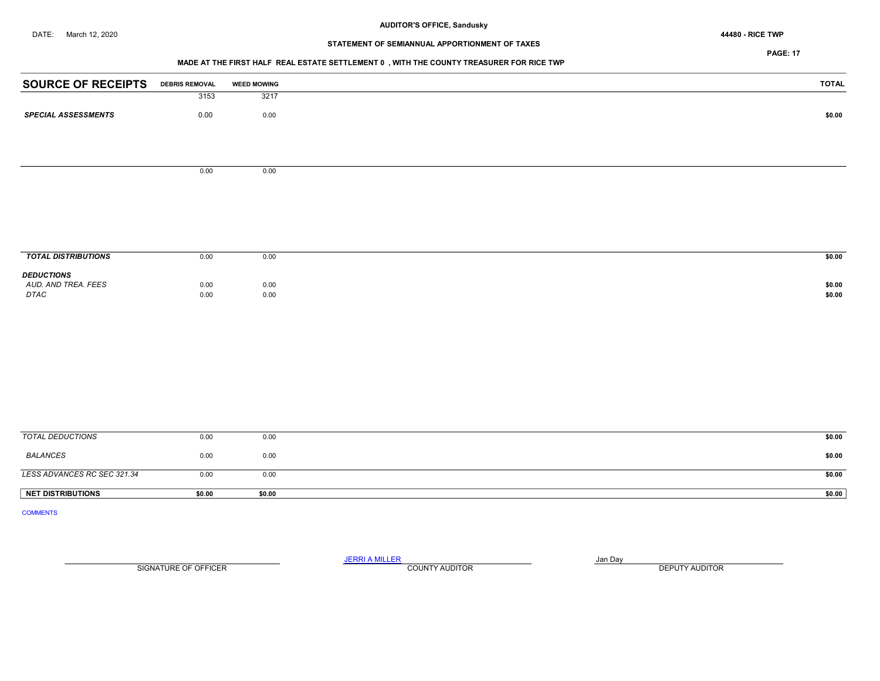# STATEMENT OF SEMIANNUAL APPORTIONMENT OF TAXES

## PAGE: 17

## MADE AT THE FIRST HALF REAL ESTATE SETTLEMENT 0 , WITH THE COUNTY TREASURER FOR RICE TWP

| <b>SOURCE OF RECEIPTS</b>   | <b>DEBRIS REMOVAL</b> | <b>WEED MOWING</b> | <b>TOTAL</b>     |
|-----------------------------|-----------------------|--------------------|------------------|
|                             | 3153                  | 3217               |                  |
| <b>SPECIAL ASSESSMENTS</b>  | 0.00                  | 0.00               | \$0.00           |
|                             |                       |                    |                  |
|                             | 0.00                  | 0.00               |                  |
|                             |                       |                    |                  |
|                             |                       |                    |                  |
|                             |                       |                    |                  |
| <b>TOTAL DISTRIBUTIONS</b>  | 0.00                  | 0.00               | \$0.00           |
| <b>DEDUCTIONS</b>           |                       |                    |                  |
| AUD. AND TREA. FEES<br>DTAC | 0.00<br>0.00          | 0.00<br>0.00       | \$0.00<br>\$0.00 |
|                             |                       |                    |                  |
|                             |                       |                    |                  |
|                             |                       |                    |                  |
|                             |                       |                    |                  |
|                             |                       |                    |                  |

| TOTAL DEDUCTIONS            | 0.00   | 0.00   | \$0.00 |
|-----------------------------|--------|--------|--------|
| BALANCES                    | 0.00   | 0.00   | \$0.00 |
| LESS ADVANCES RC SEC 321.34 | 0.00   | 0.00   | \$0.00 |
| NET DISTRIBUTIONS           | \$0.00 | \$0.00 | \$0.00 |

COMMENTS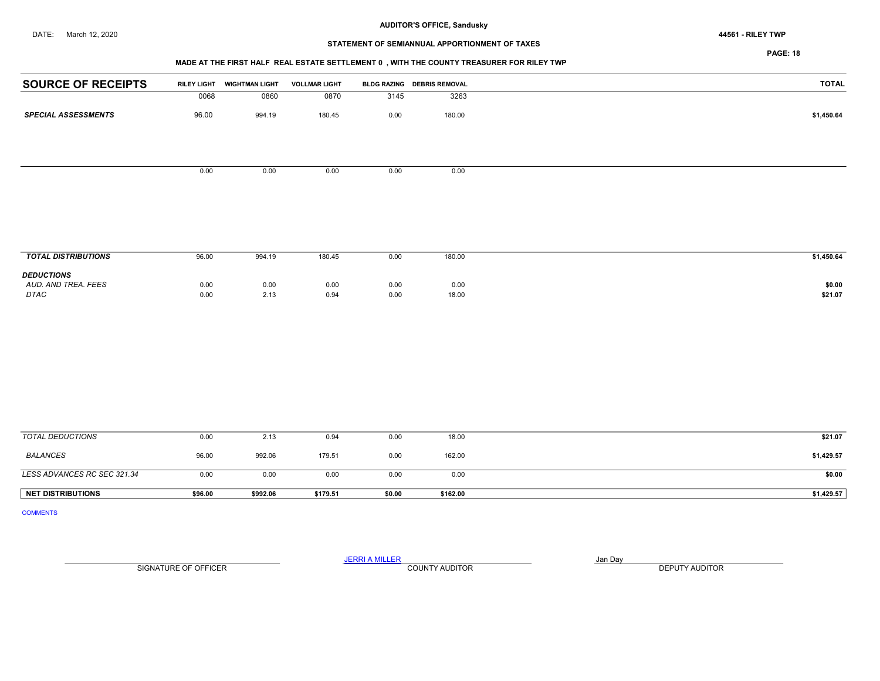# STATEMENT OF SEMIANNUAL APPORTIONMENT OF TAXES

PAGE: 18

## MADE AT THE FIRST HALF REAL ESTATE SETTLEMENT 0 , WITH THE COUNTY TREASURER FOR RILEY TWP

| <b>SOURCE OF RECEIPTS</b>  | <b>RILEY LIGHT</b> | <b>WIGHTMAN LIGHT</b> | <b>VOLLMAR LIGHT</b> |      | BLDG RAZING DEBRIS REMOVAL | <b>TOTAL</b> |
|----------------------------|--------------------|-----------------------|----------------------|------|----------------------------|--------------|
|                            | 0068               | 0860                  | 0870                 | 3145 | 3263                       |              |
| <b>SPECIAL ASSESSMENTS</b> | 96.00              | 994.19                | 180.45               | 0.00 | 180.00                     | \$1,450.64   |
|                            |                    |                       |                      |      |                            |              |
|                            |                    |                       |                      |      |                            |              |
|                            |                    |                       |                      |      |                            |              |
|                            | 0.00               | 0.00                  | 0.00                 | 0.00 | 0.00                       |              |
|                            |                    |                       |                      |      |                            |              |
|                            |                    |                       |                      |      |                            |              |
|                            |                    |                       |                      |      |                            |              |
|                            |                    |                       |                      |      |                            |              |

| <b>TOTAL DISTRIBUTIONS</b>                              | 96.00        | 994.19       | 180.45       | 0.00         | 180.00        | \$1,450.64        |
|---------------------------------------------------------|--------------|--------------|--------------|--------------|---------------|-------------------|
| <b>DEDUCTIONS</b><br>AUD, AND TREA, FEES<br><b>DTAC</b> | 0.00<br>0.00 | 0.00<br>2.13 | 0.00<br>0.94 | 0.00<br>0.00 | 0.00<br>18.00 | \$0.00<br>\$21.07 |

| TOTAL DEDUCTIONS            | 0.00    | 2.13     | 0.94     | 0.00   | 18.00    | \$21.07    |
|-----------------------------|---------|----------|----------|--------|----------|------------|
| <b>BALANCES</b>             | 96.00   | 992.06   | 179.51   | 0.00   | 162.00   | \$1,429.57 |
| LESS ADVANCES RC SEC 321.34 | 0.00    | 0.00     | 0.00     | 0.00   | 0.00     | \$0.00     |
| <b>NET DISTRIBUTIONS</b>    | \$96.00 | \$992.06 | \$179.51 | \$0.00 | \$162.00 | \$1,429.57 |

COMMENTS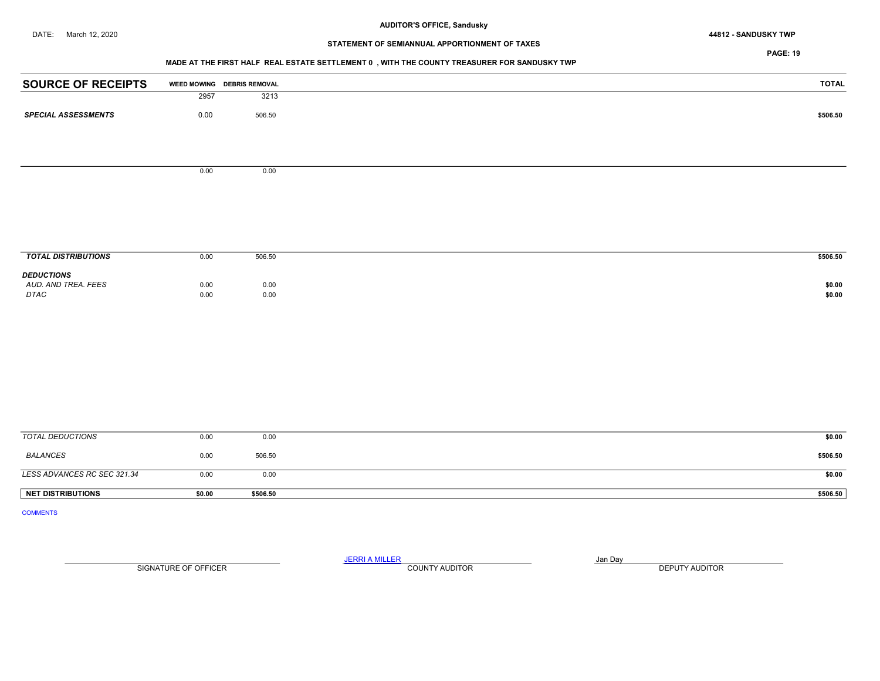# STATEMENT OF SEMIANNUAL APPORTIONMENT OF TAXES

PAGE: 19

## MADE AT THE FIRST HALF REAL ESTATE SETTLEMENT 0 , WITH THE COUNTY TREASURER FOR SANDUSKY TWP

| <b>SOURCE OF RECEIPTS</b>  |      | WEED MOWING DEBRIS REMOVAL | <b>TOTAL</b> |
|----------------------------|------|----------------------------|--------------|
|                            | 2957 | 3213                       |              |
| <b>SPECIAL ASSESSMENTS</b> | 0.00 | 506.50                     | \$506.50     |
|                            |      |                            |              |
|                            | 0.00 | 0.00                       |              |
|                            |      |                            |              |
|                            |      |                            |              |
|                            |      |                            |              |
| <b>TOTAL DISTRIBUTIONS</b> | 0.00 | 506.50                     | \$506.50     |
| <b>DEDUCTIONS</b>          |      |                            |              |
| AUD. AND TREA. FEES        | 0.00 | 0.00                       | \$0.00       |
| DTAC                       | 0.00 | 0.00                       | \$0.00       |
|                            |      |                            |              |
|                            |      |                            |              |
|                            |      |                            |              |
|                            |      |                            |              |
|                            |      |                            |              |
|                            |      |                            |              |
|                            |      |                            |              |

| <b>NET DISTRIBUTIONS</b>    | \$0.00 | \$506.50 | \$506.50 |
|-----------------------------|--------|----------|----------|
| LESS ADVANCES RC SEC 321.34 | 0.00   | 0.00     | \$0.00   |
|                             |        |          |          |
| BALANCES                    | 0.00   | 506.50   | \$506.50 |
|                             | 0.00   | 0.00     | \$0.00   |
| TOTAL DEDUCTIONS            |        |          |          |

COMMENTS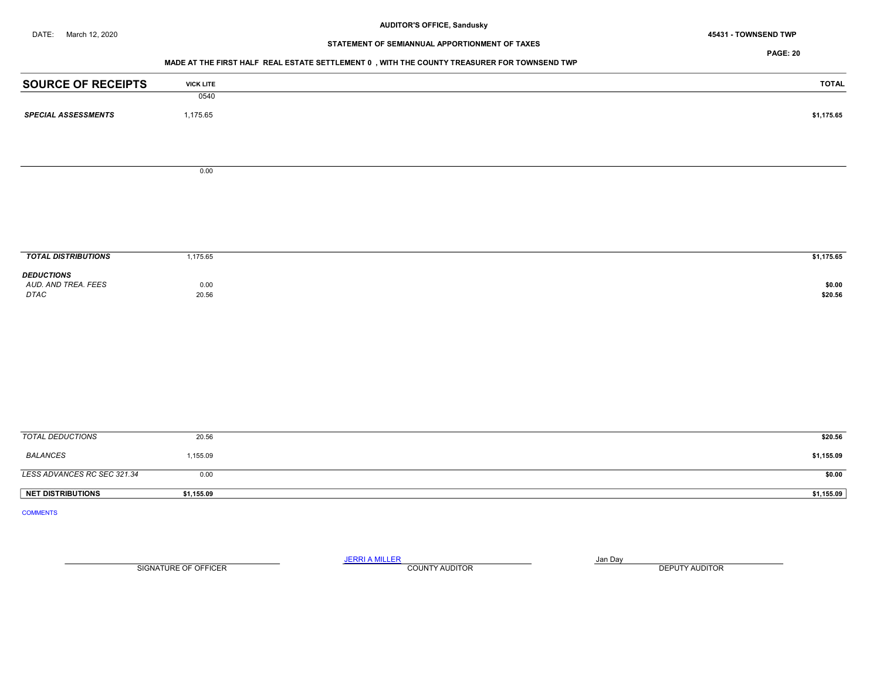# STATEMENT OF SEMIANNUAL APPORTIONMENT OF TAXES

PAGE: 20

## MADE AT THE FIRST HALF REAL ESTATE SETTLEMENT 0 , WITH THE COUNTY TREASURER FOR TOWNSEND TWP

| <b>SOURCE OF RECEIPTS</b>  | <b>VICK LITE</b> | TOTAL      |
|----------------------------|------------------|------------|
|                            | 0540             |            |
| <b>SPECIAL ASSESSMENTS</b> | 1,175.65         | \$1,175.65 |
|                            |                  |            |
|                            |                  |            |
|                            |                  |            |
|                            | 0.00             |            |
|                            |                  |            |
|                            |                  |            |

| <b>TOTAL DISTRIBUTIONS</b>                       | ,175.65         | \$1,175.65        |
|--------------------------------------------------|-----------------|-------------------|
| <b>DEDUCTIONS</b><br>AUD. AND TREA. FEES<br>DTAC | $0.00$<br>20.56 | \$0.00<br>\$20.56 |

| TOTAL DEDUCTIONS            | 20.56      | \$20.56    |
|-----------------------------|------------|------------|
| <b>BALANCES</b>             | 1,155.09   | \$1,155.09 |
| LESS ADVANCES RC SEC 321.34 | 0.00       | \$0.00     |
| <b>NET DISTRIBUTIONS</b>    | \$1,155.09 | \$1,155.09 |

COMMENTS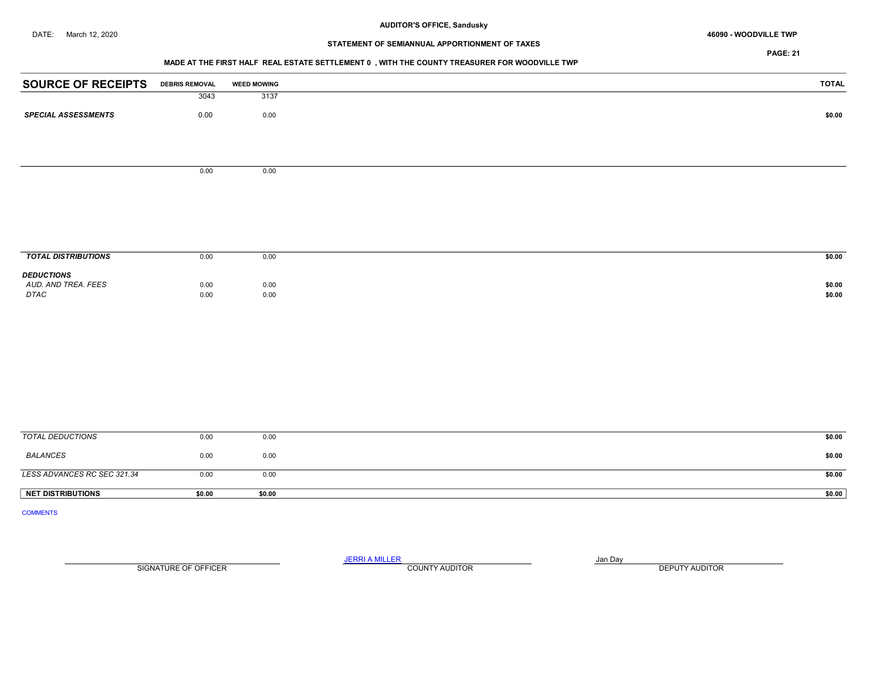#### DATE: March 12, 2020 46090 - WOODVILLE TWP

# STATEMENT OF SEMIANNUAL APPORTIONMENT OF TAXES

PAGE: 21

## MADE AT THE FIRST HALF REAL ESTATE SETTLEMENT 0 , WITH THE COUNTY TREASURER FOR WOODVILLE TWP

| <b>SOURCE OF RECEIPTS</b>   | <b>DEBRIS REMOVAL</b> | <b>WEED MOWING</b> | <b>TOTAL</b>     |
|-----------------------------|-----------------------|--------------------|------------------|
|                             | 3043                  | 3137               |                  |
| <b>SPECIAL ASSESSMENTS</b>  | 0.00                  | 0.00               | \$0.00           |
|                             |                       |                    |                  |
|                             |                       |                    |                  |
|                             |                       |                    |                  |
|                             | 0.00                  | 0.00               |                  |
|                             |                       |                    |                  |
|                             |                       |                    |                  |
|                             |                       |                    |                  |
|                             |                       |                    |                  |
|                             |                       |                    |                  |
| <b>TOTAL DISTRIBUTIONS</b>  | 0.00                  | 0.00               | \$0.00           |
| <b>DEDUCTIONS</b>           |                       |                    |                  |
| AUD. AND TREA. FEES<br>DTAC | 0.00<br>0.00          | 0.00<br>0.00       | \$0.00<br>\$0.00 |
|                             |                       |                    |                  |
|                             |                       |                    |                  |
|                             |                       |                    |                  |
|                             |                       |                    |                  |
|                             |                       |                    |                  |
|                             |                       |                    |                  |
|                             |                       |                    |                  |
|                             |                       |                    |                  |
|                             |                       |                    |                  |
| <b>TOTAL DEDUCTIONS</b>     | 0.00                  | 0.00               | \$0.00           |

| <b>NET DISTRIBUTIONS</b>    | \$0.00      | \$0.00      | \$0.00 |  |
|-----------------------------|-------------|-------------|--------|--|
| LESS ADVANCES RC SEC 321.34 | 0.00        | 0.00        | \$0.00 |  |
| BALANCES                    | 0.00        | 0.00        | \$0.00 |  |
| TUTAL DEDUCTIONS            | <b>U.UU</b> | <b>U.UU</b> | 30.UU  |  |

COMMENTS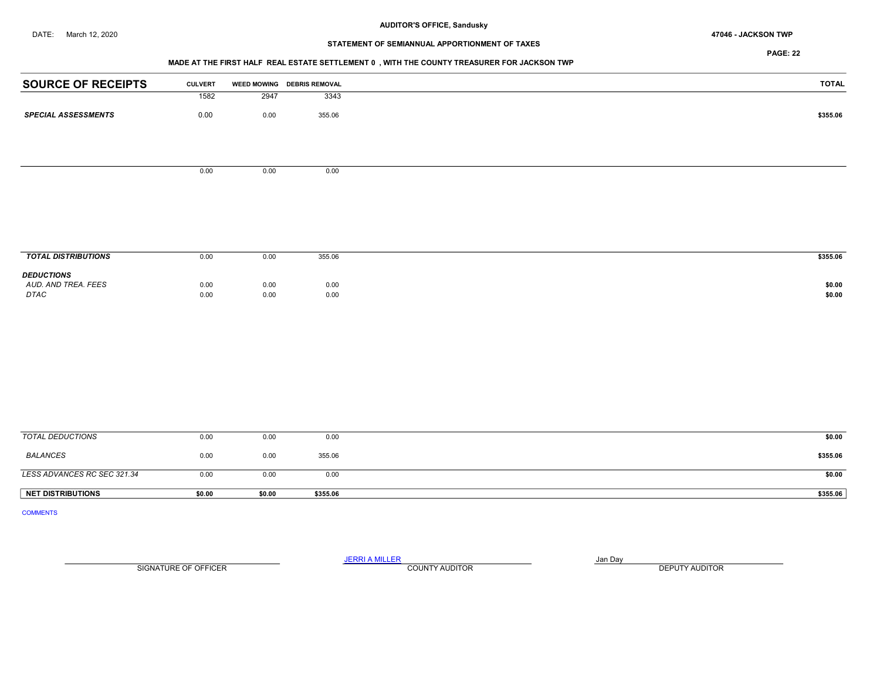# STATEMENT OF SEMIANNUAL APPORTIONMENT OF TAXES

PAGE: 22

## MADE AT THE FIRST HALF REAL ESTATE SETTLEMENT 0 , WITH THE COUNTY TREASURER FOR JACKSON TWP

| <b>SOURCE OF RECEIPTS</b>                | <b>CULVERT</b> |      | WEED MOWING DEBRIS REMOVAL |
|------------------------------------------|----------------|------|----------------------------|
|                                          | 1582           | 2947 | 3343                       |
| <b>SPECIAL ASSESSMENTS</b>               | 0.00           | 0.00 | 355.06                     |
|                                          |                |      |                            |
|                                          |                |      |                            |
|                                          |                |      |                            |
|                                          | 0.00           | 0.00 | 0.00                       |
|                                          |                |      |                            |
|                                          |                |      |                            |
|                                          |                |      |                            |
|                                          |                |      |                            |
| <b>TOTAL DISTRIBUTIONS</b>               | 0.00           | 0.00 | 355.06                     |
|                                          |                |      |                            |
| <b>DEDUCTIONS</b><br>AUD. AND TREA. FEES | 0.00           | 0.00 | 0.00                       |
| DTAC                                     | 0.00           | 0.00 | 0.00                       |
|                                          |                |      |                            |
|                                          |                |      |                            |
|                                          |                |      |                            |
|                                          |                |      |                            |
|                                          |                |      |                            |
|                                          |                |      |                            |

| TOTAL DEDUCTIONS            | 0.00   | 0.00   | 0.00     | \$0.00   |
|-----------------------------|--------|--------|----------|----------|
| <b>BALANCES</b>             | 0.00   | 0.00   | 355.06   | \$355.06 |
| LESS ADVANCES RC SEC 321.34 | 0.00   | 0.00   | 0.00     | \$0.00   |
| <b>NET DISTRIBUTIONS</b>    | \$0.00 | \$0.00 | \$355.06 | \$355.06 |

COMMENTS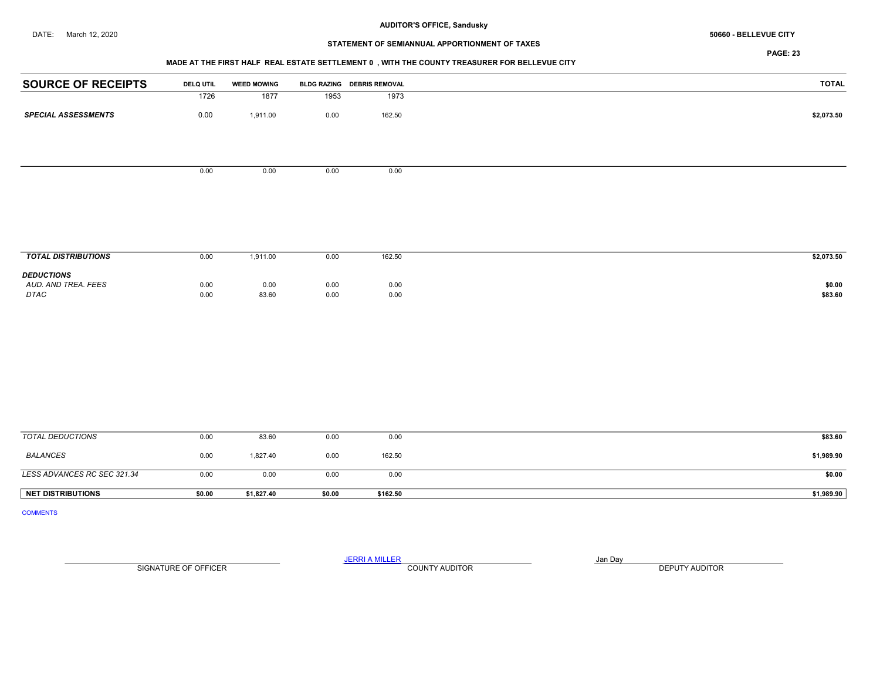# STATEMENT OF SEMIANNUAL APPORTIONMENT OF TAXES

## MADE AT THE FIRST HALF REAL ESTATE SETTLEMENT 0 , WITH THE COUNTY TREASURER FOR BELLEVUE CITY

| <b>SOURCE OF RECEIPTS</b>  | <b>DELQ UTIL</b> | <b>WEED MOWING</b> |      | BLDG RAZING DEBRIS REMOVAL | <b>TOTAL</b> |
|----------------------------|------------------|--------------------|------|----------------------------|--------------|
|                            | 1726             | 1877               | 1953 | 1973                       |              |
| <b>SPECIAL ASSESSMENTS</b> | 0.00             | 1,911.00           | 0.00 | 162.50                     | \$2,073.50   |
|                            | 0.00             | 0.00               | 0.00 | 0.00                       |              |
|                            |                  |                    |      |                            |              |
|                            |                  |                    |      |                            |              |
|                            |                  |                    |      |                            |              |
|                            |                  |                    |      |                            |              |
|                            |                  |                    |      |                            |              |
|                            |                  |                    |      |                            |              |
|                            |                  |                    |      |                            |              |
| <b>TOTAL DISTRIBUTIONS</b> | 0.00             | 1,911.00           | 0.00 | 162.50                     | \$2,073.50   |
| <b>DEDUCTIONS</b>          |                  |                    |      |                            |              |
| AUD. AND TREA. FEES        | 0.00             | 0.00               | 0.00 | 0.00                       | \$0.00       |
| DTAC                       | 0.00             | 83.60              | 0.00 | 0.00                       | \$83.60      |
|                            |                  |                    |      |                            |              |
|                            |                  |                    |      |                            |              |
|                            |                  |                    |      |                            |              |
|                            |                  |                    |      |                            |              |
|                            |                  |                    |      |                            |              |
|                            |                  |                    |      |                            |              |
|                            |                  |                    |      |                            |              |
|                            |                  |                    |      |                            |              |
|                            |                  |                    |      |                            |              |
|                            |                  |                    |      |                            |              |

| <b>NET DISTRIBUTIONS</b>    | \$0.00 | \$1,827.40 | \$0.00 | \$162.50 | \$1,989.90 |
|-----------------------------|--------|------------|--------|----------|------------|
| LESS ADVANCES RC SEC 321.34 | 0.00   | 0.00       | 0.00   | 0.00     | \$0.00     |
| BALANCES                    | 0.00   | 1,827.40   | 0.00   | 162.50   | \$1,989.90 |
| TOTAL DEDUCTIONS            | 0.00   | 83.60      | 0.00   | 0.00     | \$83.60    |

COMMENTS

JERRI A MILLER COUNTY AUDITOR **Finally county and Day** SIGNATURE OF OFFICER **EXECUTE A RELATION COUNTY AUDITOR** COUNTY AUDITOR **DEPUTY AUDITOR**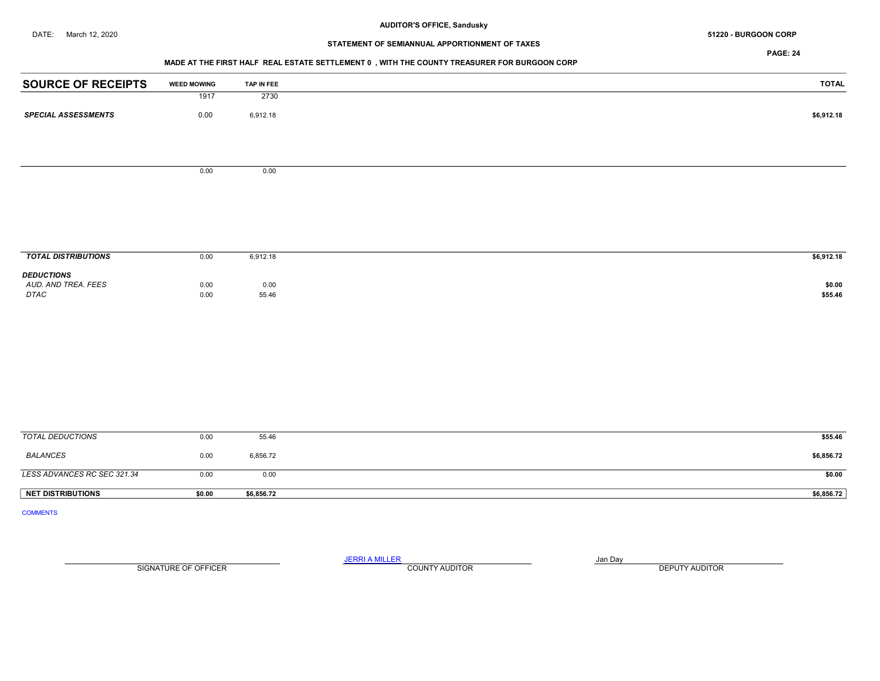# STATEMENT OF SEMIANNUAL APPORTIONMENT OF TAXES

PAGE: 24

## MADE AT THE FIRST HALF REAL ESTATE SETTLEMENT 0 , WITH THE COUNTY TREASURER FOR BURGOON CORP

| <b>SOURCE OF RECEIPTS</b>  | <b>WEED MOWING</b> | TAP IN FEE | <b>TOTAL</b> |
|----------------------------|--------------------|------------|--------------|
|                            | 1917               | 2730       |              |
| <b>SPECIAL ASSESSMENTS</b> | 0.00               | 6,912.18   | \$6,912.18   |
|                            |                    |            |              |
|                            |                    |            |              |
|                            | 0.00               | 0.00       |              |
|                            |                    |            |              |
|                            |                    |            |              |
|                            |                    |            |              |
| <b>TOTAL DISTRIBUTIONS</b> | 0.00               | 6,912.18   | \$6,912.18   |
| <b>DEDUCTIONS</b>          |                    |            |              |
| AUD. AND TREA. FEES        | 0.00               | 0.00       | \$0.00       |
| DTAC                       | $0.00\,$           | 55.46      | \$55.46      |
|                            |                    |            |              |
|                            |                    |            |              |
|                            |                    |            |              |
|                            |                    |            |              |
|                            |                    |            |              |
|                            |                    |            |              |
| <b>TOTAL DEDUCTIONS</b>    | 0.00               | 55.46      | \$55.46      |
|                            |                    |            |              |

| \$6,856.72<br>3,856.72<br>0.00<br>LESS ADVANCES RC SEC 321.34<br>\$0.00<br>0.00<br>0.00<br>\$6,856.72 |                          |        |            |  |
|-------------------------------------------------------------------------------------------------------|--------------------------|--------|------------|--|
|                                                                                                       | <b>NET DISTRIBUTIONS</b> | \$0.00 | \$6,856.72 |  |
|                                                                                                       |                          |        |            |  |
|                                                                                                       | <b>BALANCES</b>          |        |            |  |

COMMENTS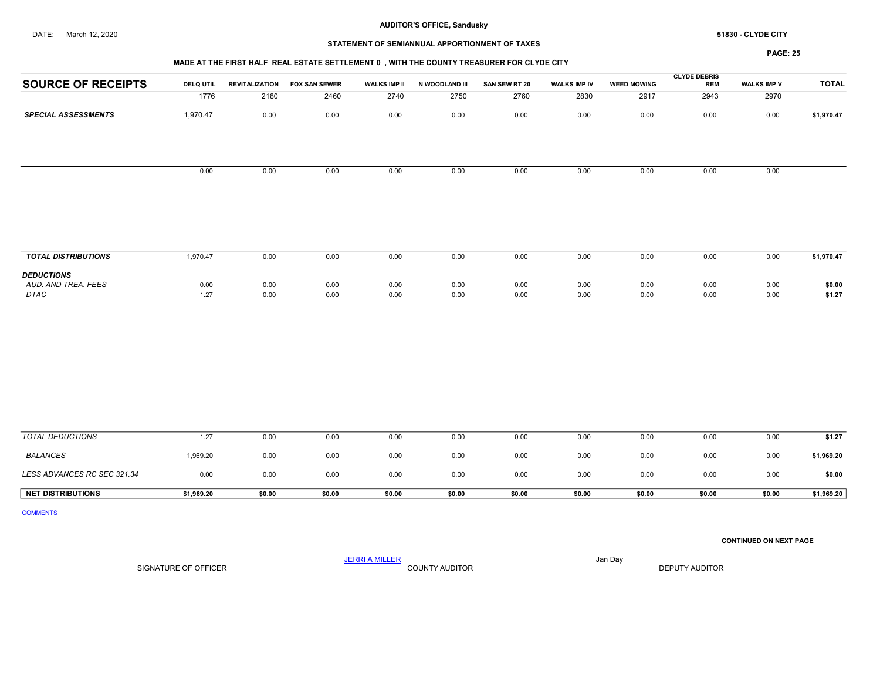## STATEMENT OF SEMIANNUAL APPORTIONMENT OF TAXES

#### MADE AT THE FIRST HALF REAL ESTATE SETTLEMENT 0 , WITH THE COUNTY TREASURER FOR CLYDE CITY

PAGE: 25

| <b>TOTAL</b><br>\$1,970.47 | <b>WALKS IMP V</b><br>2970<br>0.00 | <b>REM</b><br>2943 | <b>WEED MOWING</b><br>2917 | <b>WALKS IMP IV</b><br>2830 | SAN SEW RT 20<br>2760 | N WOODLAND III<br>2750 | <b>WALKS IMP II</b> | <b>FOX SAN SEWER</b> | <b>REVITALIZATION</b> | <b>DELQ UTIL</b>         | <b>SOURCE OF RECEIPTS</b>   |
|----------------------------|------------------------------------|--------------------|----------------------------|-----------------------------|-----------------------|------------------------|---------------------|----------------------|-----------------------|--------------------------|-----------------------------|
|                            |                                    |                    |                            |                             |                       |                        |                     |                      |                       |                          |                             |
|                            |                                    |                    |                            |                             |                       |                        | 2740                | 2460                 | 2180                  | 1776                     |                             |
|                            |                                    | 0.00               | 0.00                       | 0.00                        | 0.00                  | 0.00                   | 0.00                | 0.00                 | 0.00                  | 1,970.47                 | <b>SPECIAL ASSESSMENTS</b>  |
|                            |                                    |                    |                            |                             |                       |                        |                     |                      |                       |                          |                             |
|                            | 0.00                               | 0.00               | 0.00                       | 0.00                        | 0.00                  | 0.00                   | 0.00                | 0.00                 | 0.00                  | 0.00                     |                             |
|                            |                                    |                    |                            |                             |                       |                        |                     |                      |                       |                          |                             |
|                            |                                    |                    |                            |                             |                       |                        |                     |                      |                       |                          |                             |
|                            |                                    |                    |                            |                             |                       |                        |                     |                      |                       |                          |                             |
|                            |                                    |                    |                            |                             |                       |                        |                     |                      |                       |                          |                             |
| \$1,970.47                 | 0.00                               | 0.00               | 0.00                       | 0.00                        | 0.00                  | 0.00                   | 0.00                | 0.00                 | 0.00                  |                          | <b>TOTAL DISTRIBUTIONS</b>  |
|                            |                                    |                    |                            |                             |                       |                        |                     |                      |                       |                          |                             |
|                            |                                    |                    |                            |                             |                       |                        |                     |                      |                       |                          | <b>DEDUCTIONS</b>           |
| \$0.00                     | 0.00                               |                    |                            |                             |                       |                        |                     |                      |                       |                          |                             |
| \$1.27                     | 0.00                               |                    |                            |                             |                       |                        |                     |                      |                       |                          |                             |
|                            |                                    | 0.00<br>0.00       | 0.00<br>0.00               | 0.00<br>0.00                | 0.00<br>0.00          | 0.00<br>0.00           | 0.00<br>0.00        | 0.00<br>0.00         | 0.00<br>0.00          | 1,970.47<br>0.00<br>1.27 | AUD. AND TREA. FEES<br>DTAC |

| <b>NET DISTRIBUTIONS</b>    | \$1.969.20 | \$0.00 | \$0.00 | \$0.00 | \$0.00 | \$0.00 | \$0.00 | \$0.00 | \$0.00 | \$0.00 | \$1,969.20 |
|-----------------------------|------------|--------|--------|--------|--------|--------|--------|--------|--------|--------|------------|
| LESS ADVANCES RC SEC 321.34 | 0.00       | 0.00   | 0.00   | 0.00   | 0.00   | 0.00   | 0.00   | 0.00   | 0.00   | 0.00   | \$0.00     |
| <b>BALANCES</b>             | 969.20     | 0.00   | 0.00   | 0.00   | 0.00   | 0.00   | 0.00   | 0.00   | 0.00   | 0.00   | \$1,969.20 |
| TOTAL DEDUCTIONS            | - 27       | 0.00   | 0.00   | 0.00   | 0.00   | 0.00   | 0.00   | 0.00   | 0.00   | 0.00   | \$1.27     |

COMMENTS

CONTINUED ON NEXT PAGE

SIGNATURE OF OFFICER **EXECUTE A RELATION COUNTY AUDITOR** COUNTY AUDITOR **DEPUTY AUDITOR**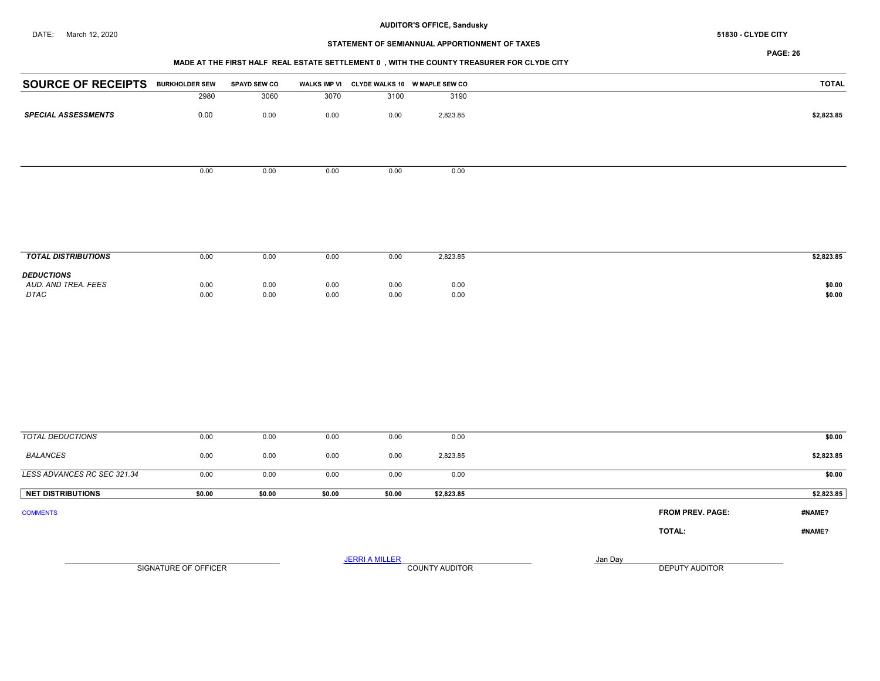#### AUDITOR'S OFFICE, Sandusky DATE: March 12, 2020 51830 - CLYDE CITY

# STATEMENT OF SEMIANNUAL APPORTIONMENT OF TAXES

## MADE AT THE FIRST HALF REAL ESTATE SETTLEMENT 0 , WITH THE COUNTY TREASURER FOR CLYDE CITY

| <b>SOURCE OF RECEIPTS BURKHOLDER SEW</b> |      | <b>SPAYD SEW CO</b> |      |      | WALKS IMP VI CLYDE WALKS 10 W MAPLE SEW CO | <b>TOTAL</b> |
|------------------------------------------|------|---------------------|------|------|--------------------------------------------|--------------|
|                                          | 2980 | 3060                | 3070 | 3100 | 3190                                       |              |
| <b>SPECIAL ASSESSMENTS</b>               | 0.00 | 0.00                | 0.00 | 0.00 | 2,823.85                                   | \$2,823.85   |
|                                          |      |                     |      |      |                                            |              |
|                                          |      |                     |      |      |                                            |              |
|                                          |      |                     |      |      |                                            |              |
|                                          | 0.00 | 0.00                | 0.00 | 0.00 | 0.00                                       |              |
|                                          |      |                     |      |      |                                            |              |
|                                          |      |                     |      |      |                                            |              |
|                                          |      |                     |      |      |                                            |              |

| <b>TOTAL DISTRIBUTIONS</b>                       | 0.00         | 0.00         | 0.00         | 0.00         | 2,823.85     | \$2,823.85       |
|--------------------------------------------------|--------------|--------------|--------------|--------------|--------------|------------------|
| <b>DEDUCTIONS</b><br>AUD, AND TREA, FEES<br>DTAC | 0.00<br>0.00 | 0.00<br>0.00 | 0.00<br>0.00 | 0.00<br>0.00 | 0.00<br>0.00 | \$0.00<br>\$0.00 |

| TOTAL DEDUCTIONS            | 0.00                 | 0.00   | 0.00   | 0.00                  | 0.00                  |  |         |                         | \$0.00     |
|-----------------------------|----------------------|--------|--------|-----------------------|-----------------------|--|---------|-------------------------|------------|
| <b>BALANCES</b>             | 0.00                 | 0.00   | 0.00   | 0.00                  | 2,823.85              |  |         |                         | \$2,823.85 |
| LESS ADVANCES RC SEC 321.34 | 0.00                 | 0.00   | 0.00   | 0.00                  | 0.00                  |  |         |                         | \$0.00     |
| <b>NET DISTRIBUTIONS</b>    | \$0.00               | \$0.00 | \$0.00 | \$0.00                | \$2,823.85            |  |         |                         | \$2,823.85 |
| <b>COMMENTS</b>             |                      |        |        |                       |                       |  |         | <b>FROM PREV. PAGE:</b> | #NAME?     |
|                             |                      |        |        |                       |                       |  |         | TOTAL:                  | #NAME?     |
|                             |                      |        |        | <b>JERRI A MILLER</b> |                       |  | Jan Day |                         |            |
|                             | SIGNATURE OF OFFICER |        |        |                       | <b>COUNTY AUDITOR</b> |  |         | <b>DEPUTY AUDITOR</b>   |            |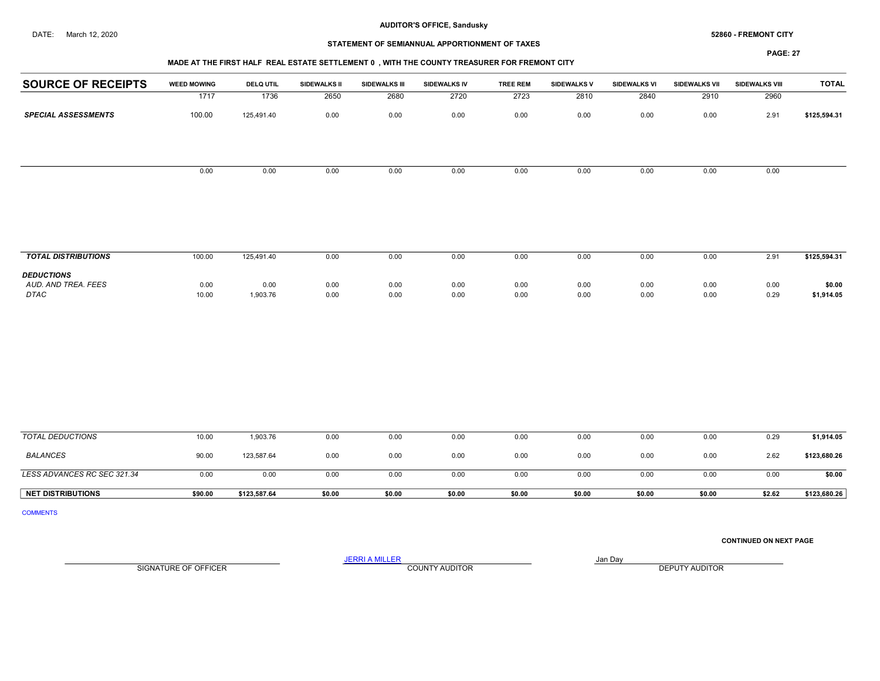# STATEMENT OF SEMIANNUAL APPORTIONMENT OF TAXES

#### PAGE: 27

# MADE AT THE FIRST HALF REAL ESTATE SETTLEMENT 0 , WITH THE COUNTY TREASURER FOR FREMONT CITY

| <b>SOURCE OF RECEIPTS</b>  | <b>WEED MOWING</b> | <b>DELQ UTIL</b> | SIDEWALKS II | <b>SIDEWALKS III</b> | SIDEWALKS IV | <b>TREE REM</b> | SIDEWALKS V | <b>SIDEWALKS VI</b> | <b>SIDEWALKS VII</b> | SIDEWALKS VIII | <b>TOTAL</b> |
|----------------------------|--------------------|------------------|--------------|----------------------|--------------|-----------------|-------------|---------------------|----------------------|----------------|--------------|
|                            | 1717               | 1736             | 2650         | 2680                 | 2720         | 2723            | 2810        | 2840                | 2910                 | 2960           |              |
| <b>SPECIAL ASSESSMENTS</b> | 100.00             | 125,491.40       | 0.00         | 0.00                 | 0.00         | 0.00            | 0.00        | 0.00                | 0.00                 | 2.91           | \$125,594.31 |
|                            |                    |                  |              |                      |              |                 |             |                     |                      |                |              |
|                            | 0.00               | 0.00             | 0.00         | 0.00                 | 0.00         | 0.00            | 0.00        | 0.00                | 0.00                 | 0.00           |              |
|                            |                    |                  |              |                      |              |                 |             |                     |                      |                |              |
|                            |                    |                  |              |                      |              |                 |             |                     |                      |                |              |
|                            |                    |                  |              |                      |              |                 |             |                     |                      |                |              |
|                            |                    |                  |              |                      |              |                 |             |                     |                      |                |              |
| <b>TOTAL DISTRIBUTIONS</b> | 100.00             | 125,491.40       | 0.00         | 0.00                 | 0.00         | 0.00            | 0.00        | 0.00                | 0.00                 | 2.91           | \$125,594.31 |
| <b>DEDUCTIONS</b>          |                    |                  |              |                      |              |                 |             |                     |                      |                |              |
| AUD. AND TREA. FEES        | 0.00               | 0.00             | 0.00         | 0.00                 | 0.00         | 0.00            | 0.00        | 0.00                | 0.00                 | 0.00           | \$0.00       |
| DTAC                       | 10.00              | 1,903.76         | 0.00         | 0.00                 | 0.00         | 0.00            | 0.00        | 0.00                | 0.00                 | 0.29           | \$1,914.05   |
|                            |                    |                  |              |                      |              |                 |             |                     |                      |                |              |
|                            |                    |                  |              |                      |              |                 |             |                     |                      |                |              |

| TOTAL DEDUCTIONS            | 10.00   | 1,903.76     | 0.00   | 0.00   | 0.00   | 0.00   | 0.00   | 0.00   | 0.00   | 0.29   | \$1,914.05   |
|-----------------------------|---------|--------------|--------|--------|--------|--------|--------|--------|--------|--------|--------------|
| <b>BALANCES</b>             | 90.00   | 123,587.64   | 0.00   | 0.00   | 0.00   | 0.00   | 0.00   | 0.00   | 0.00   | 2.62   | \$123,680.26 |
| LESS ADVANCES RC SEC 321.34 | 0.00    | 0.00         | 0.00   | 0.00   | 0.00   | 0.00   | 0.00   | 0.00   | 0.00   | 0.00   | \$0.00       |
| <b>NET DISTRIBUTIONS</b>    | \$90.00 | \$123,587.64 | \$0.00 | \$0.00 | \$0.00 | \$0.00 | \$0.00 | \$0.00 | \$0.00 | \$2.62 | \$123,680.26 |

COMMENTS

CONTINUED ON NEXT PAGE

SIGNATURE OF OFFICER **EXECUTE A RELATION COUNTY AUDITOR** COUNTY AUDITOR **DEPUTY AUDITOR**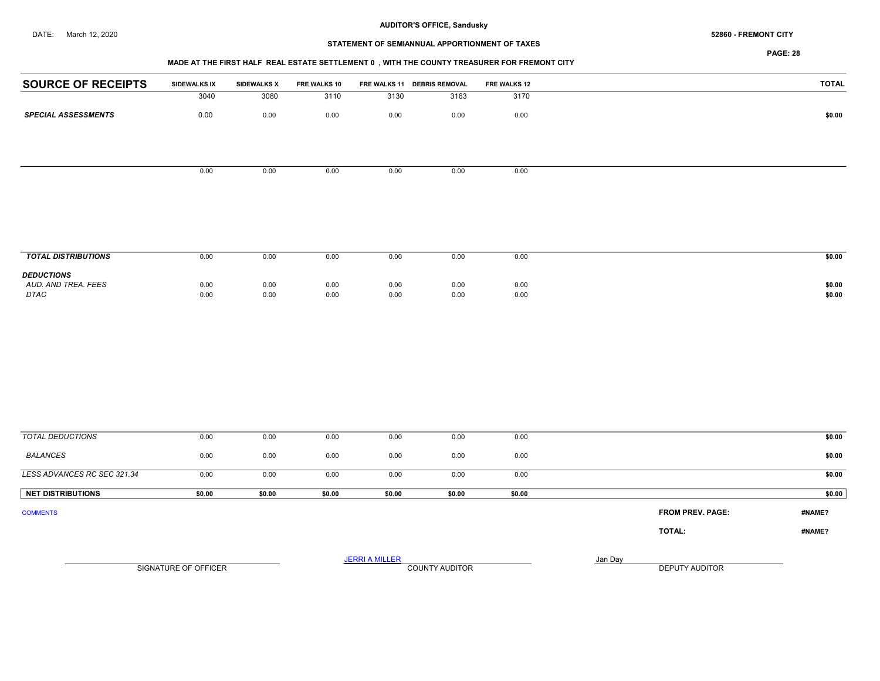# STATEMENT OF SEMIANNUAL APPORTIONMENT OF TAXES

PAGE: 28

## MADE AT THE FIRST HALF REAL ESTATE SETTLEMENT 0 , WITH THE COUNTY TREASURER FOR FREMONT CITY

| <b>SOURCE OF RECEIPTS</b>  | SIDEWALKS IX | <b>SIDEWALKS X</b> | FRE WALKS 10 |      | FRE WALKS 11 DEBRIS REMOVAL | FRE WALKS 12 | <b>TOTAL</b> |
|----------------------------|--------------|--------------------|--------------|------|-----------------------------|--------------|--------------|
|                            | 3040         | 3080               | 3110         | 3130 | 3163                        | 3170         |              |
| <b>SPECIAL ASSESSMENTS</b> | 0.00         | 0.00               | 0.00         | 0.00 | 0.00                        | 0.00         | \$0.00       |
|                            |              |                    |              |      |                             |              |              |
|                            |              |                    |              |      |                             |              |              |
|                            | 0.00         | 0.00               | 0.00         | 0.00 | 0.00                        | 0.00         |              |
|                            |              |                    |              |      |                             |              |              |
|                            |              |                    |              |      |                             |              |              |
|                            |              |                    |              |      |                             |              |              |
|                            |              |                    |              |      |                             |              |              |
|                            |              |                    |              |      |                             |              |              |
| <b>TOTAL DISTRIBUTIONS</b> | 0.00         | 0.00               | 0.00         | 0.00 | 0.00                        | 0.00         | \$0.00       |
| <b>DEDUCTIONS</b>          |              |                    |              |      |                             |              |              |
| AUD. AND TREA. FEES        | 0.00         | 0.00               | 0.00         | 0.00 | 0.00                        | 0.00         | \$0.00       |
| DTAC                       | 0.00         | 0.00               | 0.00         | 0.00 | 0.00                        | 0.00         | \$0.00       |
|                            |              |                    |              |      |                             |              |              |
|                            |              |                    |              |      |                             |              |              |
|                            |              |                    |              |      |                             |              |              |
|                            |              |                    |              |      |                             |              |              |

| TOTAL DEDUCTIONS            | 0.00                 | 0.00   | 0.00   | 0.00                  | 0.00                  | 0.00   |         |                         | \$0.00 |
|-----------------------------|----------------------|--------|--------|-----------------------|-----------------------|--------|---------|-------------------------|--------|
| <b>BALANCES</b>             | 0.00                 | 0.00   | 0.00   | 0.00                  | 0.00                  | 0.00   |         |                         | \$0.00 |
| LESS ADVANCES RC SEC 321.34 | 0.00                 | 0.00   | 0.00   | 0.00                  | 0.00                  | 0.00   |         |                         | \$0.00 |
| <b>NET DISTRIBUTIONS</b>    | \$0.00               | \$0.00 | \$0.00 | \$0.00                | \$0.00                | \$0.00 |         |                         | \$0.00 |
| <b>COMMENTS</b>             |                      |        |        |                       |                       |        |         | <b>FROM PREV. PAGE:</b> | #NAME? |
|                             |                      |        |        |                       |                       |        |         | TOTAL:                  | #NAME? |
|                             | SIGNATURE OF OFFICER |        |        | <b>JERRI A MILLER</b> | <b>COUNTY AUDITOR</b> |        | Jan Day | <b>DEPUTY AUDITOR</b>   |        |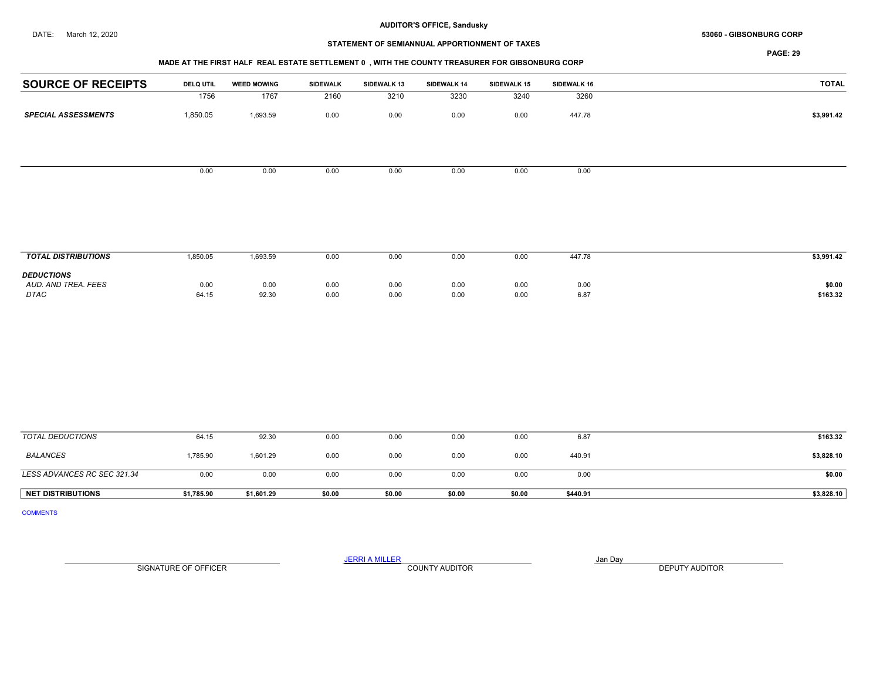#### DATE: March 12, 2020 69 - 61BSONBURG CORP CORP 53060 - GIBSONBURG CORP 53060 - GIBSONBURG CORP

# STATEMENT OF SEMIANNUAL APPORTIONMENT OF TAXES

PAGE: 29

## MADE AT THE FIRST HALF REAL ESTATE SETTLEMENT 0 , WITH THE COUNTY TREASURER FOR GIBSONBURG CORP

| <b>SOURCE OF RECEIPTS</b>  | <b>DELQ UTIL</b> | <b>WEED MOWING</b> | SIDEWALK | <b>SIDEWALK 13</b> | SIDEWALK 14 | <b>SIDEWALK 15</b> | SIDEWALK 16 | <b>TOTAL</b> |
|----------------------------|------------------|--------------------|----------|--------------------|-------------|--------------------|-------------|--------------|
|                            | 1756             | 1767               | 2160     | 3210               | 3230        | 3240               | 3260        |              |
| <b>SPECIAL ASSESSMENTS</b> | 1,850.05         | 1,693.59           | 0.00     | 0.00               | 0.00        | 0.00               | 447.78      | \$3,991.42   |
|                            |                  |                    |          |                    |             |                    |             |              |
|                            | 0.00             | 0.00               | 0.00     | 0.00               | 0.00        | 0.00               | 0.00        |              |
|                            |                  |                    |          |                    |             |                    |             |              |

| <b>TOTAL DISTRIBUTIONS</b>                              | ,850.05       | 1,693.59      | 0.00         | 0.00         | 0.00         | 0.00         | 447.78       | \$3,991.42         |
|---------------------------------------------------------|---------------|---------------|--------------|--------------|--------------|--------------|--------------|--------------------|
| <b>DEDUCTIONS</b><br>AUD. AND TREA. FEES<br><b>DTAC</b> | 0.00<br>64.15 | 0.00<br>92.30 | 0.00<br>0.00 | 0.00<br>0.00 | 0.00<br>0.00 | 0.00<br>0.00 | 0.00<br>6.87 | \$0.00<br>\$163.32 |

| TOTAL DEDUCTIONS            | 64.15      | 92.30      | 0.00   | 0.00   | 0.00   | 0.00   | 6.87     | \$163.32   |
|-----------------------------|------------|------------|--------|--------|--------|--------|----------|------------|
| <b>BALANCES</b>             | 1,785.90   | 1,601.29   | 0.00   | 0.00   | 0.00   | 0.00   | 440.91   | \$3,828.10 |
| LESS ADVANCES RC SEC 321.34 | 0.00       | 0.00       | 0.00   | 0.00   | 0.00   | 0.00   | 0.00     | \$0.00     |
| <b>NET DISTRIBUTIONS</b>    | \$1.785.90 | \$1,601.29 | \$0.00 | \$0.00 | \$0.00 | \$0.00 | \$440.91 | \$3,828.10 |

COMMENTS

SIGNATURE OF OFFICER **EXECUTE A RELATION COUNTY AUDITOR** COUNTY AUDITOR **DEPUTY AUDITOR**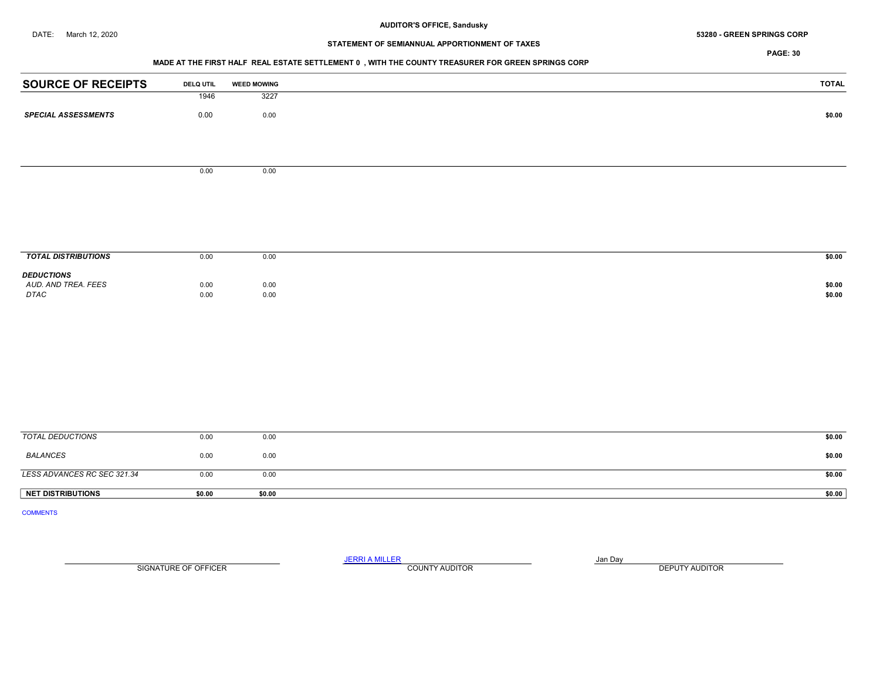#### DATE: March 12, 2020 69 - 2020 53280 - GREEN SPRINGS CORP 53280 - GREEN SPRINGS CORP

# STATEMENT OF SEMIANNUAL APPORTIONMENT OF TAXES

PAGE: 30

## MADE AT THE FIRST HALF REAL ESTATE SETTLEMENT 0 , WITH THE COUNTY TREASURER FOR GREEN SPRINGS CORP

| <b>SOURCE OF RECEIPTS</b>    | <b>DELQ UTIL</b> | <b>WEED MOWING</b> | <b>TOTAL</b> |
|------------------------------|------------------|--------------------|--------------|
|                              | 1946             | 3227               |              |
| <b>SPECIAL ASSESSMENTS</b>   |                  |                    |              |
|                              | $0.00\,$         | $0.00\,$           | \$0.00       |
|                              |                  |                    |              |
|                              |                  |                    |              |
|                              |                  |                    |              |
|                              | 0.00             | 0.00               |              |
|                              |                  |                    |              |
|                              |                  |                    |              |
|                              |                  |                    |              |
|                              |                  |                    |              |
|                              |                  |                    |              |
|                              |                  |                    |              |
| <b>TOTAL DISTRIBUTIONS</b>   | 0.00             | $0.00\,$           | \$0.00       |
| <b>DEDUCTIONS</b>            |                  |                    |              |
| AUD. AND TREA. FEES          | 0.00             | 0.00               | \$0.00       |
| $\ensuremath{\mathit{DTAC}}$ | 0.00             | 0.00               | \$0.00       |
|                              |                  |                    |              |
|                              |                  |                    |              |
|                              |                  |                    |              |
|                              |                  |                    |              |
|                              |                  |                    |              |
|                              |                  |                    |              |
|                              |                  |                    |              |
|                              |                  |                    |              |
|                              |                  |                    |              |
|                              |                  |                    |              |
|                              |                  |                    |              |
| <b>TOTAL DEDUCTIONS</b>      | 0.00             | 0.00               | \$0.00       |
| <b>BALANCES</b>              | 0.00             | 0.00               | \$0.00       |
|                              |                  |                    |              |

LESS ADVANCES RC SEC 321.34 0.00 0.00 0.00 0.00 \$0.00 NET DISTRIBUTIONS \$0.00 \$0.00 \$0.00 \$0.00 \$0.00 \$0.00 \$0.00 \$0.00 \$1.00 \$1.00 \$1.00 \$1.00 \$1.00 \$1.00 \$1.00 \$1

COMMENTS

JERRI A MILLER COUNTY AUDITOR **Finally county and Day** 

SIGNATURE OF OFFICER **EXECUTE A RELATION COUNTY AUDITOR** COUNTY AUDITOR **DEPUTY AUDITOR**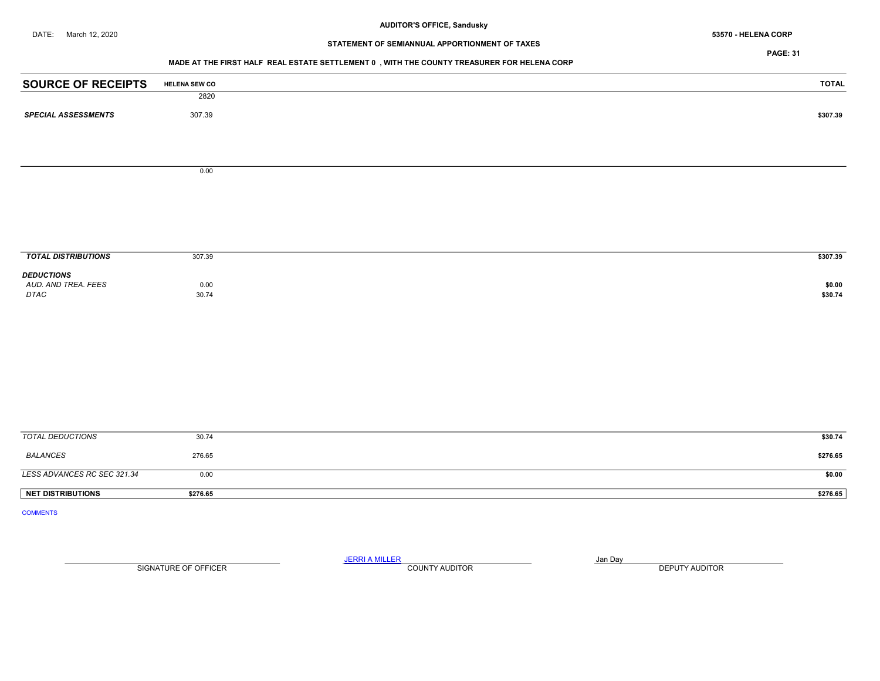# STATEMENT OF SEMIANNUAL APPORTIONMENT OF TAXES

PAGE: 31

## MADE AT THE FIRST HALF REAL ESTATE SETTLEMENT 0 , WITH THE COUNTY TREASURER FOR HELENA CORP

| <b>SOURCE OF RECEIPTS</b>   | <b>HELENA SEW CO</b> | <b>TOTAL</b> |
|-----------------------------|----------------------|--------------|
|                             | 2820                 |              |
| <b>SPECIAL ASSESSMENTS</b>  | 307.39               | \$307.39     |
|                             |                      |              |
|                             |                      |              |
|                             | 0.00                 |              |
|                             |                      |              |
|                             |                      |              |
|                             |                      |              |
| <b>TOTAL DISTRIBUTIONS</b>  | 307.39               | \$307.39     |
| <b>DEDUCTIONS</b>           |                      |              |
| AUD. AND TREA. FEES         | 0.00                 | \$0.00       |
| DTAC                        | 30.74                | \$30.74      |
|                             |                      |              |
|                             |                      |              |
|                             |                      |              |
|                             |                      |              |
|                             |                      |              |
|                             |                      |              |
|                             |                      |              |
|                             |                      |              |
|                             |                      |              |
| <b>TOTAL DEDUCTIONS</b>     | 30.74                | \$30.74      |
| <b>BALANCES</b>             | 276.65               | \$276.65     |
| LESS ADVANCES RC SEC 321.34 | 0.00                 | \$0.00       |
| <b>NET DISTRIBUTIONS</b>    | \$276.65             | \$276.65     |
| <b>COMMENTS</b>             |                      |              |
|                             |                      |              |

SIGNATURE OF OFFICER **EXECUTE A RELATION COUNTY AUDITOR** COUNTY AUDITOR **DEPUTY AUDITOR**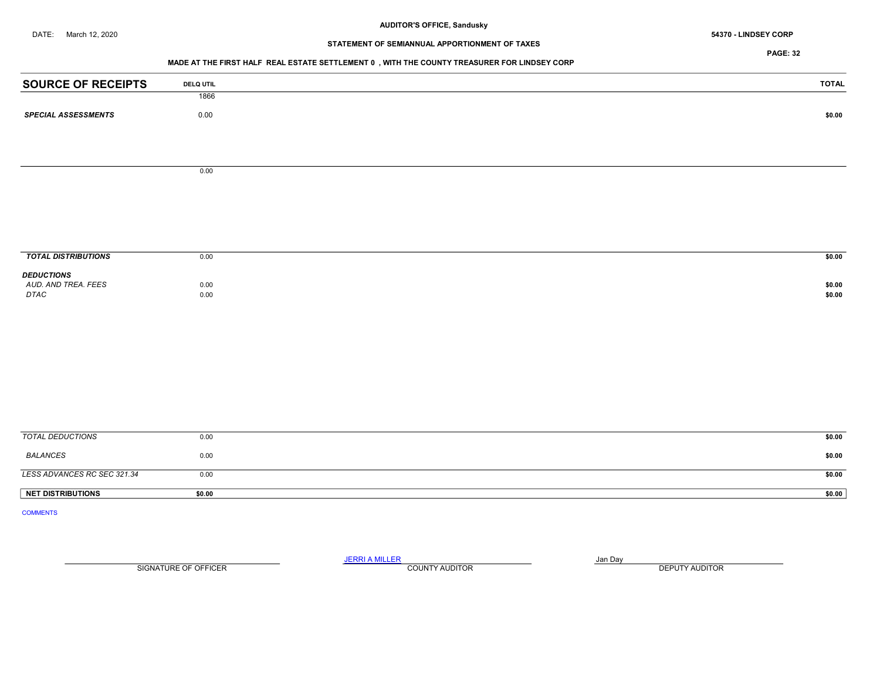# STATEMENT OF SEMIANNUAL APPORTIONMENT OF TAXES

PAGE: 32

## MADE AT THE FIRST HALF REAL ESTATE SETTLEMENT 0 , WITH THE COUNTY TREASURER FOR LINDSEY CORP

| <b>SOURCE OF RECEIPTS</b>   | <b>DELQ UTIL</b> | <b>TOTAL</b>     |
|-----------------------------|------------------|------------------|
|                             | 1866             |                  |
| <b>SPECIAL ASSESSMENTS</b>  | $0.00\,$         | \$0.00           |
|                             |                  |                  |
|                             |                  |                  |
|                             |                  |                  |
|                             | 0.00             |                  |
|                             |                  |                  |
|                             |                  |                  |
|                             |                  |                  |
|                             |                  |                  |
| <b>TOTAL DISTRIBUTIONS</b>  | 0.00             | \$0.00           |
| <b>DEDUCTIONS</b>           |                  |                  |
| AUD. AND TREA. FEES<br>DTAC | 0.00<br>0.00     | \$0.00<br>\$0.00 |
|                             |                  |                  |
|                             |                  |                  |
|                             |                  |                  |
|                             |                  |                  |
|                             |                  |                  |
|                             |                  |                  |
|                             |                  |                  |
|                             |                  |                  |
| <b>TOTAL DEDUCTIONS</b>     | 0.00             | \$0.00           |
| <b>BALANCES</b>             | 0.00             | \$0.00           |
|                             |                  |                  |
| LESS ADVANCES RC SEC 321.34 | 0.00             | \$0.00           |
| NET DISTRIBUTIONS           | \$0.00           | \$0.00           |
| <b>COMMENTS</b>             |                  |                  |
|                             |                  |                  |

SIGNATURE OF OFFICER **EXECUTE A RELATION COUNTY AUDITOR** COUNTY AUDITOR **DEPUTY AUDITOR**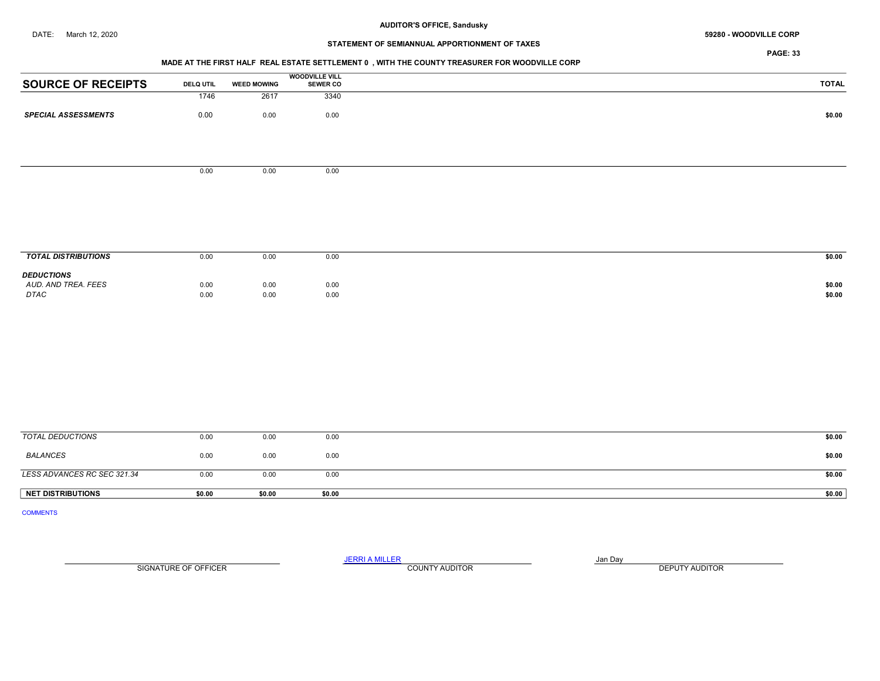# STATEMENT OF SEMIANNUAL APPORTIONMENT OF TAXES

PAGE: 33

#### MADE AT THE FIRST HALF REAL ESTATE SETTLEMENT 0 , WITH THE COUNTY TREASURER FOR WOODVILLE CORP

|                            |                  |                    | <b>WOODVILLE VILL</b> |        |
|----------------------------|------------------|--------------------|-----------------------|--------|
| <b>SOURCE OF RECEIPTS</b>  | <b>DELQ UTIL</b> | <b>WEED MOWING</b> | <b>SEWER CO</b>       | TOTAL  |
|                            | 1746             | 2617               | 3340                  |        |
| <b>SPECIAL ASSESSMENTS</b> | 0.00             | 0.00               | 0.00                  | \$0.00 |
|                            |                  |                    |                       |        |
|                            |                  |                    |                       |        |
|                            | 0.00             | 0.00               | 0.00                  |        |
|                            |                  |                    |                       |        |
|                            |                  |                    |                       |        |
|                            |                  |                    |                       |        |
|                            |                  |                    |                       |        |

| <b>TOTAL DISTRIBUTIONS</b>                       | 0.00         | 0.00                                 | 0.00         | \$0.00           |
|--------------------------------------------------|--------------|--------------------------------------|--------------|------------------|
| <b>DEDUCTIONS</b><br>AUD. AND TREA. FEES<br>DTAC | 0.00<br>0.00 | 0.00<br>0.00<br>$\sim$ $\sim$ $\sim$ | 0.00<br>0.00 | \$0.00<br>\$0.00 |

| <b>NET DISTRIBUTIONS</b>    | \$0.00 | \$0.00 | \$0.00 | \$0.00 |
|-----------------------------|--------|--------|--------|--------|
| LESS ADVANCES RC SEC 321.34 | 0.00   | 0.00   | 0.00   | \$0.00 |
| BALANCES                    | 0.00   | 0.00   | 0.00   | \$0.00 |
| TOTAL DEDUCTIONS            | 0.00   | 0.00   | 0.00   | \$0.00 |

COMMENTS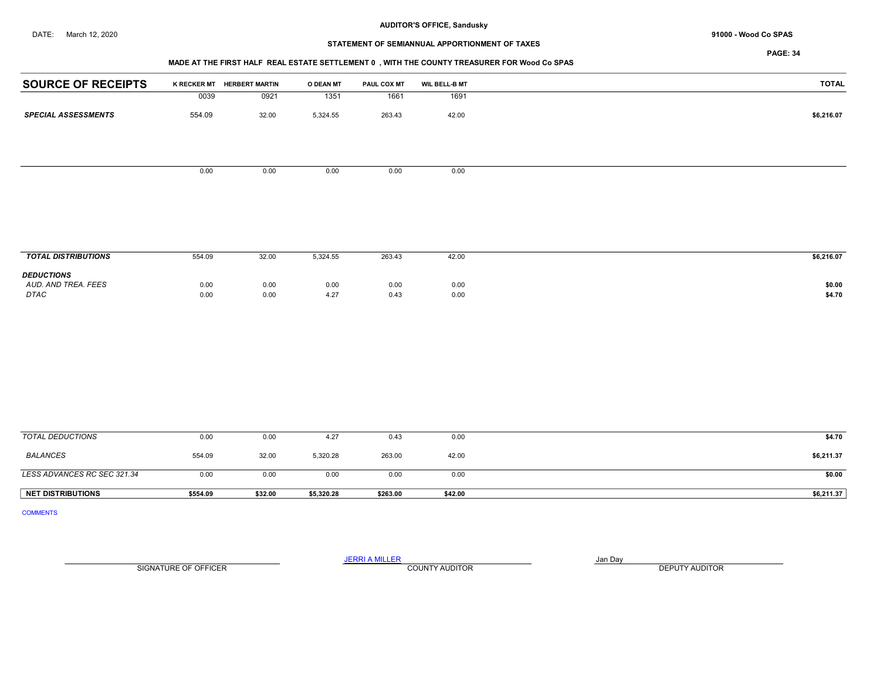# STATEMENT OF SEMIANNUAL APPORTIONMENT OF TAXES

PAGE: 34

## MADE AT THE FIRST HALF REAL ESTATE SETTLEMENT 0 , WITH THE COUNTY TREASURER FOR Wood Co SPAS

| <b>SOURCE OF RECEIPTS</b>  | <b>K RECKER MT</b> | <b>HERBERT MARTIN</b> | O DEAN MT | <b>PAUL COX MT</b> | <b>WIL BELL-B MT</b> | <b>TOTAL</b> |
|----------------------------|--------------------|-----------------------|-----------|--------------------|----------------------|--------------|
|                            | 0039               | 0921                  | 1351      | 1661               | 1691                 |              |
|                            |                    |                       |           |                    |                      |              |
| <b>SPECIAL ASSESSMENTS</b> | 554.09             | 32.00                 | 5,324.55  | 263.43             | 42.00                | \$6,216.07   |
|                            |                    |                       |           |                    |                      |              |
|                            |                    |                       |           |                    |                      |              |
|                            |                    |                       |           |                    |                      |              |
|                            |                    |                       |           |                    |                      |              |
|                            |                    |                       |           |                    |                      |              |
|                            | 0.00               | 0.00                  | 0.00      | 0.00               | 0.00                 |              |
|                            |                    |                       |           |                    |                      |              |
|                            |                    |                       |           |                    |                      |              |

| <b>TOTAL DISTRIBUTIONS</b>                              | 554.09       | 32.00        | 5,324.55     | 263.43                               | 42.00        | \$6,216.07       |
|---------------------------------------------------------|--------------|--------------|--------------|--------------------------------------|--------------|------------------|
| <b>DEDUCTIONS</b><br>AUD. AND TREA. FEES<br><b>DTAC</b> | 0.00<br>0.00 | 0.00<br>0.00 | 0.00<br>4.27 | 0.00<br>$\sim$ $\sim$ $\sim$<br>0.43 | 0.00<br>0.00 | \$0.00<br>\$4.70 |

| TOTAL DEDUCTIONS            | 0.00     | 0.00    | 4.27       | 0.43     | 0.00    | \$4.70     |
|-----------------------------|----------|---------|------------|----------|---------|------------|
| BALANCES                    | 554.09   | 32.00   | 5,320.28   | 263.00   | 42.00   | \$6,211.37 |
| LESS ADVANCES RC SEC 321.34 | 0.00     | 0.00    | 0.00       | 0.00     | 0.00    | \$0.00     |
| <b>NET DISTRIBUTIONS</b>    | \$554.09 | \$32.00 | \$5,320.28 | \$263.00 | \$42.00 | \$6,211.37 |

COMMENTS

SIGNATURE OF OFFICER **EXECUTE A RELATION COUNTY AUDITOR** COUNTY AUDITOR **DEPUTY AUDITOR**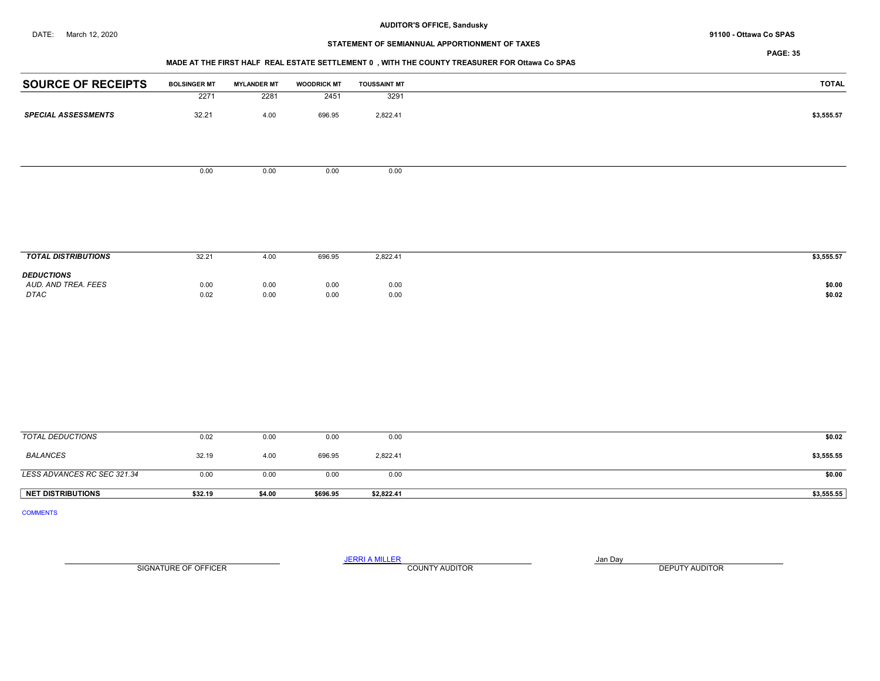# STATEMENT OF SEMIANNUAL APPORTIONMENT OF TAXES

## MADE AT THE FIRST HALF REAL ESTATE SETTLEMENT 0 , WITH THE COUNTY TREASURER FOR Ottawa Co SPAS

| <b>SOURCE OF RECEIPTS</b>   | <b>BOLSINGER MT</b> | <b>MYLANDER MT</b> | <b>WOODRICK MT</b> | <b>TOUSSAINT MT</b> | <b>TOTAL</b>     |
|-----------------------------|---------------------|--------------------|--------------------|---------------------|------------------|
|                             | 2271                | 2281               | 2451               | 3291                |                  |
| <b>SPECIAL ASSESSMENTS</b>  | 32.21               | 4.00               | 696.95             | 2,822.41            | \$3,555.57       |
|                             |                     |                    |                    |                     |                  |
|                             | 0.00                | 0.00               | 0.00               | 0.00                |                  |
|                             |                     |                    |                    |                     |                  |
|                             |                     |                    |                    |                     |                  |
|                             |                     |                    |                    |                     |                  |
| <b>TOTAL DISTRIBUTIONS</b>  | 32.21               | 4.00               | 696.95             | 2,822.41            | \$3,555.57       |
| <b>DEDUCTIONS</b>           |                     |                    |                    |                     |                  |
| AUD. AND TREA. FEES<br>DTAC | 0.00<br>0.02        | 0.00<br>0.00       | 0.00<br>0.00       | 0.00<br>0.00        | \$0.00<br>\$0.02 |
|                             |                     |                    |                    |                     |                  |
|                             |                     |                    |                    |                     |                  |
|                             |                     |                    |                    |                     |                  |
|                             |                     |                    |                    |                     |                  |
|                             |                     |                    |                    |                     |                  |
| <b>TOTAL DEDUCTIONS</b>     | 0.02                | 0.00               | 0.00               | 0.00                | \$0.02           |

| <b>NET DISTRIBUTIONS</b>    | \$32.19 | \$4.00 | \$696.95 | \$2,822.41 | \$3,555.55 |
|-----------------------------|---------|--------|----------|------------|------------|
| LESS ADVANCES RC SEC 321.34 | 0.00    | 0.00   | 0.00     | 0.00       | \$0.00     |
| BALANCES                    | 32.19   | 4.00   | 696.95   | 2,822.41   | \$3,555.55 |

COMMENTS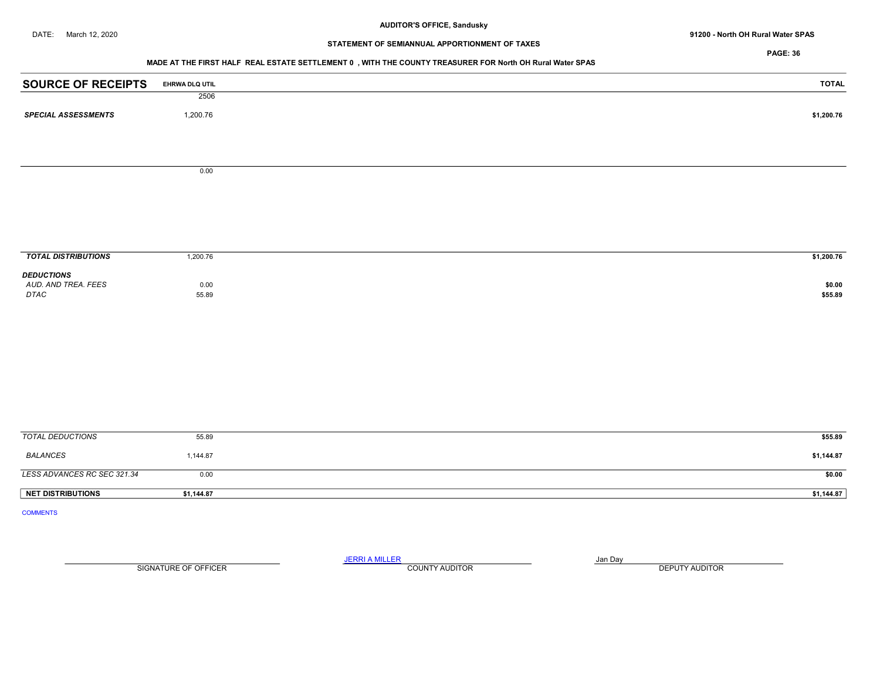DATE: March 12, 2020 **North OH Rural Water SPAS** 91200 - North OH Rural Water SPAS

# STATEMENT OF SEMIANNUAL APPORTIONMENT OF TAXES

PAGE: 36

## MADE AT THE FIRST HALF REAL ESTATE SETTLEMENT 0 , WITH THE COUNTY TREASURER FOR North OH Rural Water SPAS

| <b>SOURCE OF RECEIPTS</b><br>EHRWA DLQ UTIL |            |
|---------------------------------------------|------------|
| 2506                                        |            |
| 1,200.76<br><b>SPECIAL ASSESSMENTS</b>      | \$1,200.76 |
|                                             |            |
| 0.00                                        |            |
|                                             |            |
|                                             |            |
| <b>TOTAL DISTRIBUTIONS</b><br>1,200.76      | \$1,200.76 |
| <b>DEDUCTIONS</b>                           |            |
| AUD. AND TREA. FEES<br>0.00                 |            |
| $DTAC$<br>55.89                             |            |
|                                             |            |
|                                             |            |
|                                             |            |
|                                             |            |
|                                             |            |
| <b>TOTAL DEDUCTIONS</b><br>55.89            |            |
| <b>BALANCES</b><br>1,144.87                 |            |
| LESS ADVANCES RC SEC 321.34<br>0.00         |            |
| <b>NET DISTRIBUTIONS</b><br>\$1,144.87      | \$1,144.87 |

SIGNATURE OF OFFICER **EXECUTE A RELATION COUNTY AUDITOR** COUNTY AUDITOR **DEPUTY AUDITOR**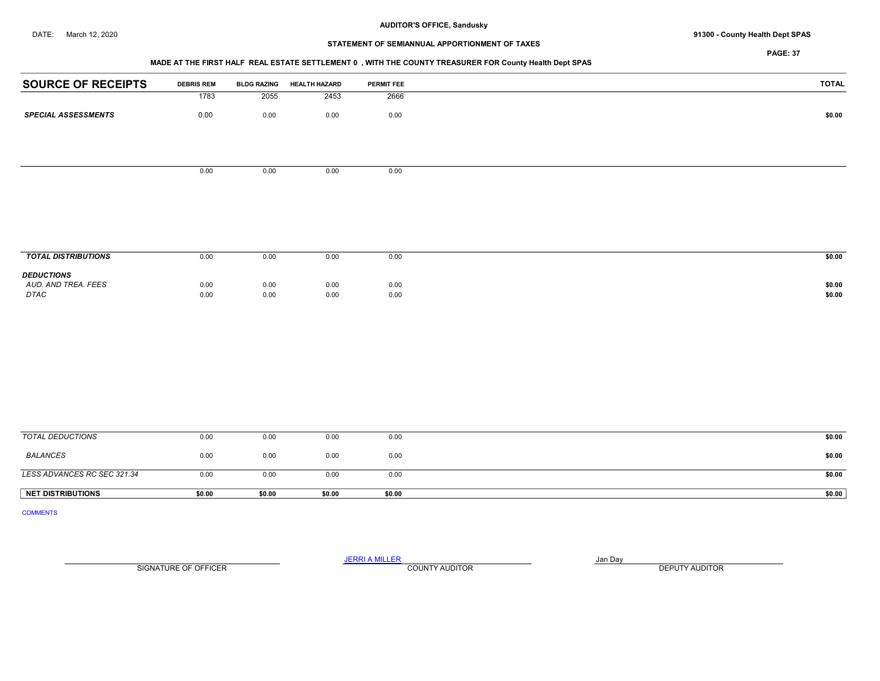## DATE: March 12, 2020 **91300 - County Health Dept SPAS**

# STATEMENT OF SEMIANNUAL APPORTIONMENT OF TAXES

PAGE: 37

## MADE AT THE FIRST HALF REAL ESTATE SETTLEMENT 0 , WITH THE COUNTY TREASURER FOR County Health Dept SPAS

| <b>SOURCE OF RECEIPTS</b>   | <b>DEBRIS REM</b> | <b>BLDG RAZING</b> | <b>HEALTH HAZARD</b> | PERMIT FEE   | <b>TOTAL</b>     |
|-----------------------------|-------------------|--------------------|----------------------|--------------|------------------|
|                             | 1783              | 2055               | 2453                 | 2666         |                  |
| <b>SPECIAL ASSESSMENTS</b>  | $0.00\,$          | $0.00\,$           | 0.00                 | 0.00         | \$0.00           |
|                             |                   |                    |                      |              |                  |
|                             |                   |                    |                      |              |                  |
|                             |                   |                    |                      |              |                  |
|                             | 0.00              | 0.00               | 0.00                 | 0.00         |                  |
|                             |                   |                    |                      |              |                  |
|                             |                   |                    |                      |              |                  |
|                             |                   |                    |                      |              |                  |
|                             |                   |                    |                      |              |                  |
|                             |                   |                    |                      |              |                  |
| <b>TOTAL DISTRIBUTIONS</b>  | 0.00              | 0.00               | 0.00                 | 0.00         | \$0.00           |
| <b>DEDUCTIONS</b>           |                   |                    |                      |              |                  |
| AUD. AND TREA. FEES<br>DTAC | 0.00<br>0.00      | 0.00<br>0.00       | 0.00<br>0.00         | 0.00<br>0.00 | \$0.00<br>\$0.00 |
|                             |                   |                    |                      |              |                  |
|                             |                   |                    |                      |              |                  |
|                             |                   |                    |                      |              |                  |
|                             |                   |                    |                      |              |                  |
|                             |                   |                    |                      |              |                  |
|                             |                   |                    |                      |              |                  |
|                             |                   |                    |                      |              |                  |
|                             |                   |                    |                      |              |                  |
|                             |                   |                    |                      |              |                  |
| <b>TOTAL DEDUCTIONS</b>     | 0.00              | 0.00               | 0.00                 | 0.00         | \$0.00           |
| <b>BALANCES</b>             | 0.00              | 0.00               | 0.00                 | 0.00         | \$0.00           |

LESS ADVANCES RC SEC 321.34 0.00 0.00 0.00 0.00 \$0.00 NET DISTRIBUTIONS \$0.00 \$0.00 \$0.00 \$0.00 \$0.00 \$0.00 \$0.00 \$0.00 \$0.00 \$0.00 \$0.00 \$0.00

COMMENTS

SIGNATURE OF OFFICER **EXECUTE A RELATION COUNTY AUDITOR** COUNTY AUDITOR **DEPUTY AUDITOR**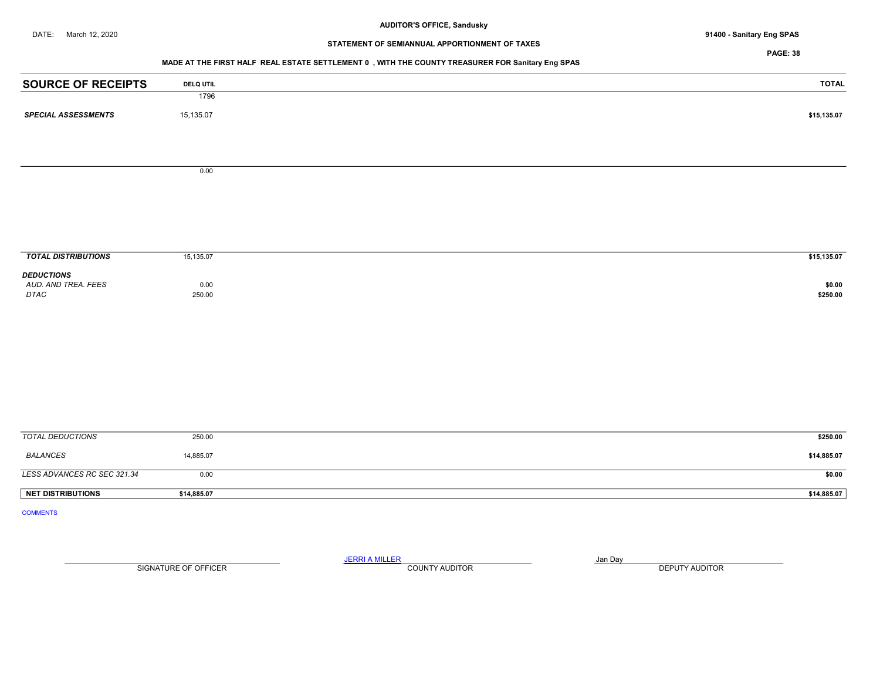# STATEMENT OF SEMIANNUAL APPORTIONMENT OF TAXES

## PAGE: 38

# MADE AT THE FIRST HALF REAL ESTATE SETTLEMENT 0 , WITH THE COUNTY TREASURER FOR Sanitary Eng SPAS

| <b>SOURCE OF RECEIPTS</b>   | <b>DELQ UTIL</b> | <b>TOTAL</b>       |
|-----------------------------|------------------|--------------------|
|                             | 1796             |                    |
| <b>SPECIAL ASSESSMENTS</b>  | 15,135.07        | \$15,135.07        |
|                             |                  |                    |
|                             |                  |                    |
|                             | 0.00             |                    |
|                             |                  |                    |
|                             |                  |                    |
|                             |                  |                    |
| <b>TOTAL DISTRIBUTIONS</b>  | 15,135.07        | \$15,135.07        |
| <b>DEDUCTIONS</b>           |                  |                    |
| AUD. AND TREA. FEES<br>DTAC | 0.00<br>250.00   | \$0.00<br>\$250.00 |
|                             |                  |                    |
|                             |                  |                    |
|                             |                  |                    |
|                             |                  |                    |
|                             |                  |                    |
|                             |                  |                    |
|                             |                  |                    |
| <b>TOTAL DEDUCTIONS</b>     | 250.00           | \$250.00           |
| <b>BALANCES</b>             | 14,885.07        | \$14,885.07        |
| LESS ADVANCES RC SEC 321.34 | 0.00             | \$0.00             |
| <b>NET DISTRIBUTIONS</b>    | \$14,885.07      | \$14,885.07        |
| <b>COMMENTS</b>             |                  |                    |

SIGNATURE OF OFFICER **EXECUTE A RELATION COUNTY AUDITOR** COUNTY AUDITOR **DEPUTY AUDITOR**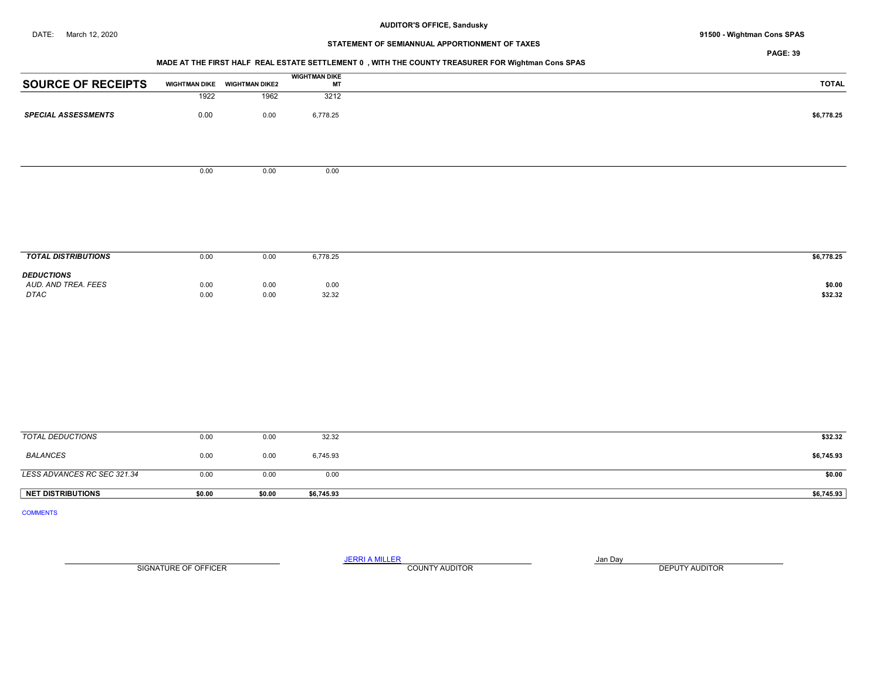## DATE: March 12, 2020 91500 - Wightman Cons SPAS

# STATEMENT OF SEMIANNUAL APPORTIONMENT OF TAXES

PAGE: 39

# MADE AT THE FIRST HALF REAL ESTATE SETTLEMENT 0 , WITH THE COUNTY TREASURER FOR Wightman Cons SPAS

| <b>SOURCE OF RECEIPTS</b>  | <b>WIGHTMAN DIKE</b> | <b>WIGHTMAN DIKE2</b> | <b>WIGHTMAN DIKE</b><br>МT |
|----------------------------|----------------------|-----------------------|----------------------------|
|                            | 1922                 | 1962                  | 3212                       |
| <b>SPECIAL ASSESSMENTS</b> | 0.00                 | 0.00                  | 6,778.25                   |
|                            |                      |                       |                            |

 $0.00$  0.00 0.00

| <b>L DISTRIBUTIONS</b><br><b>TOTAL</b>           | 0.00         | 0.00         | 6,778.25      | \$6,778.25        |
|--------------------------------------------------|--------------|--------------|---------------|-------------------|
| <b>DEDUCTIONS</b><br>AUD. AND TREA. FEES<br>DTAC | 0.00<br>0.00 | 0.00<br>0.00 | 0.00<br>32.32 | \$0.00<br>\$32.32 |
|                                                  |              |              |               |                   |

| NET DISTRIBUTIONS           | \$0.00 | \$0.00 | \$6,745.93 | \$6,745.93 |
|-----------------------------|--------|--------|------------|------------|
| LESS ADVANCES RC SEC 321.34 | 0.00   | 0.00   | 0.00       | \$0.00     |
| <b>BALANCES</b>             | 0.00   | 0.00   | 6,745.93   | \$6,745.93 |
| TOTAL DEDUCTIONS            | 0.00   | 0.00   | 32.32      | \$32.32    |

COMMENTS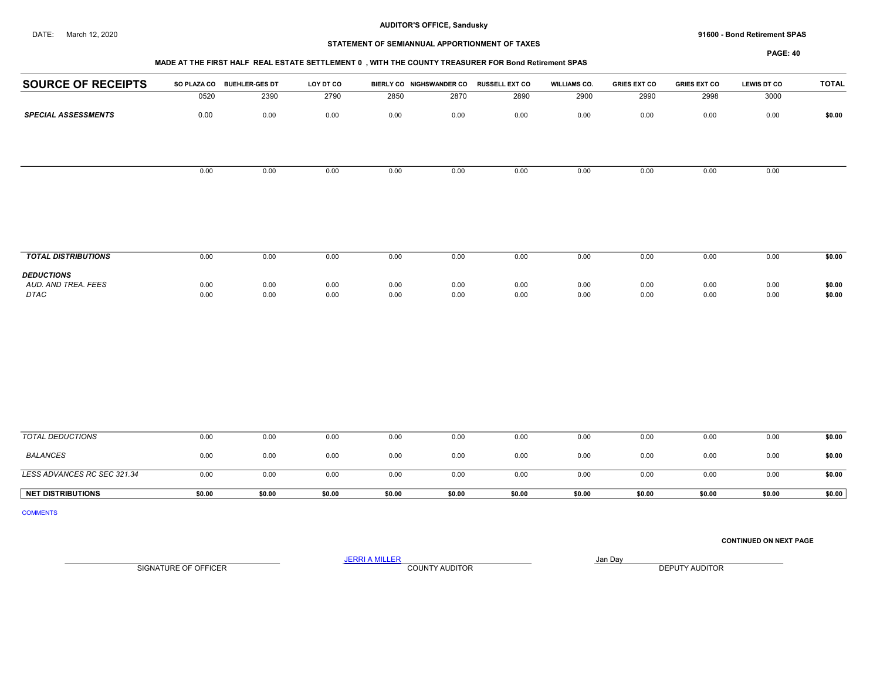#### DATE: March 12, 2020 91600 - Bond Retirement SPAS

# STATEMENT OF SEMIANNUAL APPORTIONMENT OF TAXES

## PAGE: 40

| <b>SOURCE OF RECEIPTS</b>  | <b>SO PLAZA CO</b> | <b>BUEHLER-GES DT</b> | LOY DT CO |      | BIERLY CO NIGHSWANDER CO | <b>RUSSELL EXT CO</b> | <b>WILLIAMS CO.</b> | <b>GRIES EXT CO</b> | <b>GRIES EXT CO</b> | <b>LEWIS DT CO</b> | <b>TOTAL</b> |
|----------------------------|--------------------|-----------------------|-----------|------|--------------------------|-----------------------|---------------------|---------------------|---------------------|--------------------|--------------|
|                            | 0520               | 2390                  | 2790      | 2850 | 2870                     | 2890                  | 2900                | 2990                | 2998                | 3000               |              |
| <b>SPECIAL ASSESSMENTS</b> | 0.00               | 0.00                  | 0.00      | 0.00 | 0.00                     | 0.00                  | 0.00                | 0.00                | 0.00                | 0.00               | \$0.00       |
|                            |                    |                       |           |      |                          |                       |                     |                     |                     |                    |              |
|                            | 0.00               | 0.00                  | 0.00      | 0.00 | 0.00                     | 0.00                  | 0.00                | 0.00                | 0.00                | 0.00               |              |
|                            |                    |                       |           |      |                          |                       |                     |                     |                     |                    |              |
|                            |                    |                       |           |      |                          |                       |                     |                     |                     |                    |              |
| <b>TOTAL DISTRIBUTIONS</b> | 0.00               | 0.00                  | 0.00      | 0.00 | 0.00                     | 0.00                  | 0.00                | 0.00                | 0.00                | 0.00               | \$0.00       |

| <b>DEDUCTIONS</b>   |      |      |      |      |      |      |      |      |      |      |        |
|---------------------|------|------|------|------|------|------|------|------|------|------|--------|
| AUD, AND TREA, FEES | 0.00 | 0.00 | 0.00 | 0.00 | 0.00 | 0.00 | 0.00 | 0.00 | 0.00 | 0.00 | \$0.00 |
| <b>DTAC</b>         | 0.00 | 0.00 | 0.00 | 0.00 | 0.00 | 0.00 | 0.00 | 0.00 | 0.00 | 0.00 | \$0.00 |
|                     |      |      |      |      |      |      |      |      |      |      |        |

| TOTAL DEDUCTIONS            | 0.00   | 0.00   | 0.00   | 0.00   | 0.00   | 0.00   | 0.00   | 0.00   | 0.00   | 0.00   | \$0.00 |
|-----------------------------|--------|--------|--------|--------|--------|--------|--------|--------|--------|--------|--------|
| <b>BALANCES</b>             | 0.00   | 0.00   | 0.00   | 0.00   | 0.00   | 0.00   | 0.00   | 0.00   | 0.00   | 0.00   | \$0.00 |
| LESS ADVANCES RC SEC 321.34 | 0.00   | 0.00   | 0.00   | 0.00   | 0.00   | 0.00   | 0.00   | 0.00   | 0.00   | 0.00   | \$0.00 |
| <b>NET DISTRIBUTIONS</b>    | \$0.00 | \$0.00 | \$0.00 | \$0.00 | \$0.00 | \$0.00 | \$0.00 | \$0.00 | \$0.00 | \$0.00 | \$0.00 |

COMMENTS

CONTINUED ON NEXT PAGE

SIGNATURE OF OFFICER **EXECUTE A RELATION COUNTY AUDITOR** COUNTY AUDITOR **DEPUTY AUDITOR**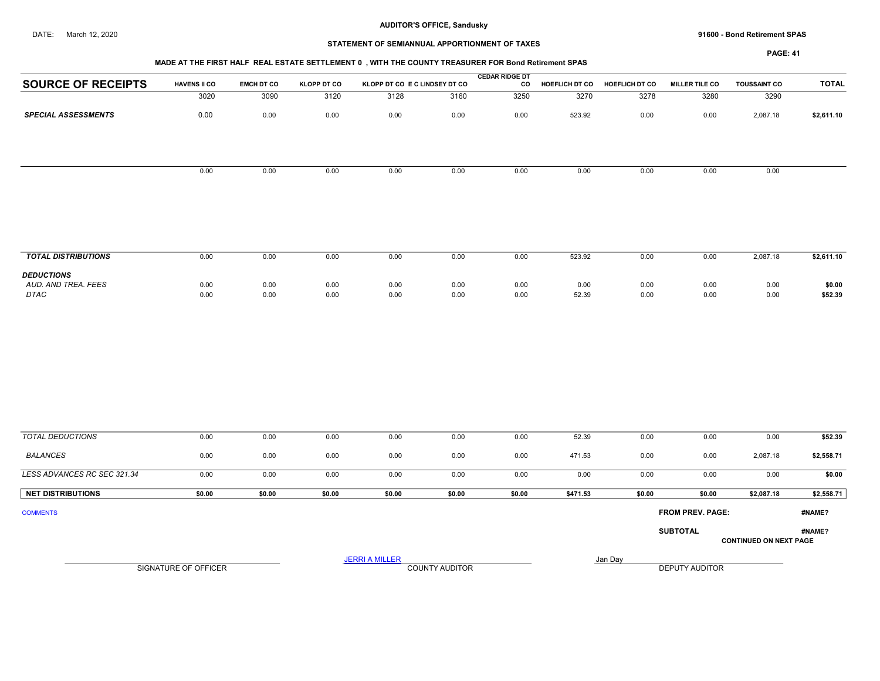#### DATE: March 12, 2020 91600 - Bond Retirement SPAS

## STATEMENT OF SEMIANNUAL APPORTIONMENT OF TAXES

PAGE: 41

|                                          | MADE AT THE FIRST HALF REAL ESTATE SETTLEMENT 0, WITH THE COUNTY TREASURER FOR Bond Retirement SPAS |                   |                    |                               |      |                             |                |                |                       |                     |              |  |  |  |
|------------------------------------------|-----------------------------------------------------------------------------------------------------|-------------------|--------------------|-------------------------------|------|-----------------------------|----------------|----------------|-----------------------|---------------------|--------------|--|--|--|
| <b>SOURCE OF RECEIPTS</b>                | <b>HAVENS II CO</b>                                                                                 | <b>EMCH DT CO</b> | <b>KLOPP DT CO</b> | KLOPP DT CO E C LINDSEY DT CO |      | <b>CEDAR RIDGE DT</b><br>co | HOEFLICH DT CO | HOEFLICH DT CO | <b>MILLER TILE CO</b> | <b>TOUSSAINT CO</b> | <b>TOTAL</b> |  |  |  |
|                                          | 3020                                                                                                | 3090              | 3120               | 3128                          | 3160 | 3250                        | 3270           | 3278           | 3280                  | 3290                |              |  |  |  |
| <b>SPECIAL ASSESSMENTS</b>               | 0.00                                                                                                | 0.00              | 0.00               | 0.00                          | 0.00 | 0.00                        | 523.92         | 0.00           | 0.00                  | 2,087.18            | \$2,611.10   |  |  |  |
|                                          |                                                                                                     |                   |                    |                               |      |                             |                |                |                       |                     |              |  |  |  |
|                                          | 0.00                                                                                                | 0.00              | 0.00               | 0.00                          | 0.00 | 0.00                        | 0.00           | 0.00           | 0.00                  | 0.00                |              |  |  |  |
|                                          |                                                                                                     |                   |                    |                               |      |                             |                |                |                       |                     |              |  |  |  |
|                                          |                                                                                                     |                   |                    |                               |      |                             |                |                |                       |                     |              |  |  |  |
| <b>TOTAL DISTRIBUTIONS</b>               | 0.00                                                                                                | 0.00              | 0.00               | 0.00                          | 0.00 | 0.00                        | 523.92         | 0.00           | 0.00                  | 2,087.18            | \$2,611.10   |  |  |  |
| <b>DEDUCTIONS</b><br>AUD. AND TREA. FEES | 0.00                                                                                                | 0.00              | 0.00               | 0.00                          | 0.00 | 0.00                        | 0.00           | 0.00           | 0.00                  | 0.00                | \$0.00       |  |  |  |

 AUD. AND TREA. FEES 0.00 0.00 0.00 0.00 0.00 0.00 0.00 0.00 0.00 0.00 \$0.00 DTAC 0.00 0.00 0.00 0.00 0.00 0.00 52.39 0.00 0.00 0.00 \$52.39

| TOTAL DEDUCTIONS            | 0.00   | 0.00   | 0.00   | 0.00   | 0.00   | 0.00   | 52.39    | 0.00   | 0.00                    | 0.00                          | \$52.39    |
|-----------------------------|--------|--------|--------|--------|--------|--------|----------|--------|-------------------------|-------------------------------|------------|
| <b>BALANCES</b>             | 0.00   | 0.00   | 0.00   | 0.00   | 0.00   | 0.00   | 471.53   | 0.00   | 0.00                    | 2,087.18                      | \$2,558.71 |
| LESS ADVANCES RC SEC 321.34 | 0.00   | 0.00   | 0.00   | 0.00   | 0.00   | 0.00   | 0.00     | 0.00   | 0.00                    | 0.00                          | \$0.00     |
| <b>NET DISTRIBUTIONS</b>    | \$0.00 | \$0.00 | \$0.00 | \$0.00 | \$0.00 | \$0.00 | \$471.53 | \$0.00 | \$0.00                  | \$2,087.18                    | \$2,558.71 |
| <b>COMMENTS</b>             |        |        |        |        |        |        |          |        | <b>FROM PREV. PAGE:</b> |                               | #NAME?     |
|                             |        |        |        |        |        |        |          |        | <b>SUBTOTAL</b>         | <b>CONTINUED ON NEXT PAGE</b> | #NAME?     |

SIGNATURE OF OFFICER **EXECUTE A RELATION COUNTY AUDITOR** COUNTY AUDITOR **DEPUTY AUDITOR**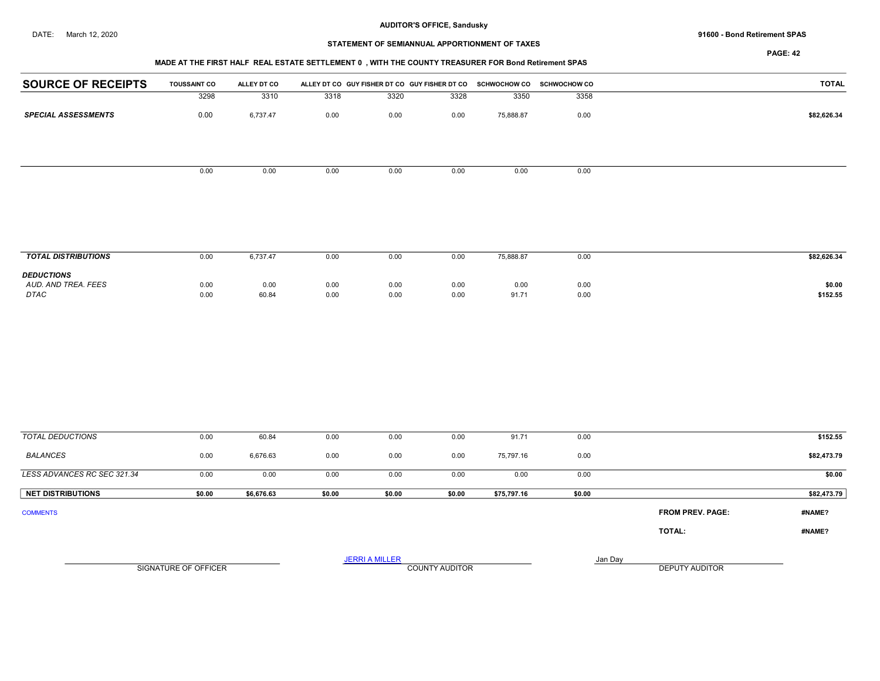#### DATE: March 12, 2020 91600 - Bond Retirement SPAS

# STATEMENT OF SEMIANNUAL APPORTIONMENT OF TAXES

PAGE: 42

## MADE AT THE FIRST HALF REAL ESTATE SETTLEMENT 0 , WITH THE COUNTY TREASURER FOR Bond Retirement SPAS

| <b>SOURCE OF RECEIPTS</b>  | <b>TOUSSAINT CO</b> | ALLEY DT CO |      | ALLEY DT CO GUY FISHER DT CO GUY FISHER DT CO SCHWOCHOW CO SCHWOCHOW CO |      |           |      | <b>TOTAL</b> |
|----------------------------|---------------------|-------------|------|-------------------------------------------------------------------------|------|-----------|------|--------------|
|                            | 3298                | 3310        | 3318 | 3320                                                                    | 3328 | 3350      | 3358 |              |
| <b>SPECIAL ASSESSMENTS</b> | 0.00                | 6,737.47    | 0.00 | 0.00                                                                    | 0.00 | 75,888.87 | 0.00 | \$82,626.34  |
|                            |                     |             |      |                                                                         |      |           |      |              |
|                            | 0.00                | 0.00        | 0.00 | 0.00                                                                    | 0.00 | 0.00      | 0.00 |              |
|                            |                     |             |      |                                                                         |      |           |      |              |

| <b>TOTAL DISTRIBUTIONS</b>                              | 0.00         | 6.737.47      | 0.00         | 0.00         | 0.00         | 75,888.87     | 0.00         | \$82,626.34        |
|---------------------------------------------------------|--------------|---------------|--------------|--------------|--------------|---------------|--------------|--------------------|
| <b>DEDUCTIONS</b><br>AUD, AND TREA, FEES<br><b>DTAC</b> | 0.00<br>0.00 | 0.00<br>60.84 | 0.00<br>0.00 | 0.00<br>0.00 | 0.00<br>0.00 | 0.00<br>91.71 | 0.00<br>0.00 | \$0.00<br>\$152.55 |

| <b>TOTAL DEDUCTIONS</b>     | 0.00   | 60.84      | 0.00   | 0.00                  | 0.00                  | 91.71       | 0.00    |                         | \$152.55    |
|-----------------------------|--------|------------|--------|-----------------------|-----------------------|-------------|---------|-------------------------|-------------|
| BALANCES                    | 0.00   | 6,676.63   | 0.00   | 0.00                  | 0.00                  | 75,797.16   | 0.00    |                         | \$82,473.79 |
| LESS ADVANCES RC SEC 321.34 | 0.00   | 0.00       | 0.00   | 0.00                  | 0.00                  | 0.00        | 0.00    |                         | \$0.00      |
| <b>NET DISTRIBUTIONS</b>    | \$0.00 | \$6,676.63 | \$0.00 | \$0.00                | \$0.00                | \$75,797.16 | \$0.00  |                         | \$82,473.79 |
| <b>COMMENTS</b>             |        |            |        |                       |                       |             |         | <b>FROM PREV. PAGE:</b> | #NAME?      |
|                             |        |            |        |                       |                       |             |         | TOTAL:                  | #NAME?      |
|                             |        |            |        | <b>JERRI A MILLER</b> |                       |             | Jan Day | DEPUTY AUDITOR          |             |
| SIGNATURE OF OFFICER        |        |            |        |                       | <b>COUNTY AUDITOR</b> |             |         |                         |             |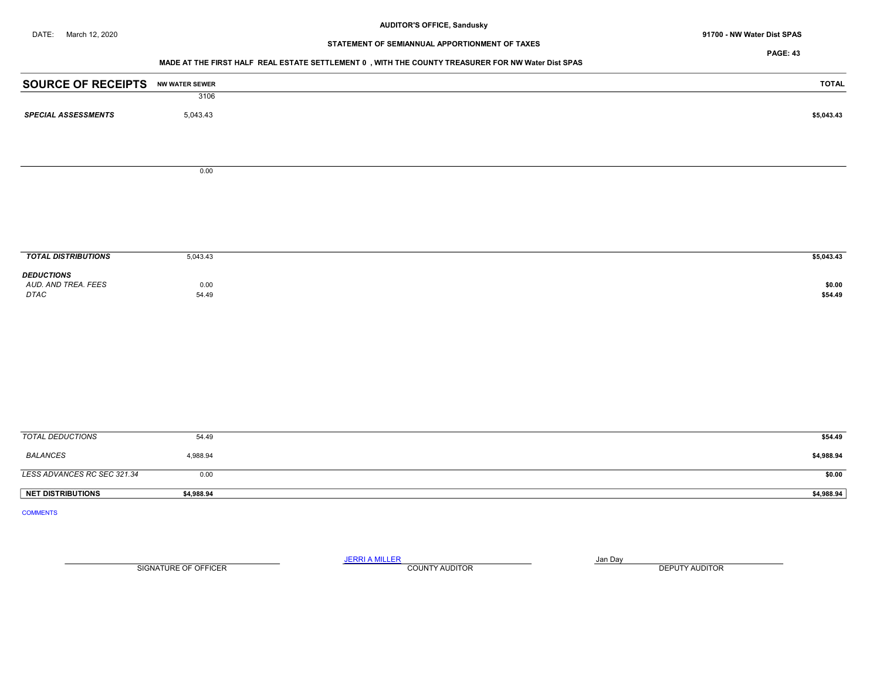DATE: March 12, 2020 **91700 - NW Water Dist SPAS** 

# STATEMENT OF SEMIANNUAL APPORTIONMENT OF TAXES

PAGE: 43

#### MADE AT THE FIRST HALF REAL ESTATE SETTLEMENT 0 , WITH THE COUNTY TREASURER FOR NW Water Dist SPAS

| <b>SOURCE OF RECEIPTS NW WATER SEWER</b> |               | <b>TOTAL</b>      |
|------------------------------------------|---------------|-------------------|
|                                          | 3106          |                   |
| <b>SPECIAL ASSESSMENTS</b>               | 5,043.43      | \$5,043.43        |
|                                          |               |                   |
|                                          | 0.00          |                   |
|                                          |               |                   |
|                                          |               |                   |
|                                          |               |                   |
| <b>TOTAL DISTRIBUTIONS</b>               | 5,043.43      | \$5,043.43        |
| <b>DEDUCTIONS</b>                        |               |                   |
| AUD. AND TREA. FEES<br>DTAC              | 0.00<br>54.49 | \$0.00<br>\$54.49 |
|                                          |               |                   |
|                                          |               |                   |
|                                          |               |                   |
|                                          |               |                   |
|                                          |               |                   |
|                                          |               |                   |
|                                          |               |                   |
|                                          |               |                   |
|                                          |               |                   |
|                                          |               |                   |
| <b>TOTAL DEDUCTIONS</b>                  | 54.49         | \$54.49           |
| <b>BALANCES</b>                          | 4,988.94      | \$4,988.94        |
| LESS ADVANCES RC SEC 321.34              | 0.00          | \$0.00            |
| <b>NET DISTRIBUTIONS</b>                 | \$4,988.94    | \$4,988.94        |
| <b>COMMENTS</b>                          |               |                   |

SIGNATURE OF OFFICER **EXECUTE A RELATION COUNTY AUDITOR** COUNTY AUDITOR **DEPUTY AUDITOR**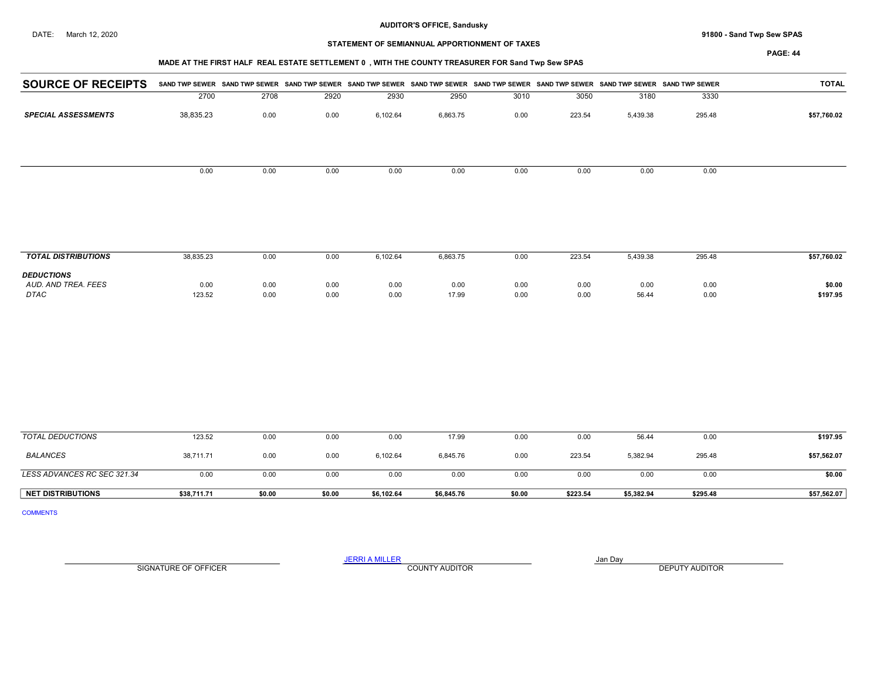DATE: March 12, 2020 **Sand Twp Sew SPAS 91800 - Sand Twp Sew SPAS** 

## STATEMENT OF SEMIANNUAL APPORTIONMENT OF TAXES

# MADE AT THE FIRST HALF REAL ESTATE SETTLEMENT 0 , WITH THE COUNTY TREASURER FOR Sand Twp Sew SPAS

PAGE: 44

| <b>SOURCE OF RECEIPTS</b>  |           |      |      |          |          |      |        |          | SAND TWP SEWER SAND TWP SEWER SAND TWP SEWER SAND TWP SEWER SAND TWP SEWER SAND TWP SEWER SAND TWP SEWER SAND TWP SEWER SAND TWP SEWER SAND TWP SEWER | TOTAL       |
|----------------------------|-----------|------|------|----------|----------|------|--------|----------|-------------------------------------------------------------------------------------------------------------------------------------------------------|-------------|
|                            | 2700      | 2708 | 2920 | 2930     | 2950     | 3010 | 3050   | 3180     | 3330                                                                                                                                                  |             |
| <b>SPECIAL ASSESSMENTS</b> | 38,835.23 | 0.00 | 0.00 | 6,102.64 | 6,863.75 | 0.00 | 223.54 | 5,439.38 | 295.48                                                                                                                                                | \$57,760.02 |
|                            |           |      |      |          |          |      |        |          |                                                                                                                                                       |             |
|                            |           |      |      |          |          |      |        |          |                                                                                                                                                       |             |
|                            |           |      |      |          |          |      |        |          |                                                                                                                                                       |             |
|                            | 0.00      | 0.00 | 0.00 | 0.00     | 0.00     | 0.00 | 0.00   | 0.00     | 0.00                                                                                                                                                  |             |
|                            |           |      |      |          |          |      |        |          |                                                                                                                                                       |             |
|                            |           |      |      |          |          |      |        |          |                                                                                                                                                       |             |
|                            |           |      |      |          |          |      |        |          |                                                                                                                                                       |             |
|                            |           |      |      |          |          |      |        |          |                                                                                                                                                       |             |

| <b>TOTAL DISTRIBUTIONS</b>                              | 38,835.23      | 0.00         | 0.00         | 102.64       | 6,863.75      | 0.00         | 223.54       | 5,439.38      | 295.48       | \$57,760.02        |
|---------------------------------------------------------|----------------|--------------|--------------|--------------|---------------|--------------|--------------|---------------|--------------|--------------------|
| <b>DEDUCTIONS</b><br>AUD, AND TREA, FEES<br><b>DTAC</b> | 0.00<br>123.52 | 0.00<br>0.00 | 0.00<br>0.00 | 0.00<br>0.00 | 0.00<br>17.99 | 0.00<br>0.00 | 0.00<br>0.00 | 0.00<br>56.44 | 0.00<br>0.00 | \$0.00<br>\$197.95 |

| TOTAL DEDUCTIONS            | 123.52      | 0.00   | 0.00   | 0.00       | 17.99      | 0.00   | 0.00     | 56.44      | 0.00     | \$197.95    |
|-----------------------------|-------------|--------|--------|------------|------------|--------|----------|------------|----------|-------------|
| <b>BALANCES</b>             | 38,711.71   | 0.00   | 0.00   | 6.102.64   | 6.845.76   | 0.00   | 223.54   | 5,382.94   | 295.48   | \$57,562.07 |
| LESS ADVANCES RC SEC 321.34 | 0.00        | 0.00   | 0.00   | 0.00       | 0.00       | 0.00   | 0.00     | 0.00       | 0.00     | \$0.00      |
| <b>NET DISTRIBUTIONS</b>    | \$38,711.71 | \$0.00 | \$0.00 | \$6,102.64 | \$6,845.76 | \$0.00 | \$223.54 | \$5,382.94 | \$295.48 | \$57,562.07 |

COMMENTS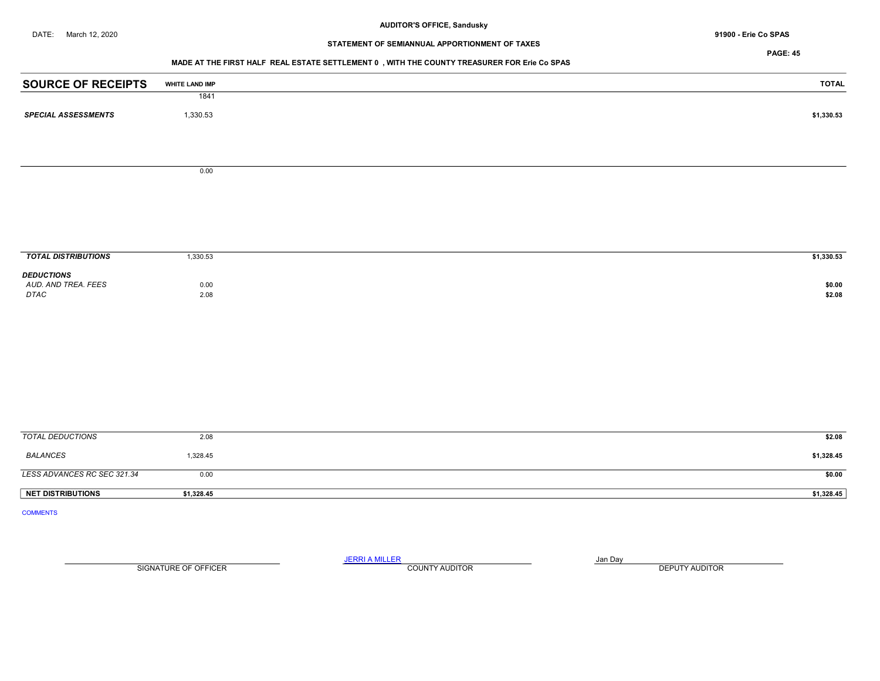# STATEMENT OF SEMIANNUAL APPORTIONMENT OF TAXES

PAGE: 45

## MADE AT THE FIRST HALF REAL ESTATE SETTLEMENT 0 , WITH THE COUNTY TREASURER FOR Erie Co SPAS

| <b>SOURCE OF RECEIPTS</b>   | WHITE LAND IMP | <b>TOTAL</b> |
|-----------------------------|----------------|--------------|
|                             | 1841           |              |
| <b>SPECIAL ASSESSMENTS</b>  | 1,330.53       | \$1,330.53   |
|                             |                |              |
|                             |                |              |
|                             | $0.00\,$       |              |
|                             |                |              |
|                             |                |              |
|                             |                |              |
|                             |                |              |
|                             |                |              |
| <b>TOTAL DISTRIBUTIONS</b>  | 1,330.53       | \$1,330.53   |
| <b>DEDUCTIONS</b>           |                |              |
| AUD. AND TREA. FEES         | 0.00           | \$0.00       |
| $DTAC$                      | 2.08           | \$2.08       |
|                             |                |              |
|                             |                |              |
|                             |                |              |
|                             |                |              |
|                             |                |              |
|                             |                |              |
|                             |                |              |
|                             |                |              |
| <b>TOTAL DEDUCTIONS</b>     | 2.08           | \$2.08       |
| <b>BALANCES</b>             | 1,328.45       | \$1,328.45   |
| LESS ADVANCES RC SEC 321.34 | 0.00           | \$0.00       |
| <b>NET DISTRIBUTIONS</b>    | \$1,328.45     | \$1,328.45   |
| <b>COMMENTS</b>             |                |              |

SIGNATURE OF OFFICER **EXECUTE A RELATION COUNTY AUDITOR** COUNTY AUDITOR **DEPUTY AUDITOR**